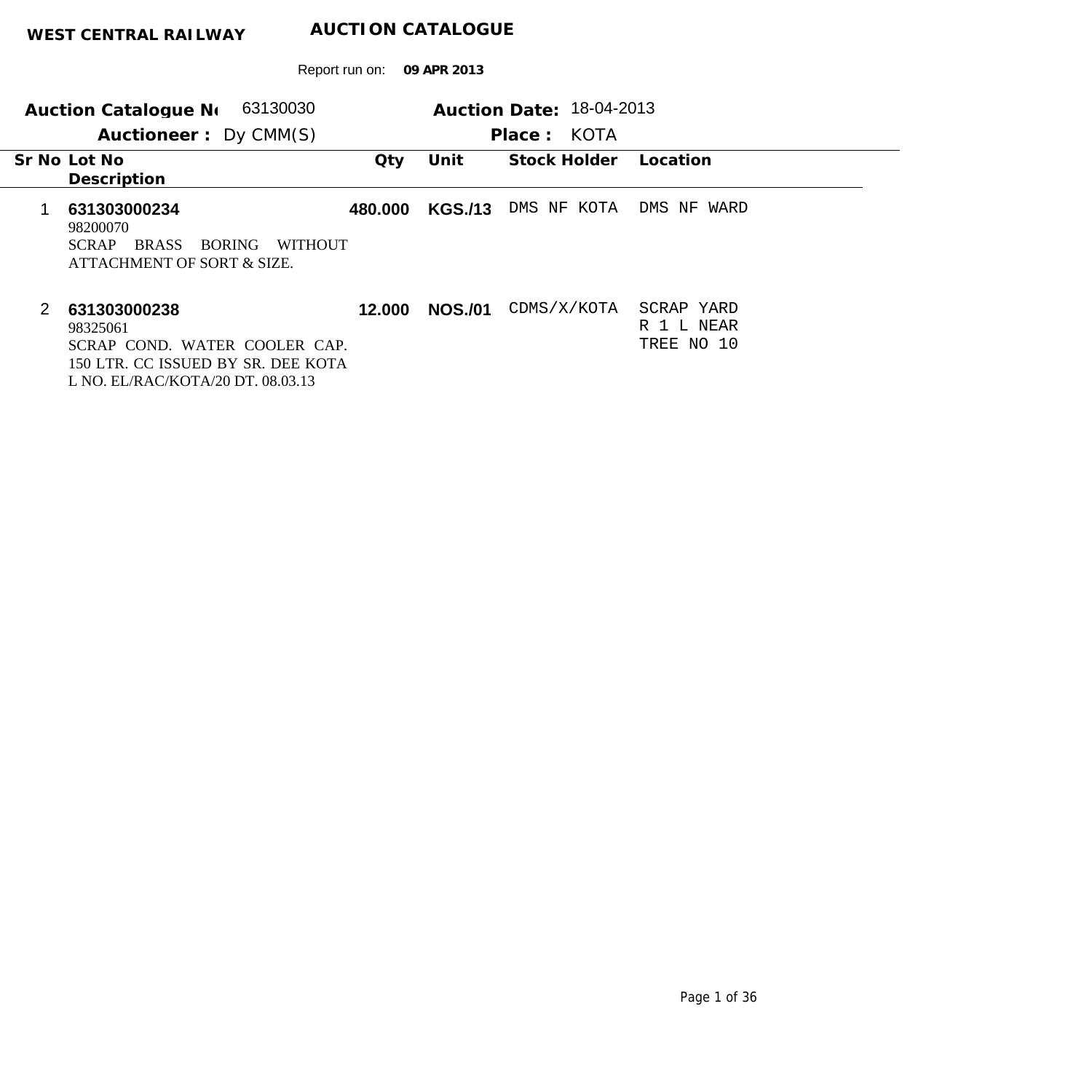| 63130030<br>Auction Catalogue No                                                                                                          | Auction Date: 18-04-2013 |                |                |                                        |
|-------------------------------------------------------------------------------------------------------------------------------------------|--------------------------|----------------|----------------|----------------------------------------|
| Auctioneer: Dy CMM(S)                                                                                                                     |                          |                | KOTA<br>Place: |                                        |
| Sr No Lot No<br>Description                                                                                                               | $Q$ ty                   | Unit           | Stock Holder   | Location                               |
| 631303000234<br>98200070<br><b>BRASS</b><br><b>BORING</b><br><b>WITHOUT</b><br><b>SCRAP</b><br>ATTACHMENT OF SORT & SIZE.                 | 480.000                  | <b>KGS./13</b> | DMS NF<br>KOTA | DMS NF<br>WARD                         |
| 2<br>631303000238<br>98325061<br>SCRAP COND. WATER COOLER CAP.<br>150 LTR. CC ISSUED BY SR. DEE KOTA<br>L NO. EL/RAC/KOTA/20 DT. 08.03.13 | 12.000                   | <b>NOS./01</b> | CDMS/X/KOTA    | SCRAP YARD<br>R 1 L NEAR<br>TREE NO 10 |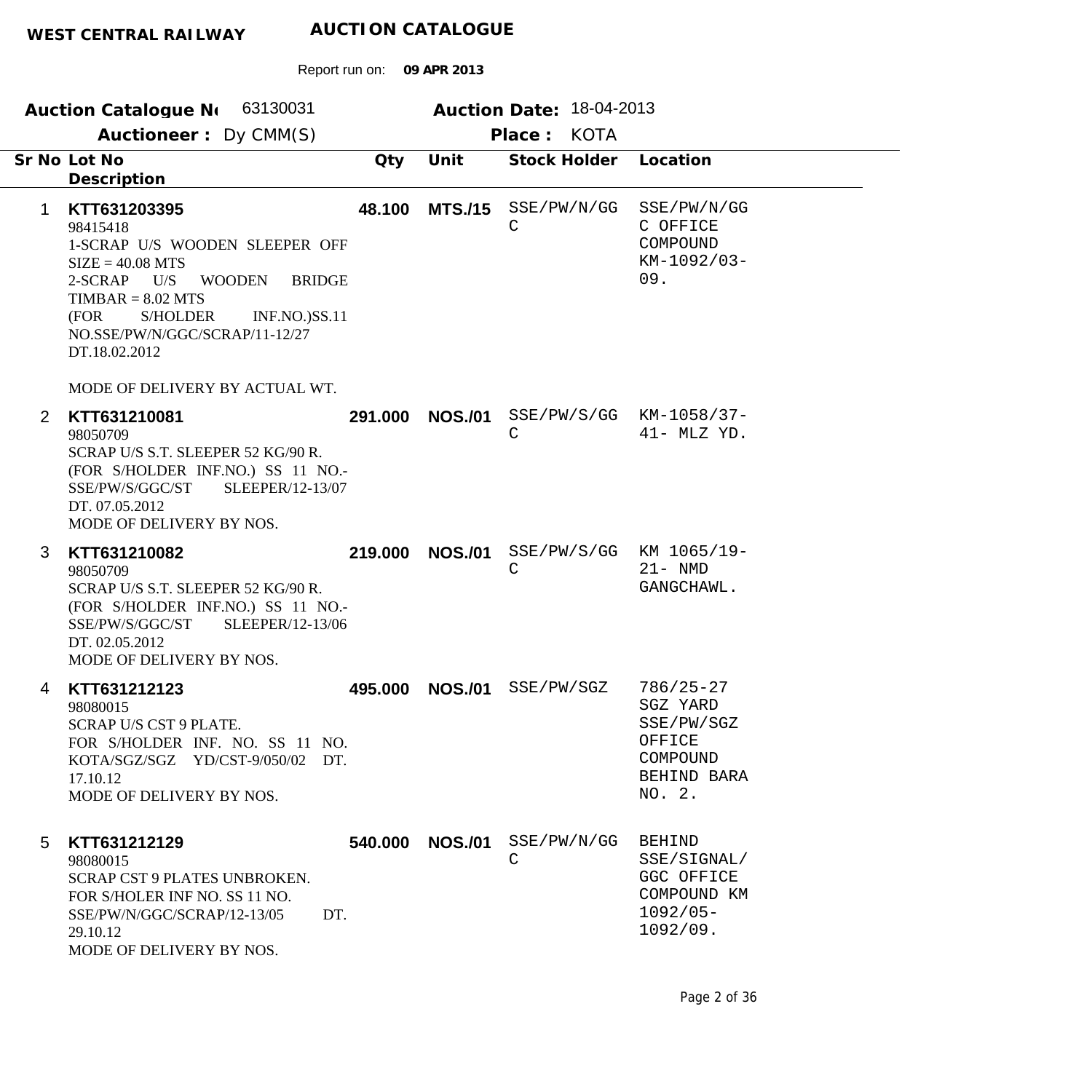| Auction Catalogue N 63130031<br>Auctioneer: Dy CMM(S)                                                                                                                                                                                                                            | Auction Date: 18-04-2013<br>Place: KOTA |                                                                                        |
|----------------------------------------------------------------------------------------------------------------------------------------------------------------------------------------------------------------------------------------------------------------------------------|-----------------------------------------|----------------------------------------------------------------------------------------|
| Sr No Lot No<br>Qty<br>Description                                                                                                                                                                                                                                               | Unit<br>Stock Holder                    | Location                                                                               |
| KTT631203395<br>48.100<br>1<br>98415418<br>1-SCRAP U/S WOODEN SLEEPER OFF<br>$SIZE = 40.08 MTS$<br>2-SCRAP<br>U/S<br><b>WOODEN</b><br><b>BRIDGE</b><br>$TIMBAR = 8.02 MTS$<br><b>S/HOLDER</b><br>(FOR<br><b>INF.NO.)SS.11</b><br>NO.SSE/PW/N/GGC/SCRAP/11-12/27<br>DT.18.02.2012 | <b>MTS./15</b><br>SSE/PW/N/GG<br>C      | SSE/PW/N/GG<br>C OFFICE<br>COMPOUND<br>$KM-1092/03-$<br>09.                            |
| MODE OF DELIVERY BY ACTUAL WT.<br>$\overline{2}$<br>KTT631210081<br>291.000<br>98050709<br>SCRAP U/S S.T. SLEEPER 52 KG/90 R.<br>(FOR S/HOLDER INF.NO.) SS 11 NO.-<br>SSE/PW/S/GGC/ST<br>SLEEPER/12-13/07<br>DT. 07.05.2012<br>MODE OF DELIVERY BY NOS.                          | <b>NOS./01</b><br>$\mathsf C$           | $SSE/PW/S/GG$ $KM-1058/37-$<br>41- MLZ YD.                                             |
| 3<br>219,000<br>KTT631210082<br>98050709<br>SCRAP U/S S.T. SLEEPER 52 KG/90 R.<br>(FOR S/HOLDER INF.NO.) SS 11 NO.-<br>SLEEPER/12-13/06<br>SSE/PW/S/GGC/ST<br>DT. 02.05.2012<br>MODE OF DELIVERY BY NOS.                                                                         | <b>NOS./01</b><br>C                     | SSE/PW/S/GG KM 1065/19-<br>$21 - NMD$<br>GANGCHAWL.                                    |
| KTT631212123<br>495.000<br>4<br>98080015<br>SCRAP U/S CST 9 PLATE.<br>FOR S/HOLDER INF. NO. SS 11 NO.<br>KOTA/SGZ/SGZ YD/CST-9/050/02 DT.<br>17.10.12<br>MODE OF DELIVERY BY NOS.                                                                                                | <b>NOS./01</b><br>SSE/PW/SGZ            | $786/25 - 27$<br>SGZ YARD<br>SSE/PW/SGZ<br>OFFICE<br>COMPOUND<br>BEHIND BARA<br>NO. 2. |
| 540.000<br>KTT631212129<br>5<br>98080015<br>SCRAP CST 9 PLATES UNBROKEN.<br>FOR S/HOLER INF NO. SS 11 NO.<br>SSE/PW/N/GGC/SCRAP/12-13/05<br>DT.<br>29.10.12<br>MODE OF DELIVERY BY NOS.                                                                                          | <b>NOS./01</b><br>SSE/PW/N/GG<br>C      | <b>BEHIND</b><br>SSE/SIGNAL/<br>GGC OFFICE<br>COMPOUND KM<br>$1092/05 -$<br>1092/09.   |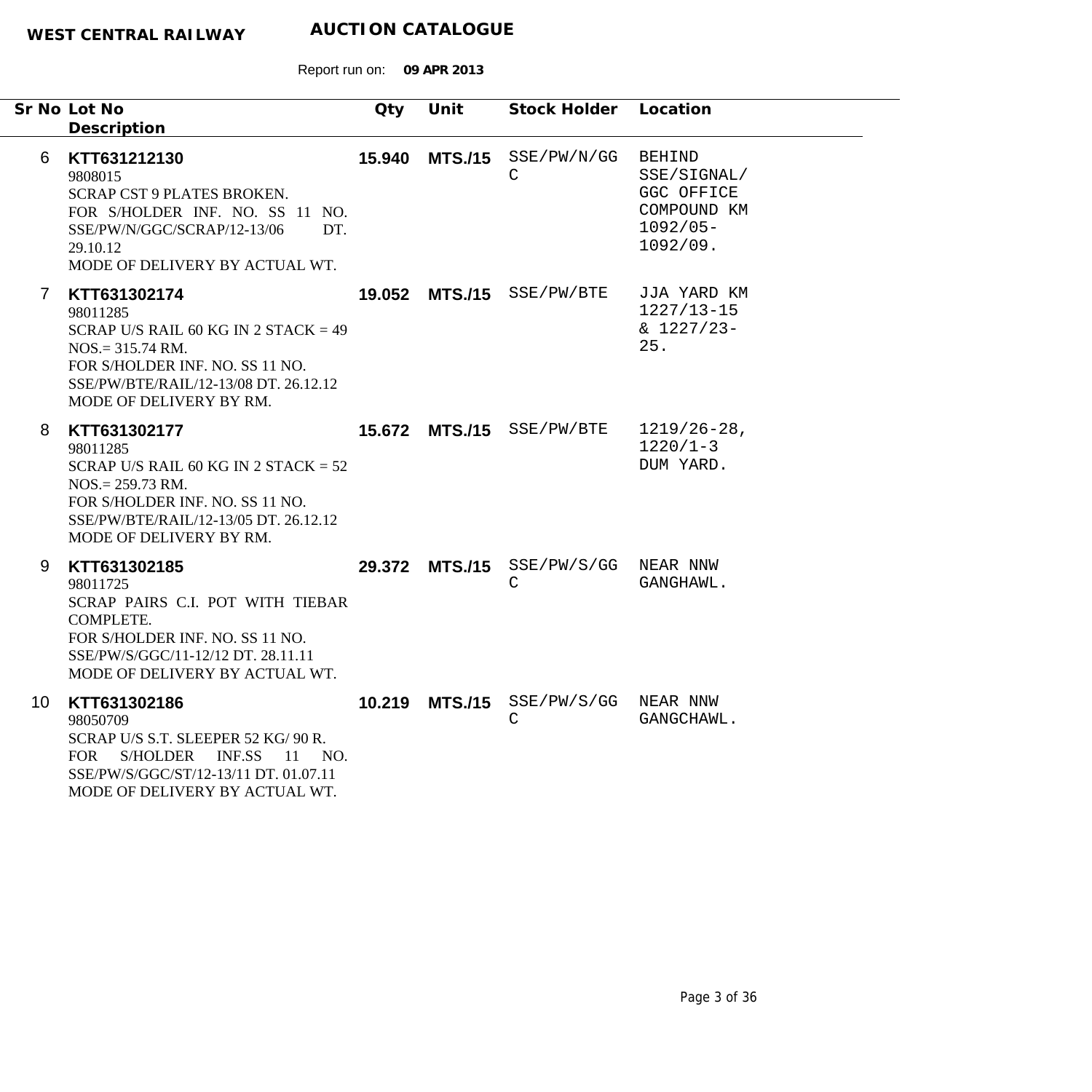|                 | Sr No Lot No<br>Description                                                                                                                                                                     | Qty    | Unit           | Stock Holder Location                               |                                                                                      |
|-----------------|-------------------------------------------------------------------------------------------------------------------------------------------------------------------------------------------------|--------|----------------|-----------------------------------------------------|--------------------------------------------------------------------------------------|
| 6.              | KTT631212130<br>9808015<br><b>SCRAP CST 9 PLATES BROKEN.</b><br>FOR S/HOLDER INF. NO. SS 11 NO.<br>SSE/PW/N/GGC/SCRAP/12-13/06<br>DT.<br>29.10.12<br>MODE OF DELIVERY BY ACTUAL WT.             |        |                | 15.940 MTS./15 SSE/PW/N/GG<br>$\mathsf C$           | <b>BEHIND</b><br>SSE/SIGNAL/<br>GGC OFFICE<br>COMPOUND KM<br>$1092/05 -$<br>1092/09. |
| 7               | KTT631302174<br>98011285<br>SCRAP U/S RAIL 60 KG IN 2 STACK = $49$<br>$NOS = 315.74$ RM.<br>FOR S/HOLDER INF. NO. SS 11 NO.<br>SSE/PW/BTE/RAIL/12-13/08 DT. 26.12.12<br>MODE OF DELIVERY BY RM. |        |                | 19.052 MTS./15 SSE/PW/BTE                           | JJA YARD KM<br>$1227/13 - 15$<br>$& 1227/23 -$<br>25.                                |
| 8               | KTT631302177<br>98011285<br>SCRAP U/S RAIL 60 KG IN 2 STACK = $52$<br>$NOS = 259.73$ RM.<br>FOR S/HOLDER INF. NO. SS 11 NO.<br>SSE/PW/BTE/RAIL/12-13/05 DT. 26.12.12<br>MODE OF DELIVERY BY RM. |        |                | 15.672 MTS./15 SSE/PW/BTE                           | $1219/26 - 28$ ,<br>$1220/1-3$<br>DUM YARD.                                          |
| 9               | KTT631302185<br>98011725<br>SCRAP PAIRS C.I. POT WITH TIEBAR<br>COMPLETE.<br>FOR S/HOLDER INF. NO. SS 11 NO.<br>SSE/PW/S/GGC/11-12/12 DT. 28.11.11<br>MODE OF DELIVERY BY ACTUAL WT.            |        |                | 29.372 MTS./15 SSE/PW/S/GG NEAR NNW<br>$\mathsf{C}$ | GANGHAWL.                                                                            |
| 10 <sup>°</sup> | KTT631302186<br>98050709<br>SCRAP U/S S.T. SLEEPER 52 KG/ 90 R.<br>FOR S/HOLDER<br>INF.SS 11 NO.<br>SSE/PW/S/GGC/ST/12-13/11 DT. 01.07.11<br>MODE OF DELIVERY BY ACTUAL WT.                     | 10.219 | <b>MTS./15</b> | SSE/PW/S/GG NEAR NNW<br>C                           | GANGCHAWL.                                                                           |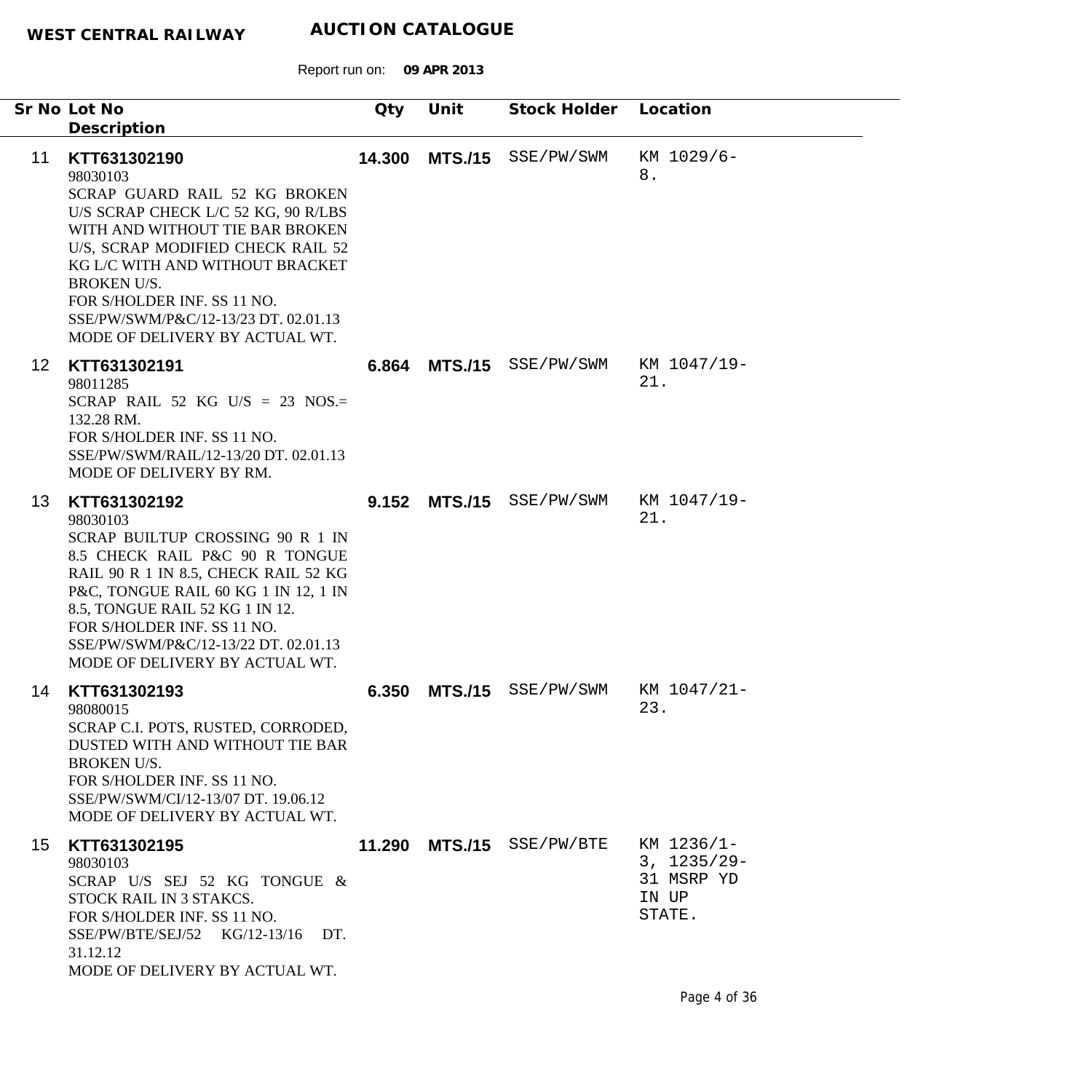| SCRAP GUARD RAIL 52 KG BROKEN<br>U/S SCRAP CHECK L/C 52 KG, 90 R/LBS<br>WITH AND WITHOUT TIE BAR BROKEN<br>U/S, SCRAP MODIFIED CHECK RAIL 52<br>KG L/C WITH AND WITHOUT BRACKET<br>FOR S/HOLDER INF. SS 11 NO.<br>SSE/PW/SWM/P&C/12-13/23 DT. 02.01.13<br>MODE OF DELIVERY BY ACTUAL WT.       |                |                                                     | KM 1029/6-<br>8.                                                                                              |
|------------------------------------------------------------------------------------------------------------------------------------------------------------------------------------------------------------------------------------------------------------------------------------------------|----------------|-----------------------------------------------------|---------------------------------------------------------------------------------------------------------------|
| SCRAP RAIL 52 KG U/S = 23 NOS.=<br>FOR S/HOLDER INF. SS 11 NO.<br>SSE/PW/SWM/RAIL/12-13/20 DT. 02.01.13<br>MODE OF DELIVERY BY RM.                                                                                                                                                             |                |                                                     | KM 1047/19-<br>21.                                                                                            |
| SCRAP BUILTUP CROSSING 90 R 1 IN<br>8.5 CHECK RAIL P&C 90 R TONGUE<br>RAIL 90 R 1 IN 8.5, CHECK RAIL 52 KG<br>P&C, TONGUE RAIL 60 KG 1 IN 12, 1 IN<br>8.5, TONGUE RAIL 52 KG 1 IN 12.<br>FOR S/HOLDER INF. SS 11 NO.<br>SSE/PW/SWM/P&C/12-13/22 DT. 02.01.13<br>MODE OF DELIVERY BY ACTUAL WT. |                |                                                     | KM 1047/19-<br>21.                                                                                            |
| SCRAP C.I. POTS, RUSTED, CORRODED,<br>DUSTED WITH AND WITHOUT TIE BAR<br>FOR S/HOLDER INF. SS 11 NO.<br>SSE/PW/SWM/CI/12-13/07 DT. 19.06.12<br>MODE OF DELIVERY BY ACTUAL WT.                                                                                                                  | <b>MTS./15</b> | SSE/PW/SWM                                          | KM 1047/21-<br>23                                                                                             |
| SCRAP U/S SEJ 52 KG TONGUE &<br>STOCK RAIL IN 3 STAKCS.<br>FOR S/HOLDER INF. SS 11 NO.<br>$SSE/PW/BTE/SEJ/52$ $KG/12-13/16$<br>DT.<br>MODE OF DELIVERY BY ACTUAL WT.                                                                                                                           |                |                                                     | KM 1236/1-<br>$3, 1235/29 -$<br>31 MSRP YD<br>IN UP<br>STATE.                                                 |
|                                                                                                                                                                                                                                                                                                | Qty            | Unit<br>14.300<br>6.864<br>9.152<br>6.350<br>11.290 | Stock Holder Location<br>MTS./15 SSE/PW/SWM<br>MTS./15 SSE/PW/SWM<br>MTS./15 SSE/PW/SWM<br>MTS./15 SSE/PW/BTE |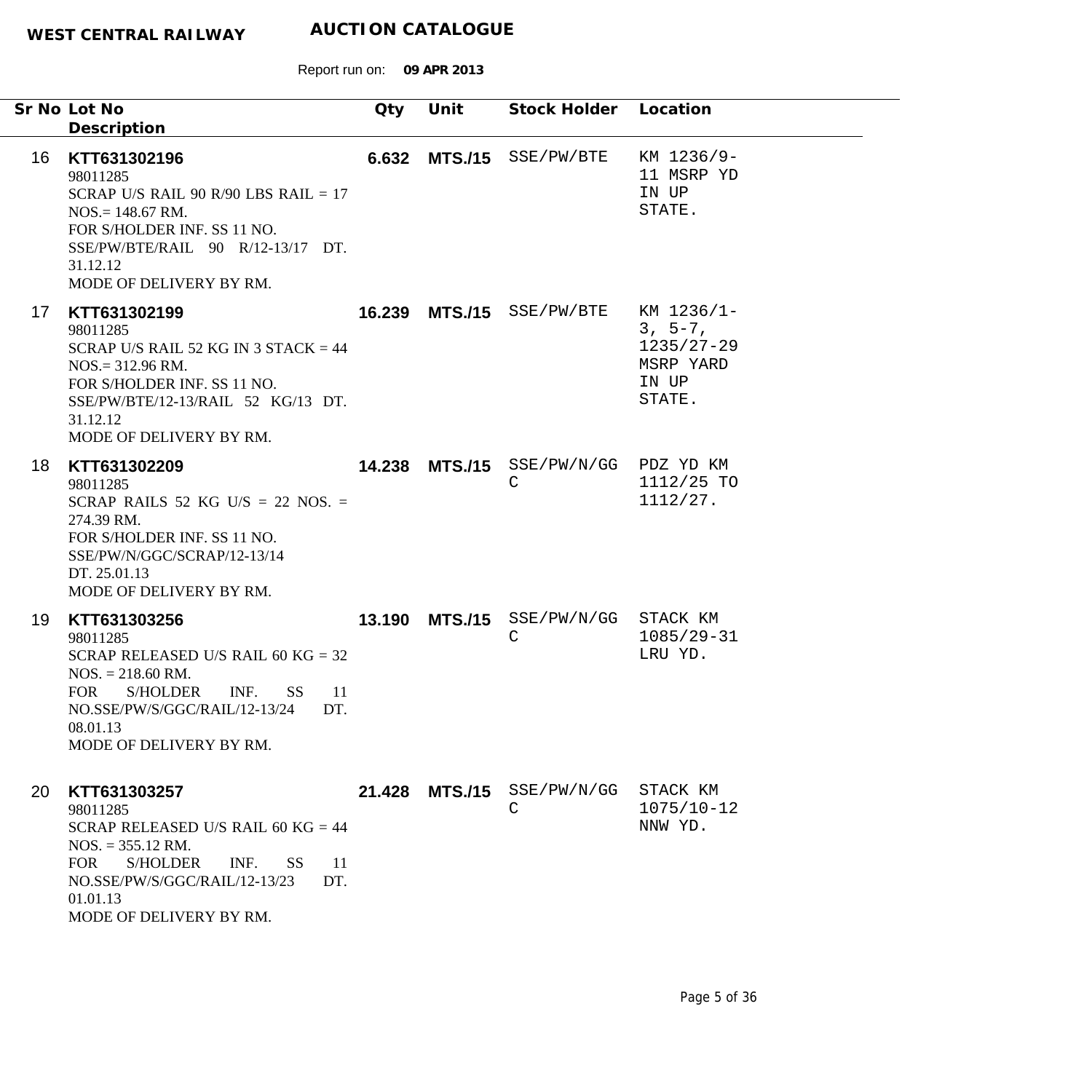|    | Sr No Lot No<br>Description                                                                                                                                                                                                                   | Qty | Unit           | Stock Holder Location                     |                                                                           |
|----|-----------------------------------------------------------------------------------------------------------------------------------------------------------------------------------------------------------------------------------------------|-----|----------------|-------------------------------------------|---------------------------------------------------------------------------|
| 16 | KTT631302196<br>98011285<br>SCRAP U/S RAIL 90 R/90 LBS RAIL $= 17$<br>$NOS = 148.67$ RM.<br>FOR S/HOLDER INF. SS 11 NO.<br>SSE/PW/BTE/RAIL 90 R/12-13/17 DT.<br>31.12.12<br>MODE OF DELIVERY BY RM.                                           |     |                | 6.632 MTS./15 SSE/PW/BTE                  | KM 1236/9-<br>11 MSRP YD<br>IN UP<br>STATE.                               |
| 17 | KTT631302199<br>98011285<br>SCRAP U/S RAIL 52 KG IN 3 STACK $=$ 44<br>$NOS = 312.96$ RM.<br>FOR S/HOLDER INF. SS 11 NO.<br>SSE/PW/BTE/12-13/RAIL 52 KG/13 DT.<br>31.12.12<br>MODE OF DELIVERY BY RM.                                          |     |                | 16.239 MTS./15 SSE/PW/BTE                 | KM 1236/1-<br>$3, 5-7,$<br>$1235/27 - 29$<br>MSRP YARD<br>IN UP<br>STATE. |
| 18 | KTT631302209<br>98011285<br>SCRAP RAILS 52 KG U/S = 22 NOS. =<br>274.39 RM.<br>FOR S/HOLDER INF. SS 11 NO.<br>SSE/PW/N/GGC/SCRAP/12-13/14<br>DT. 25.01.13<br>MODE OF DELIVERY BY RM.                                                          |     | 14.238 MTS./15 | SSE/PW/N/GG PDZ YD KM<br>$\mathsf C$      | 1112/25 TO<br>1112/27.                                                    |
| 19 | KTT631303256<br>98011285<br>SCRAP RELEASED U/S RAIL 60 KG = $32$<br>$NOS. = 218.60 \text{ RM}.$<br>INF.<br><b>FOR</b><br>S/HOLDER<br><b>SS</b><br>-11<br>NO.SSE/PW/S/GGC/RAIL/12-13/24 DT.<br>08.01.13<br>MODE OF DELIVERY BY RM.             |     |                | 13.190 MTS./15 SSE/PW/N/GG<br>$\mathsf C$ | STACK KM<br>$1085/29 - 31$<br>LRU YD.                                     |
| 20 | KTT631303257<br>98011285<br>SCRAP RELEASED U/S RAIL 60 KG = $44$<br>$NOS. = 355.12$ RM.<br><b>FOR</b><br><b>S/HOLDER</b><br>INF.<br><b>SS</b><br><sup>11</sup><br>NO.SSE/PW/S/GGC/RAIL/12-13/23<br>DT.<br>01.01.13<br>MODE OF DELIVERY BY RM. |     | 21.428 MTS./15 | SSE/PW/N/GG<br>C                          | STACK KM<br>$1075/10 - 12$<br>NNW YD.                                     |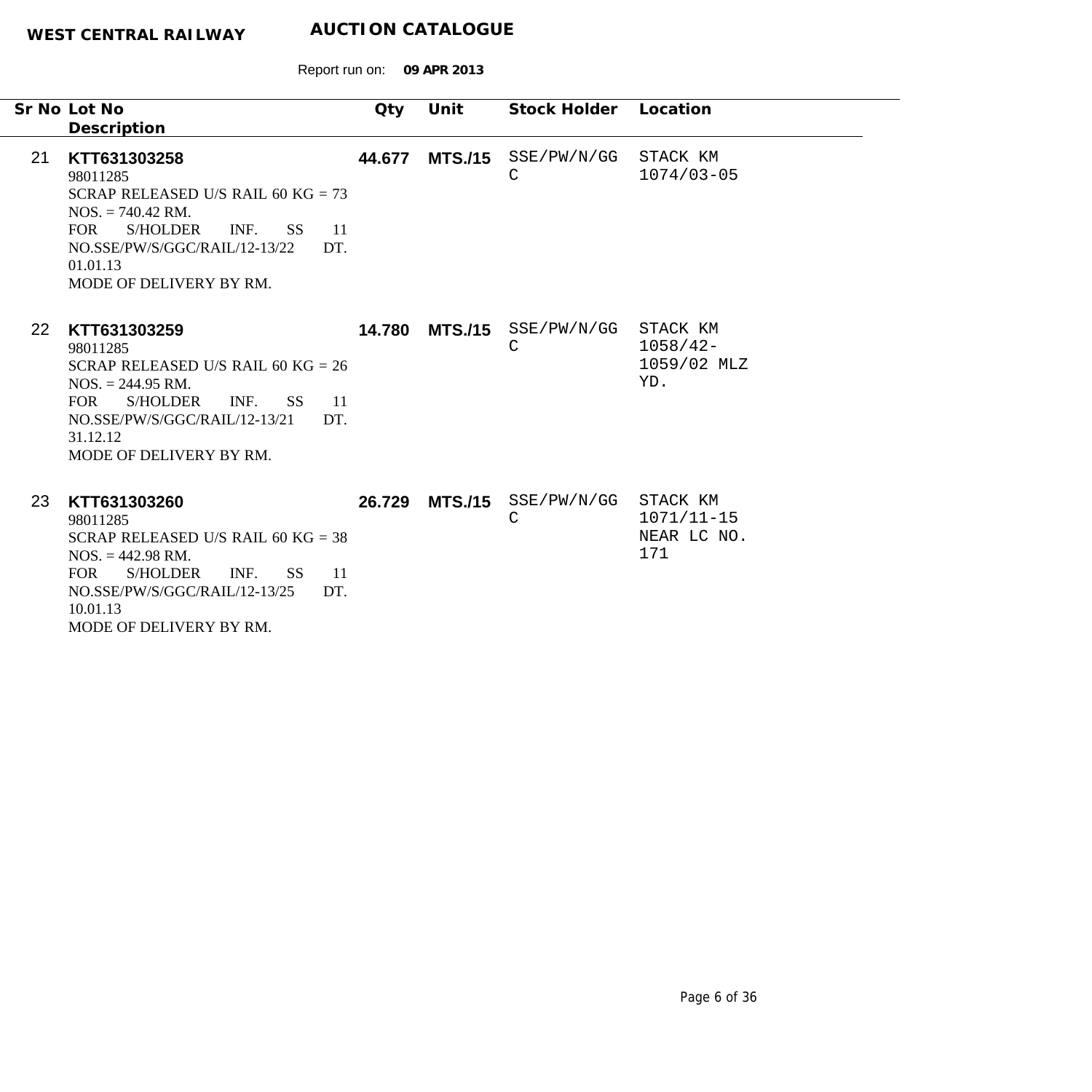|           | Sr No Lot No<br>Description                                                                                                                                                                                                                      | Qty    | Unit           | Stock Holder               | Location                                         |
|-----------|--------------------------------------------------------------------------------------------------------------------------------------------------------------------------------------------------------------------------------------------------|--------|----------------|----------------------------|--------------------------------------------------|
| 21        | KTT631303258<br>98011285<br>SCRAP RELEASED U/S RAIL 60 KG = $73$<br>$NOS. = 740.42 \text{ RM}.$<br><b>S/HOLDER</b><br><b>FOR</b><br>INF.<br><b>SS</b><br>-11<br>NO.SSE/PW/S/GGC/RAIL/12-13/22<br>DT.<br>01.01.13<br>MODE OF DELIVERY BY RM.      | 44.677 | <b>MTS./15</b> | SSE/PW/N/GG<br>$\mathsf C$ | STACK KM<br>$1074/03 - 05$                       |
| <b>22</b> | KTT631303259<br>98011285<br>SCRAP RELEASED U/S RAIL 60 KG = $26$<br>$NOS. = 244.95 \text{ RM}.$<br><b>FOR</b><br><b>S/HOLDER</b><br>INF.<br>SS <sup>1</sup><br>11<br>NO.SSE/PW/S/GGC/RAIL/12-13/21<br>DT.<br>31.12.12<br>MODE OF DELIVERY BY RM. | 14.780 | <b>MTS./15</b> | SSE/PW/N/GG<br>C           | STACK KM<br>$1058/42 -$<br>1059/02 MLZ<br>YD.    |
| 23        | KTT631303260<br>98011285<br>SCRAP RELEASED U/S RAIL 60 KG = $38$<br>$NOS. = 442.98 \text{ RM}.$<br><b>FOR</b><br><b>S/HOLDER</b><br>INF.<br>SS.<br>11<br>NO.SSE/PW/S/GGC/RAIL/12-13/25<br>DT.<br>10.01.13<br>MODE OF DELIVERY BY RM.             | 26.729 | <b>MTS./15</b> | SSE/PW/N/GG<br>С           | STACK KM<br>$1071/11 - 15$<br>NEAR LC NO.<br>171 |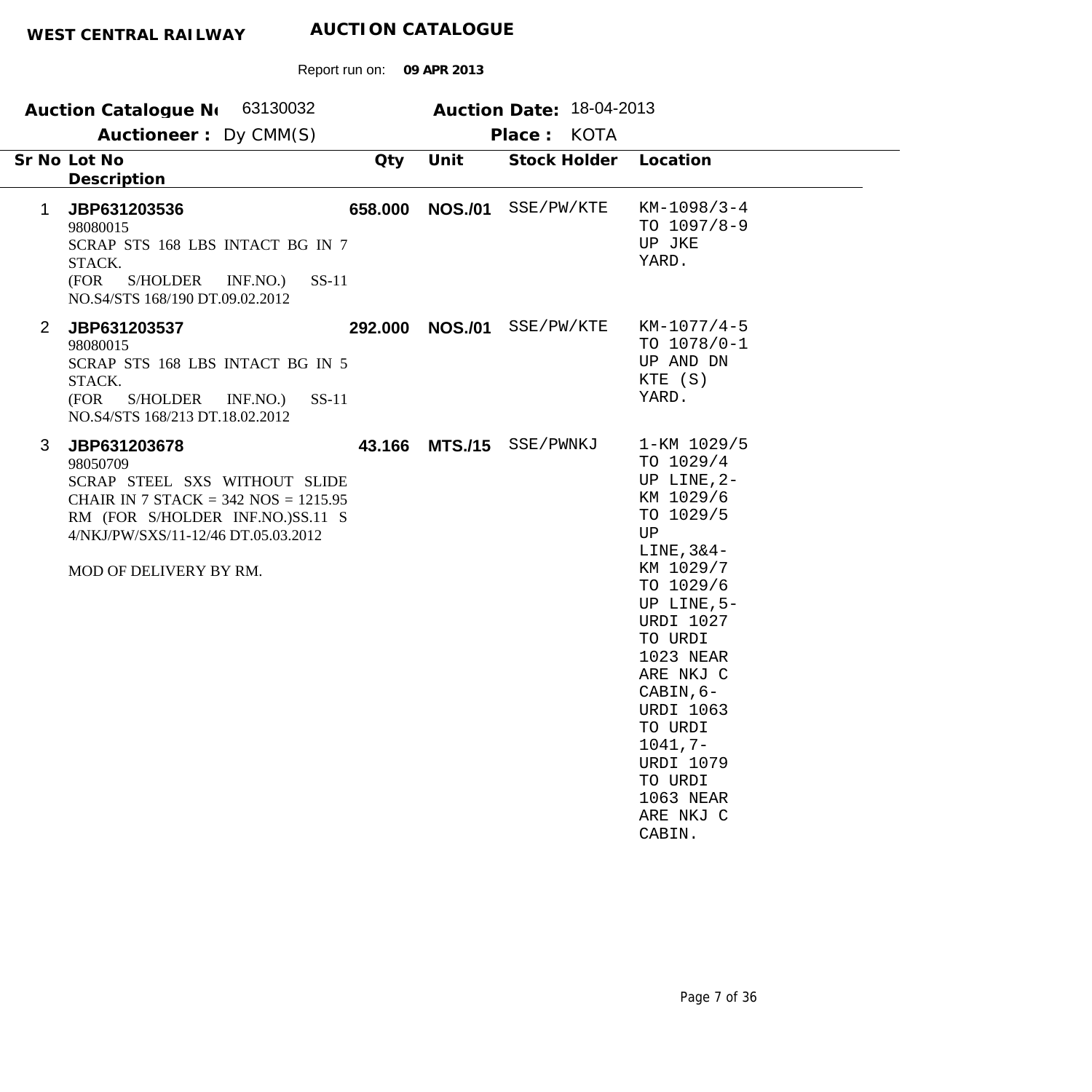|                | Auction Catalogue N 63130032                                                                                                                                                                               |         |                | Auction Date: 18-04-2013 |                                                                                                                                                                                                                                                                                                                        |  |
|----------------|------------------------------------------------------------------------------------------------------------------------------------------------------------------------------------------------------------|---------|----------------|--------------------------|------------------------------------------------------------------------------------------------------------------------------------------------------------------------------------------------------------------------------------------------------------------------------------------------------------------------|--|
|                | Auctioneer: Dy CMM(S)                                                                                                                                                                                      |         |                | Place: KOTA              |                                                                                                                                                                                                                                                                                                                        |  |
|                | Sr No Lot No<br>Description                                                                                                                                                                                | Qty     | Unit           | Stock Holder             | Location                                                                                                                                                                                                                                                                                                               |  |
| 1              | JBP631203536<br>98080015<br>SCRAP STS 168 LBS INTACT BG IN 7<br>STACK.<br>(FOR<br>S/HOLDER INF.NO.)<br>$SS-11$<br>NO.S4/STS 168/190 DT.09.02.2012                                                          | 658.000 | <b>NOS./01</b> | SSE/PW/KTE               | $KM-1098/3-4$<br>TO $1097/8-9$<br>UP JKE<br>YARD.                                                                                                                                                                                                                                                                      |  |
| $\overline{2}$ | JBP631203537<br>98080015<br>SCRAP STS 168 LBS INTACT BG IN 5<br>STACK.<br>$SS-11$<br>(FOR<br>S/HOLDER INF.NO.)<br>NO.S4/STS 168/213 DT.18.02.2012                                                          | 292.000 |                | NOS./01 SSE/PW/KTE       | $KM-1077/4-5$<br>TO $1078/0-1$<br>UP AND DN<br>KTE (S)<br>YARD.                                                                                                                                                                                                                                                        |  |
| 3              | JBP631203678<br>98050709<br>SCRAP STEEL SXS WITHOUT SLIDE<br>CHAIR IN 7 STACK = $342$ NOS = $1215.95$<br>RM (FOR S/HOLDER INF.NO.)SS.11 S<br>4/NKJ/PW/SXS/11-12/46 DT.05.03.2012<br>MOD OF DELIVERY BY RM. | 43.166  | <b>MTS./15</b> | SSE/PWNKJ                | 1-KM 1029/5<br>TO 1029/4<br>UP LINE, 2-<br>KM 1029/6<br>TO 1029/5<br>UP<br>LINE, $3&4-$<br>KM 1029/7<br>TO 1029/6<br>UP LINE, 5-<br><b>URDI 1027</b><br>TO URDI<br>1023 NEAR<br>ARE NKJ C<br>CABIN, 6-<br><b>URDI 1063</b><br>TO URDI<br>$1041, 7-$<br><b>URDI 1079</b><br>TO URDI<br>1063 NEAR<br>ARE NKJ C<br>CABIN. |  |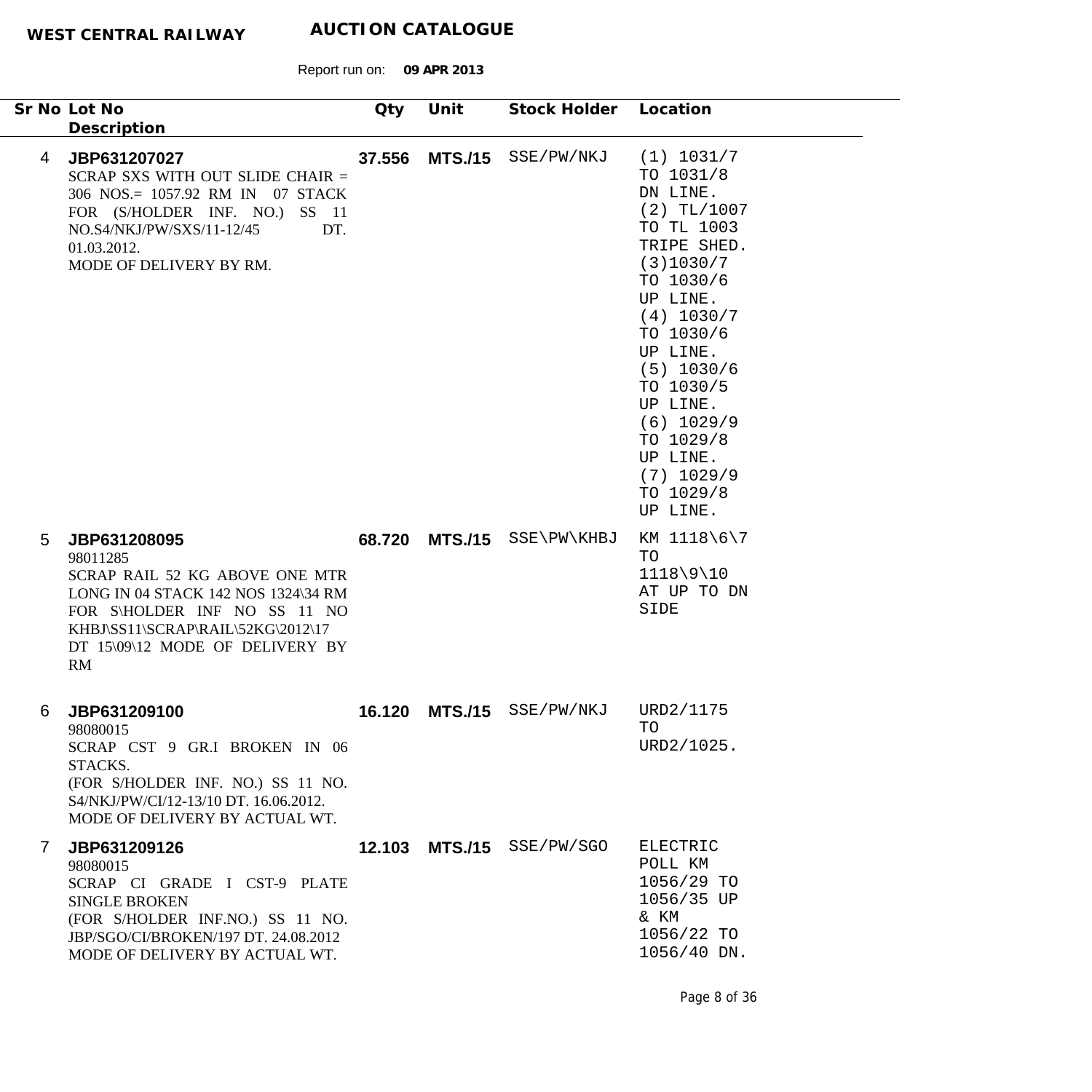$\overline{\phantom{a}}$ 

|                | Sr No Lot No<br>Description                                                                                                                                                                                     | Qty    | Unit | Stock Holder Location      |                                                                                                                                                                                                                                                                                           |
|----------------|-----------------------------------------------------------------------------------------------------------------------------------------------------------------------------------------------------------------|--------|------|----------------------------|-------------------------------------------------------------------------------------------------------------------------------------------------------------------------------------------------------------------------------------------------------------------------------------------|
| 4              | JBP631207027<br>SCRAP SXS WITH OUT SLIDE CHAIR =<br>306 NOS.= 1057.92 RM IN 07 STACK<br>FOR (S/HOLDER INF. NO.)<br>$SS$ 11<br>NO.S4/NKJ/PW/SXS/11-12/45<br>DT.<br>01.03.2012.<br>MODE OF DELIVERY BY RM.        | 37.556 |      | MTS./15 SSE/PW/NKJ         | (1) 1031/7<br>TO 1031/8<br>DN LINE.<br>$(2)$ TL/1007<br>TO TL 1003<br>TRIPE SHED.<br>(3)1030/7<br>TO 1030/6<br>UP LINE.<br>(4) 1030/7<br>TO 1030/6<br>UP LINE.<br>$(5)$ 1030/6<br>TO 1030/5<br>UP LINE.<br>$(6)$ 1029/9<br>TO 1029/8<br>UP LINE.<br>$(7)$ 1029/9<br>TO 1029/8<br>UP LINE. |
| 5              | JBP631208095<br>98011285<br>SCRAP RAIL 52 KG ABOVE ONE MTR<br>LONG IN 04 STACK 142 NOS 1324\34 RM<br>FOR S\HOLDER INF NO SS 11 NO<br>KHBJ\SS11\SCRAP\RAIL\52KG\2012\17<br>DT 15\09\12 MODE OF DELIVERY BY<br>RM |        |      | 68.720 MTS./15 SSE\PW\KHBJ | KM 1118\6\7<br>TO<br>$1118\9\10$<br>AT UP TO DN<br>SIDE                                                                                                                                                                                                                                   |
| 6              | JBP631209100<br>98080015<br>SCRAP CST 9 GR.I BROKEN IN 06<br>STACKS.<br>(FOR S/HOLDER INF. NO.) SS 11 NO.<br>S4/NKJ/PW/CI/12-13/10 DT. 16.06.2012.<br>MODE OF DELIVERY BY ACTUAL WT.                            |        |      | 16.120 MTS./15 SSE/PW/NKJ  | URD2/1175<br>TO<br>URD2/1025.                                                                                                                                                                                                                                                             |
| $\overline{7}$ | JBP631209126<br>98080015<br>SCRAP CI GRADE I CST-9 PLATE<br><b>SINGLE BROKEN</b><br>(FOR S/HOLDER INF.NO.) SS 11 NO.<br>JBP/SGO/CI/BROKEN/197 DT. 24.08.2012<br>MODE OF DELIVERY BY ACTUAL WT.                  |        |      | 12.103 MTS./15 SSE/PW/SGO  | <b>ELECTRIC</b><br>POLL KM<br>1056/29 TO<br>1056/35 UP<br>& KM<br>1056/22 TO<br>1056/40 DN.                                                                                                                                                                                               |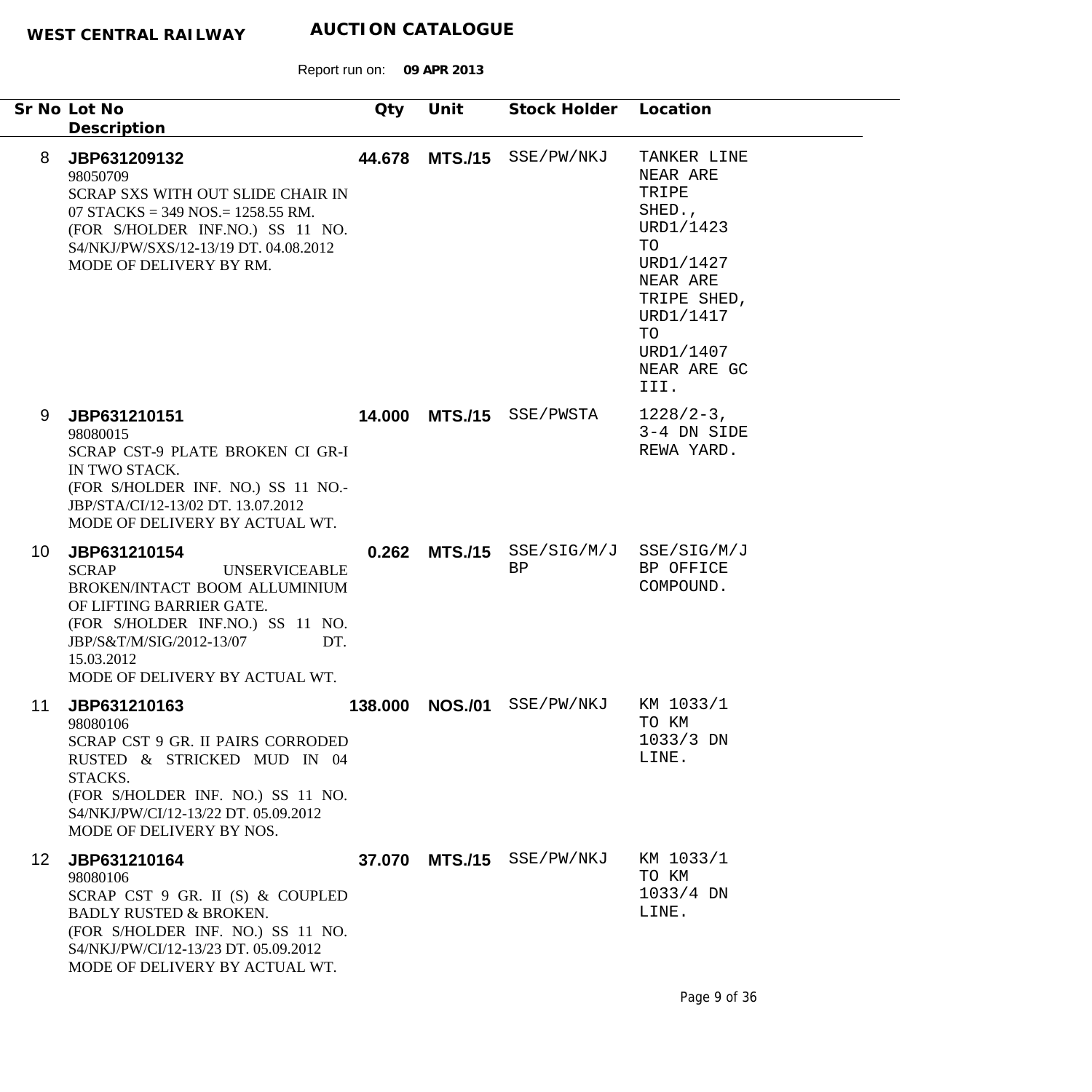|    |                 | Sr No Lot No<br>Description                                                                                                                                                                                                              | Qty     | Unit           | Stock Holder Location     |                                                                                                                                                              |
|----|-----------------|------------------------------------------------------------------------------------------------------------------------------------------------------------------------------------------------------------------------------------------|---------|----------------|---------------------------|--------------------------------------------------------------------------------------------------------------------------------------------------------------|
|    | 8               | JBP631209132<br>98050709<br>SCRAP SXS WITH OUT SLIDE CHAIR IN<br>07 STACKS = 349 NOS. = 1258.55 RM.<br>(FOR S/HOLDER INF.NO.) SS 11 NO.<br>S4/NKJ/PW/SXS/12-13/19 DT. 04.08.2012<br>MODE OF DELIVERY BY RM.                              | 44.678  | <b>MTS./15</b> | SSE/PW/NKJ                | TANKER LINE<br>NEAR ARE<br>TRIPE<br>SHED.,<br>URD1/1423<br>TO<br>URD1/1427<br>NEAR ARE<br>TRIPE SHED,<br>URD1/1417<br>TO<br>URD1/1407<br>NEAR ARE GC<br>III. |
|    | 9               | JBP631210151<br>98080015<br>SCRAP CST-9 PLATE BROKEN CI GR-I<br>IN TWO STACK.<br>(FOR S/HOLDER INF. NO.) SS 11 NO.-<br>JBP/STA/CI/12-13/02 DT. 13.07.2012<br>MODE OF DELIVERY BY ACTUAL WT.                                              | 14.000  | <b>MTS./15</b> | SSE/PWSTA                 | $1228/2-3$ ,<br>3-4 DN SIDE<br>REWA YARD.                                                                                                                    |
|    | 10              | JBP631210154<br><b>SCRAP</b><br><b>UNSERVICEABLE</b><br>BROKEN/INTACT BOOM ALLUMINIUM<br>OF LIFTING BARRIER GATE.<br>(FOR S/HOLDER INF.NO.) SS 11 NO.<br>JBP/S&T/M/SIG/2012-13/07<br>DT.<br>15.03.2012<br>MODE OF DELIVERY BY ACTUAL WT. | 0.262   | <b>MTS./15</b> | SSE/SIG/M/J<br>BP         | SSE/SIG/M/J<br>BP OFFICE<br>COMPOUND.                                                                                                                        |
| 11 |                 | JBP631210163<br>98080106<br><b>SCRAP CST 9 GR. II PAIRS CORRODED</b><br>RUSTED & STRICKED MUD IN 04<br>STACKS.<br>(FOR S/HOLDER INF. NO.) SS 11 NO.<br>S4/NKJ/PW/CI/12-13/22 DT. 05.09.2012<br>MODE OF DELIVERY BY NOS.                  | 138.000 | <b>NOS./01</b> | SSE/PW/NKJ                | KM 1033/1<br>TO KM<br>$1033/3$ DN<br>LINE.                                                                                                                   |
|    | 12 <sup>1</sup> | JBP631210164<br>98080106<br>SCRAP CST 9 GR. II (S) & COUPLED<br><b>BADLY RUSTED &amp; BROKEN.</b><br>(FOR S/HOLDER INF. NO.) SS 11 NO.<br>S4/NKJ/PW/CI/12-13/23 DT. 05.09.2012<br>MODE OF DELIVERY BY ACTUAL WT.                         |         |                | 37.070 MTS./15 SSE/PW/NKJ | KM 1033/1<br>TO KM<br>$1033/4$ DN<br>LINE.                                                                                                                   |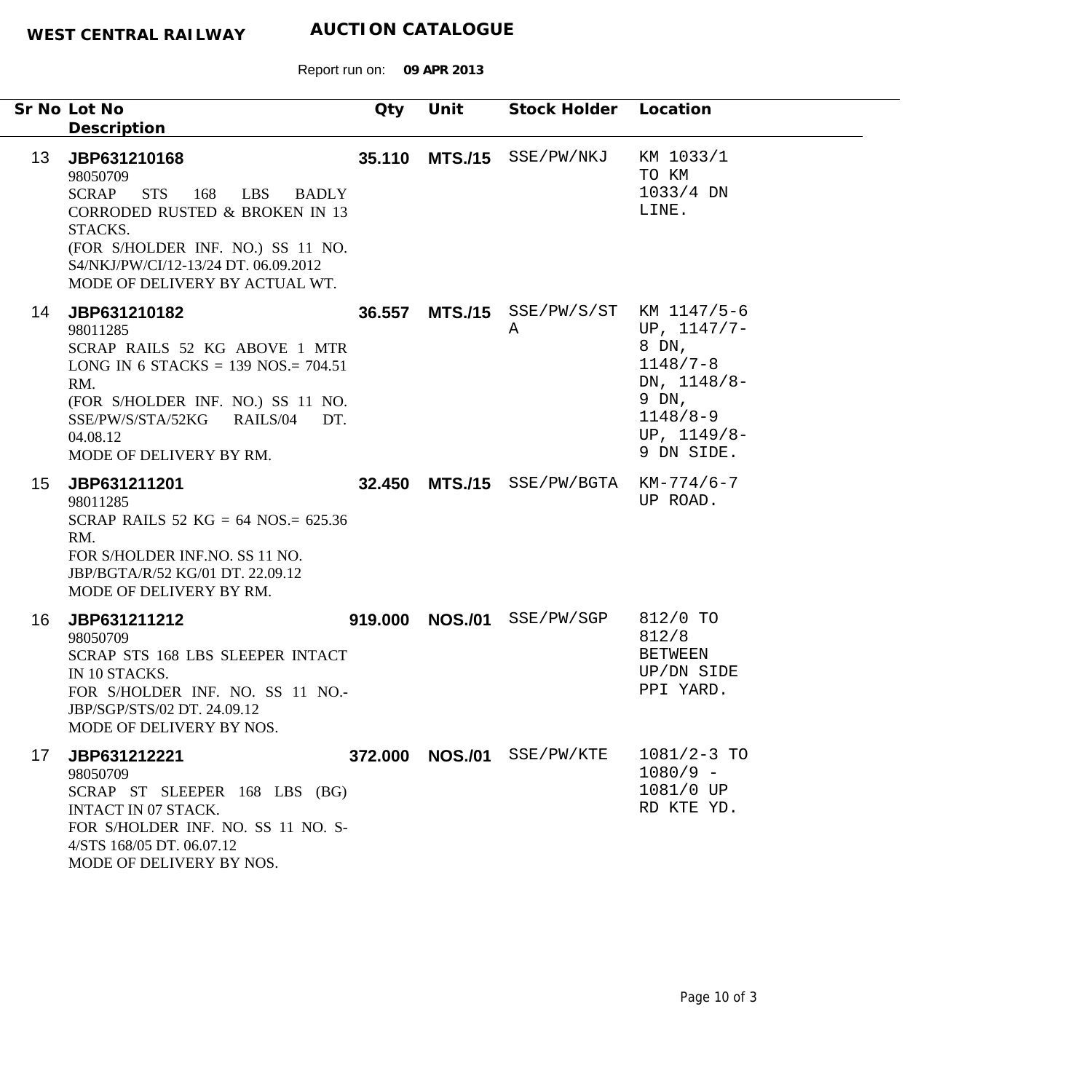|                 | Sr No Lot No                                                                                                                                                                                                                                         | Qty | Unit            | Stock Holder Location                       |                                                                                                               |
|-----------------|------------------------------------------------------------------------------------------------------------------------------------------------------------------------------------------------------------------------------------------------------|-----|-----------------|---------------------------------------------|---------------------------------------------------------------------------------------------------------------|
|                 | Description                                                                                                                                                                                                                                          |     |                 |                                             |                                                                                                               |
| 13 <sup>°</sup> | JBP631210168<br>98050709<br>SCRAP<br><b>STS</b><br>168<br>LBS<br><b>BADLY</b><br><b>CORRODED RUSTED &amp; BROKEN IN 13</b><br>STACKS.<br>(FOR S/HOLDER INF. NO.) SS 11 NO.<br>S4/NKJ/PW/CI/12-13/24 DT. 06.09.2012<br>MODE OF DELIVERY BY ACTUAL WT. |     |                 | 35.110 MTS./15 SSE/PW/NKJ                   | KM 1033/1<br>TO KM<br>$1033/4$ DN<br>LINE.                                                                    |
| 14              | JBP631210182<br>98011285<br>SCRAP RAILS 52 KG ABOVE 1 MTR<br>LONG IN 6 STACKS = 139 NOS = $704.51$<br>RM.<br>(FOR S/HOLDER INF. NO.) SS 11 NO.<br>SSE/PW/S/STA/52KG RAILS/04<br>DT.<br>04.08.12<br>MODE OF DELIVERY BY RM.                           |     |                 | 36.557 MTS./15 SSE/PW/S/ST KM 1147/5-6<br>Α | UP, $1147/7-$<br>8 DN,<br>$1148/7 - 8$<br>DN, 1148/8-<br>9 DN,<br>$1148/8 - 9$<br>UP, $1149/8-$<br>9 DN SIDE. |
| 15              | JBP631211201<br>98011285<br>SCRAP RAILS 52 KG = 64 NOS. = $625.36$<br>RM.<br>FOR S/HOLDER INF.NO. SS 11 NO.<br>JBP/BGTA/R/52 KG/01 DT. 22.09.12<br>MODE OF DELIVERY BY RM.                                                                           |     |                 | 32.450 MTS./15 SSE/PW/BGTA                  | $KM-774/6-7$<br>UP ROAD.                                                                                      |
| 16              | JBP631211212<br>98050709<br>SCRAP STS 168 LBS SLEEPER INTACT<br>IN 10 STACKS.<br>FOR S/HOLDER INF. NO. SS 11 NO.-<br>JBP/SGP/STS/02 DT. 24.09.12<br>MODE OF DELIVERY BY NOS.                                                                         |     | 919.000 NOS./01 | SSE/PW/SGP                                  | 812/0 TO<br>812/8<br><b>BETWEEN</b><br>UP/DN SIDE<br>PPI YARD.                                                |
| 17              | JBP631212221<br>98050709<br>SCRAP ST SLEEPER 168 LBS (BG)<br>INTACT IN 07 STACK.<br>FOR S/HOLDER INF. NO. SS 11 NO. S-<br>4/STS 168/05 DT. 06.07.12<br>MODE OF DELIVERY BY NOS.                                                                      |     |                 | 372.000 NOS./01 SSE/PW/KTE                  | $1081/2 - 3$ TO<br>$1080/9 -$<br>1081/0 UP<br>RD KTE YD.                                                      |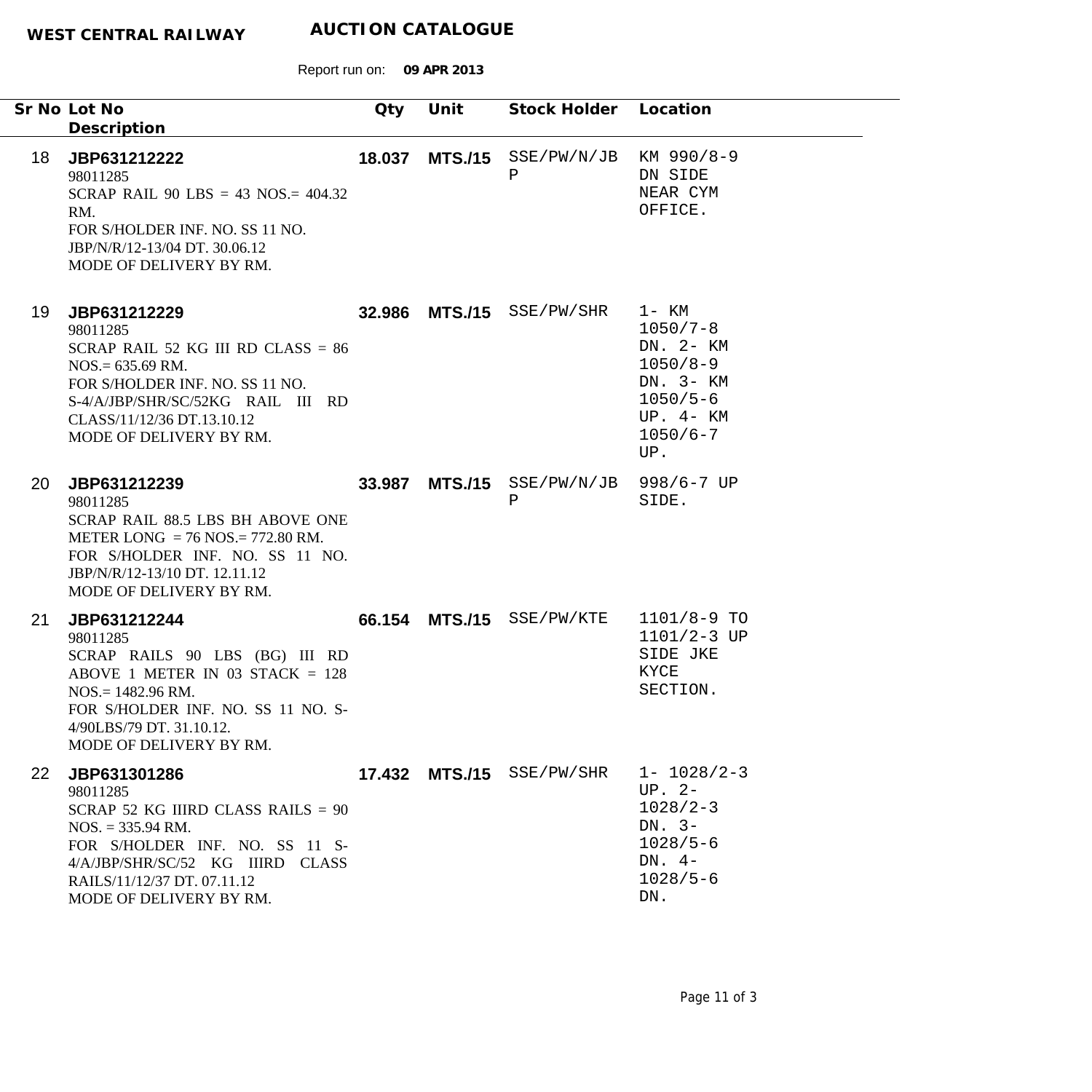|    | Sr No Lot No<br>Description                                                                                                                                                                                                     | Qty    | Unit           | Stock Holder Location      |                                                                                                                     |
|----|---------------------------------------------------------------------------------------------------------------------------------------------------------------------------------------------------------------------------------|--------|----------------|----------------------------|---------------------------------------------------------------------------------------------------------------------|
| 18 | JBP631212222<br>98011285<br>SCRAP RAIL 90 LBS = 43 NOS. = $404.32$<br>RM.<br>FOR S/HOLDER INF. NO. SS 11 NO.<br>JBP/N/R/12-13/04 DT. 30.06.12<br>MODE OF DELIVERY BY RM.                                                        | 18.037 |                | $MTS./15$ SSE/PW/N/JB<br>Ρ | KM 990/8-9<br>DN SIDE<br>NEAR CYM<br>OFFICE.                                                                        |
| 19 | JBP631212229<br>98011285<br>SCRAP RAIL 52 KG III RD CLASS = $86$<br>$NOS = 635.69$ RM.<br>FOR S/HOLDER INF. NO. SS 11 NO.<br>S-4/A/JBP/SHR/SC/52KG RAIL III RD<br>CLASS/11/12/36 DT.13.10.12<br>MODE OF DELIVERY BY RM.         |        |                | 32.986 MTS./15 SSE/PW/SHR  | 1- KM<br>$1050/7 - 8$<br>DN. 2- KM<br>$1050/8 - 9$<br>DN. 3- KM<br>$1050/5 - 6$<br>UP. 4- KM<br>$1050/6 - 7$<br>UP. |
| 20 | JBP631212239<br>98011285<br>SCRAP RAIL 88.5 LBS BH ABOVE ONE<br>METER LONG = $76$ NOS. = $772.80$ RM.<br>FOR S/HOLDER INF. NO. SS 11 NO.<br>JBP/N/R/12-13/10 DT. 12.11.12<br>MODE OF DELIVERY BY RM.                            | 33.987 | <b>MTS./15</b> | SSE/PW/N/JB<br>Ρ           | $998/6 - 7$ UP<br>SIDE.                                                                                             |
| 21 | JBP631212244<br>98011285<br>SCRAP RAILS 90 LBS (BG) III RD<br>ABOVE 1 METER IN 03 STACK $= 128$<br>$NOS = 1482.96$ RM.<br>FOR S/HOLDER INF. NO. SS 11 NO. S-<br>4/90LBS/79 DT. 31.10.12.<br>MODE OF DELIVERY BY RM.             |        |                | 66.154 MTS./15 SSE/PW/KTE  | $1101/8-9$ TO<br>$1101/2 - 3 UP$<br>SIDE JKE<br>KYCE<br>SECTION.                                                    |
| 22 | JBP631301286<br>98011285<br>SCRAP 52 KG IIIRD CLASS RAILS = $90$<br>$NOS. = 335.94 \text{ RM}.$<br>FOR S/HOLDER INF. NO. SS 11 S-<br>4/A/JBP/SHR/SC/52 KG IIIRD CLASS<br>RAILS/11/12/37 DT. 07.11.12<br>MODE OF DELIVERY BY RM. |        |                | 17.432 MTS./15 SSE/PW/SHR  | $1 - 1028/2 - 3$<br>$UP. 2-$<br>$1028/2 - 3$<br>DN. $3-$<br>$1028/5 - 6$<br>DN. $4-$<br>$1028/5 - 6$<br>DN.         |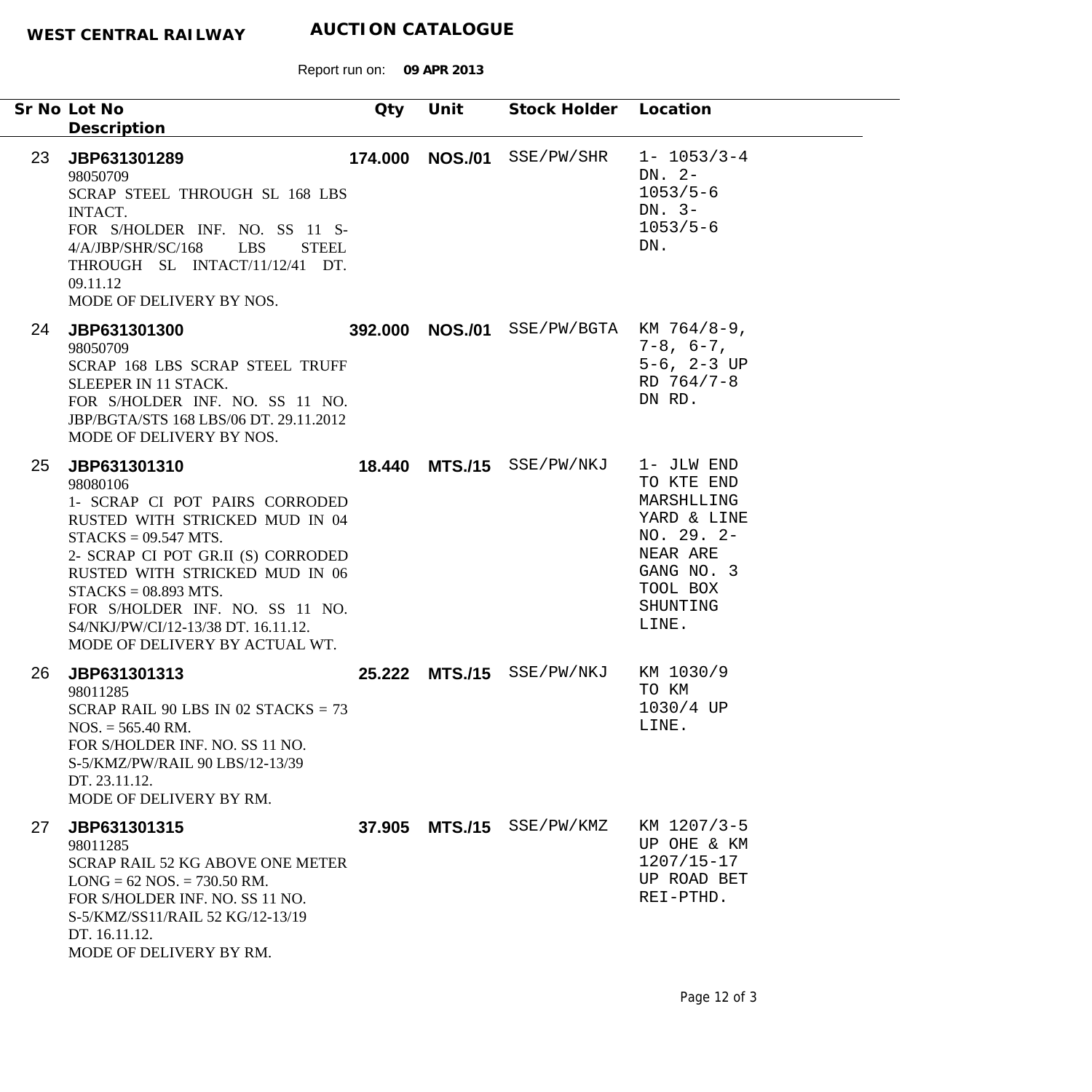|    | Sr No Lot No<br>Description                                                                                                                                                                                                                                                                                                          | Qty | Unit            | Stock Holder Location                   |                                                                                                                                |
|----|--------------------------------------------------------------------------------------------------------------------------------------------------------------------------------------------------------------------------------------------------------------------------------------------------------------------------------------|-----|-----------------|-----------------------------------------|--------------------------------------------------------------------------------------------------------------------------------|
| 23 | JBP631301289<br>98050709<br>SCRAP STEEL THROUGH SL 168 LBS<br><b>INTACT.</b><br>FOR S/HOLDER INF. NO. SS 11 S-<br>LBS<br>4/A/JBP/SHR/SC/168<br><b>STEEL</b><br>THROUGH SL INTACT/11/12/41 DT.<br>09.11.12<br>MODE OF DELIVERY BY NOS.                                                                                                |     | 174.000 NOS./01 | SSE/PW/SHR                              | $1 - 1053/3 - 4$<br>DN. $2-$<br>$1053/5 - 6$<br>DN. $3-$<br>$1053/5 - 6$<br>DN.                                                |
| 24 | JBP631301300<br>98050709<br>SCRAP 168 LBS SCRAP STEEL TRUFF<br>SLEEPER IN 11 STACK.<br>FOR S/HOLDER INF. NO. SS 11 NO.<br>JBP/BGTA/STS 168 LBS/06 DT. 29.11.2012<br>MODE OF DELIVERY BY NOS.                                                                                                                                         |     |                 | 392.000 NOS./01 SSE/PW/BGTA KM 764/8-9, | $7 - 8$ , $6 - 7$ ,<br>$5-6$ , $2-3$ UP<br>RD 764/7-8<br>DN RD.                                                                |
| 25 | JBP631301310<br>98080106<br>1- SCRAP CI POT PAIRS CORRODED<br>RUSTED WITH STRICKED MUD IN 04<br>$STACKS = 09.547 MTS.$<br>2- SCRAP CI POT GR.II (S) CORRODED<br>RUSTED WITH STRICKED MUD IN 06<br>$STACKS = 08.893 MTS.$<br>FOR S/HOLDER INF. NO. SS 11 NO.<br>S4/NKJ/PW/CI/12-13/38 DT. 16.11.12.<br>MODE OF DELIVERY BY ACTUAL WT. |     |                 | 18.440 MTS./15 SSE/PW/NKJ               | 1- JLW END<br>TO KTE END<br>MARSHLLING<br>YARD & LINE<br>NO. 29. 2-<br>NEAR ARE<br>GANG NO. 3<br>TOOL BOX<br>SHUNTING<br>LINE. |
| 26 | JBP631301313<br>98011285<br>SCRAP RAIL 90 LBS IN 02 STACKS = $73$<br>$NOS. = 565.40 \text{ RM}.$<br>FOR S/HOLDER INF. NO. SS 11 NO.<br>S-5/KMZ/PW/RAIL 90 LBS/12-13/39<br>DT. 23.11.12.<br>MODE OF DELIVERY BY RM.                                                                                                                   |     |                 | 25.222 MTS./15 SSE/PW/NKJ               | KM 1030/9<br>TO KM<br>1030/4 UP<br>LINE.                                                                                       |
| 27 | JBP631301315<br>98011285<br><b>SCRAP RAIL 52 KG ABOVE ONE METER</b><br>$LONG = 62 NOS. = 730.50 RM.$<br>FOR S/HOLDER INF. NO. SS 11 NO.<br>S-5/KMZ/SS11/RAIL 52 KG/12-13/19<br>DT. 16.11.12.<br>MODE OF DELIVERY BY RM.                                                                                                              |     |                 | 37.905 MTS./15 SSE/PW/KMZ               | KM 1207/3-5<br>UP OHE & KM<br>$1207/15 - 17$<br>UP ROAD BET<br>REI-PTHD.                                                       |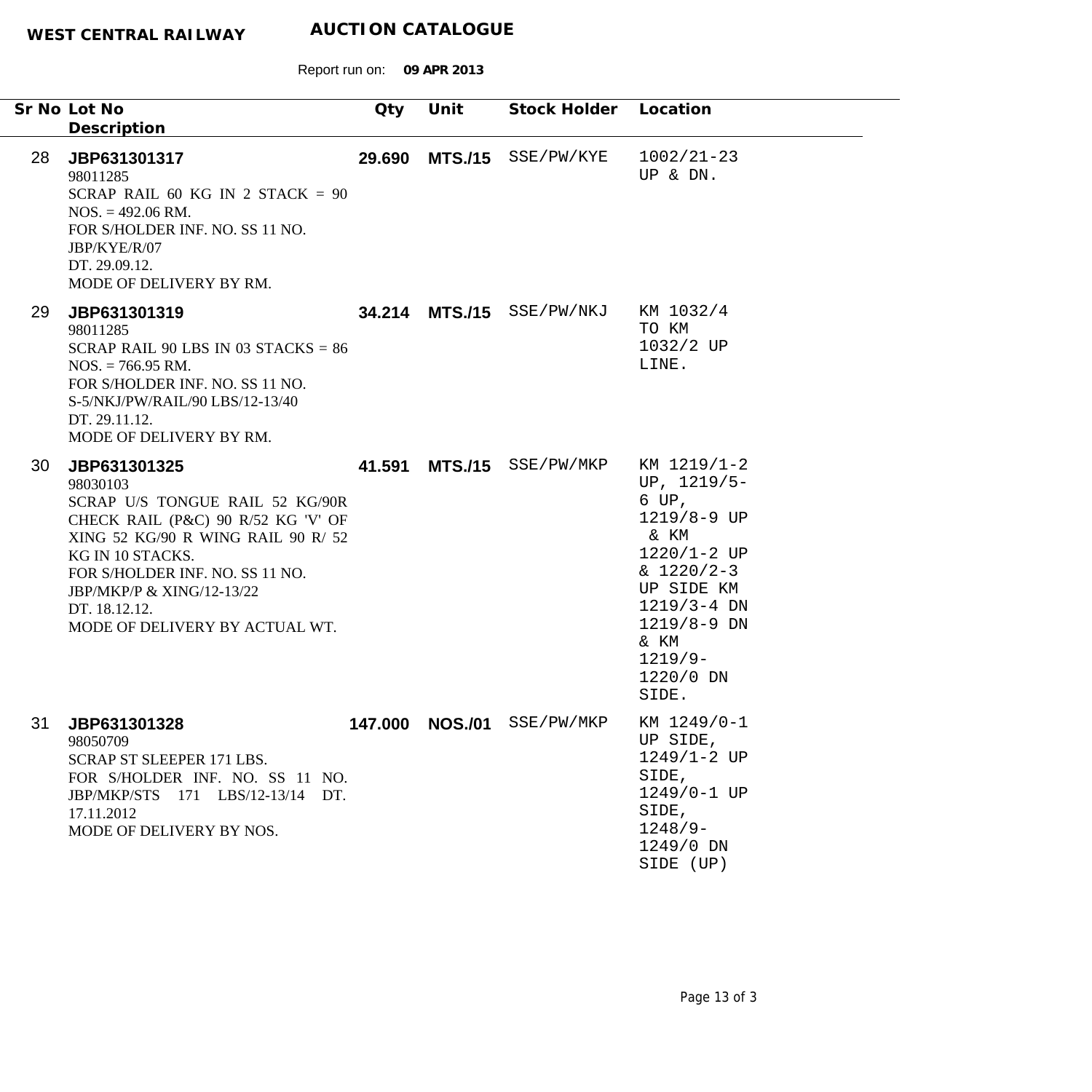|    | Sr No Lot No<br>Description                                                                                                                                                                                                                                                    | Qty     | Unit           | Stock Holder Location     |                                                                                                                                                                                            |
|----|--------------------------------------------------------------------------------------------------------------------------------------------------------------------------------------------------------------------------------------------------------------------------------|---------|----------------|---------------------------|--------------------------------------------------------------------------------------------------------------------------------------------------------------------------------------------|
| 28 | JBP631301317<br>98011285<br>SCRAP RAIL 60 KG IN 2 STACK = $90$<br>$NOS. = 492.06 \text{ RM}.$<br>FOR S/HOLDER INF. NO. SS 11 NO.<br>JBP/KYE/R/07<br>DT. 29.09.12.<br>MODE OF DELIVERY BY RM.                                                                                   | 29.690  |                | MTS./15 SSE/PW/KYE        | $1002/21 - 23$<br>UP & DN.                                                                                                                                                                 |
| 29 | JBP631301319<br>98011285<br>SCRAP RAIL 90 LBS IN 03 STACKS = $86$<br>$NOS. = 766.95 \text{ RM}.$<br>FOR S/HOLDER INF. NO. SS 11 NO.<br>S-5/NKJ/PW/RAIL/90 LBS/12-13/40<br>DT. 29.11.12.<br>MODE OF DELIVERY BY RM.                                                             |         |                | 34.214 MTS./15 SSE/PW/NKJ | KM 1032/4<br>TO KM<br>1032/2 UP<br>LINE.                                                                                                                                                   |
| 30 | JBP631301325<br>98030103<br>SCRAP U/S TONGUE RAIL 52 KG/90R<br>CHECK RAIL (P&C) 90 R/52 KG 'V' OF<br>XING 52 KG/90 R WING RAIL 90 R/ 52<br>KG IN 10 STACKS.<br>FOR S/HOLDER INF. NO. SS 11 NO.<br>JBP/MKP/P & XING/12-13/22<br>DT. 18.12.12.<br>MODE OF DELIVERY BY ACTUAL WT. | 41.591  |                | MTS./15 SSE/PW/MKP        | KM 1219/1-2<br>UP, $1219/5-$<br>6 UP,<br>1219/8-9 UP<br>& KM<br>$1220/1 - 2 UP$<br>$& 1220/2-3$<br>UP SIDE KM<br>$1219/3 - 4$ DN<br>1219/8-9 DN<br>& KM<br>$1219/9-$<br>1220/0 DN<br>SIDE. |
| 31 | JBP631301328<br>98050709<br>SCRAP ST SLEEPER 171 LBS.<br>FOR S/HOLDER INF. NO. SS 11 NO.<br>JBP/MKP/STS 171 LBS/12-13/14 DT.<br>17.11.2012<br>MODE OF DELIVERY BY NOS.                                                                                                         | 147.000 | <b>NOS./01</b> | SSE/PW/MKP                | KM 1249/0-1<br>UP SIDE,<br>$1249/1 - 2$ UP<br>SIDE,<br>1249/0-1 UP<br>SIDE,<br>$1248/9-$<br>1249/0 DN<br>SIDE (UP)                                                                         |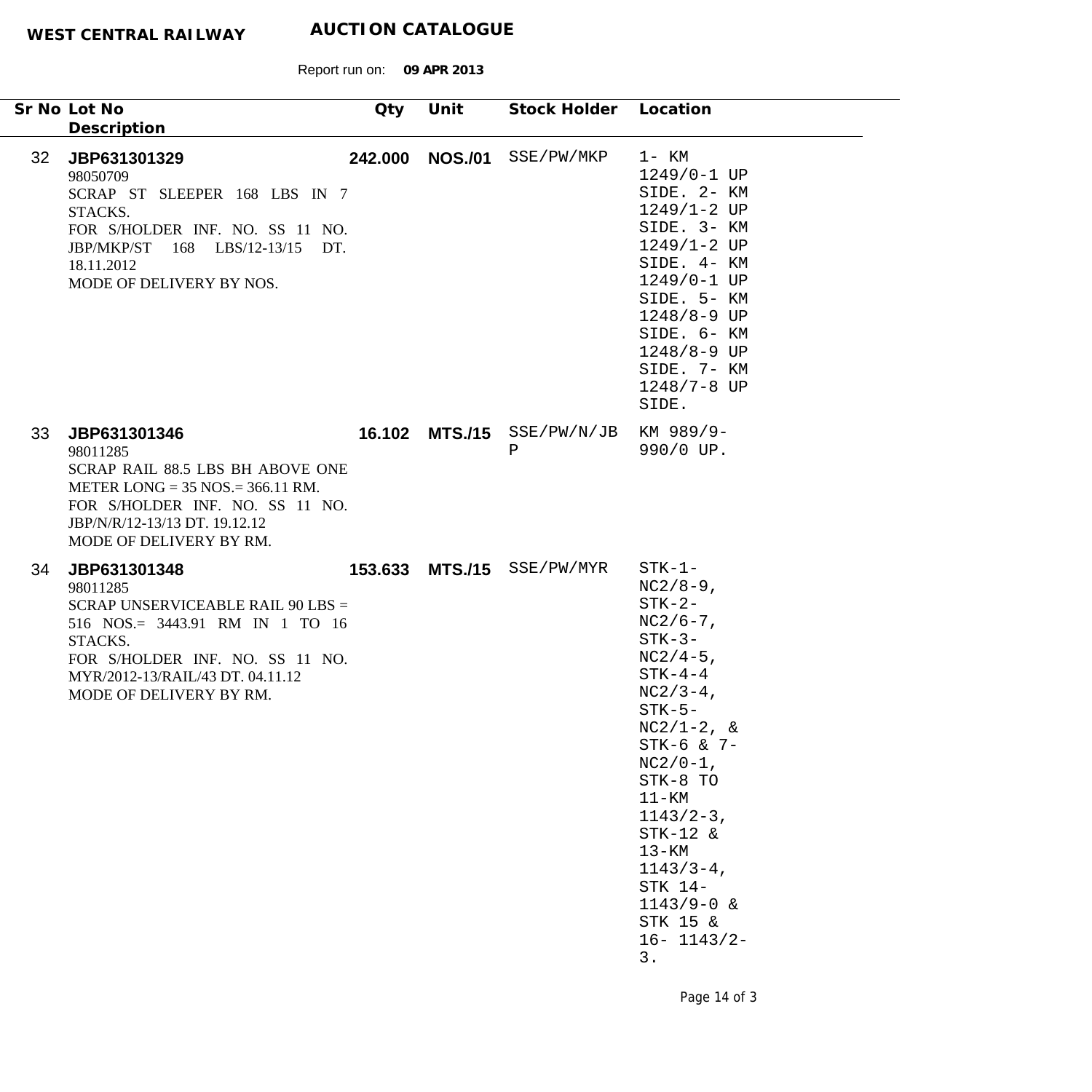Report run on: **09 APR 2013**

|                 | Sr No Lot No<br>Description                                                                                                                                                                                   | Qty | Unit | Stock Holder Location           |                                                                                                                                                                                                                                                                                                                                 |
|-----------------|---------------------------------------------------------------------------------------------------------------------------------------------------------------------------------------------------------------|-----|------|---------------------------------|---------------------------------------------------------------------------------------------------------------------------------------------------------------------------------------------------------------------------------------------------------------------------------------------------------------------------------|
| 32 <sup>2</sup> | JBP631301329<br>98050709<br>SCRAP ST SLEEPER 168 LBS IN 7<br>STACKS.<br>FOR S/HOLDER INF. NO. SS 11 NO.<br>JBP/MKP/ST 168 LBS/12-13/15 DT.<br>18.11.2012<br>MODE OF DELIVERY BY NOS.                          |     |      | 242.000 NOS./01 SSE/PW/MKP      | $1 - KM$<br>1249/0-1 UP<br>SIDE. 2- KM<br>$1249/1 - 2$ UP<br>SIDE. 3- KM<br>$1249/1 - 2 UP$<br>SIDE. 4- KM<br>1249/0-1 UP<br>SIDE. 5- KM<br>$1248/8 - 9$ UP<br>SIDE. 6- KM<br>1248/8-9 UP<br>SIDE. 7- KM<br>1248/7-8 UP<br>SIDE.                                                                                                |
| 33              | JBP631301346<br>98011285<br>SCRAP RAIL 88.5 LBS BH ABOVE ONE<br>METER LONG = $35$ NOS. = $366.11$ RM.<br>FOR S/HOLDER INF. NO. SS 11 NO.<br>JBP/N/R/12-13/13 DT. 19.12.12<br>MODE OF DELIVERY BY RM.          |     |      | 16.102 MTS./15 SSE/PW/N/JB<br>Ρ | KM 989/9-<br>990/0 UP.                                                                                                                                                                                                                                                                                                          |
| 34              | JBP631301348<br>98011285<br>SCRAP UNSERVICEABLE RAIL 90 LBS =<br>516 NOS.= 3443.91 RM IN 1 TO 16<br>STACKS.<br>FOR S/HOLDER INF. NO. SS 11 NO.<br>MYR/2012-13/RAIL/43 DT. 04.11.12<br>MODE OF DELIVERY BY RM. |     |      | 153.633 MTS./15 SSE/PW/MYR      | $STK-1-$<br>$NC2/8-9$ ,<br>$STK-2-$<br>$NC2/6-7$ ,<br>$STK-3-$<br>$NC2/4-5$ ,<br>$STK-4-4$<br>$NC2/3-4$ ,<br>$STK-5-$<br>$NC2/1-2, \&$<br>$STK-6$ & $7-$<br>$NC2/0-1$ ,<br>STK-8 TO<br>$11 - KM$<br>$1143/2-3$ ,<br>$STK-12$ &<br>$13 - KM$<br>$1143/3 - 4$ ,<br>STK 14-<br>$1143/9 - 0$ &<br>STK 15 &<br>$16 - 1143/2 -$<br>3. |

Page 14 of 3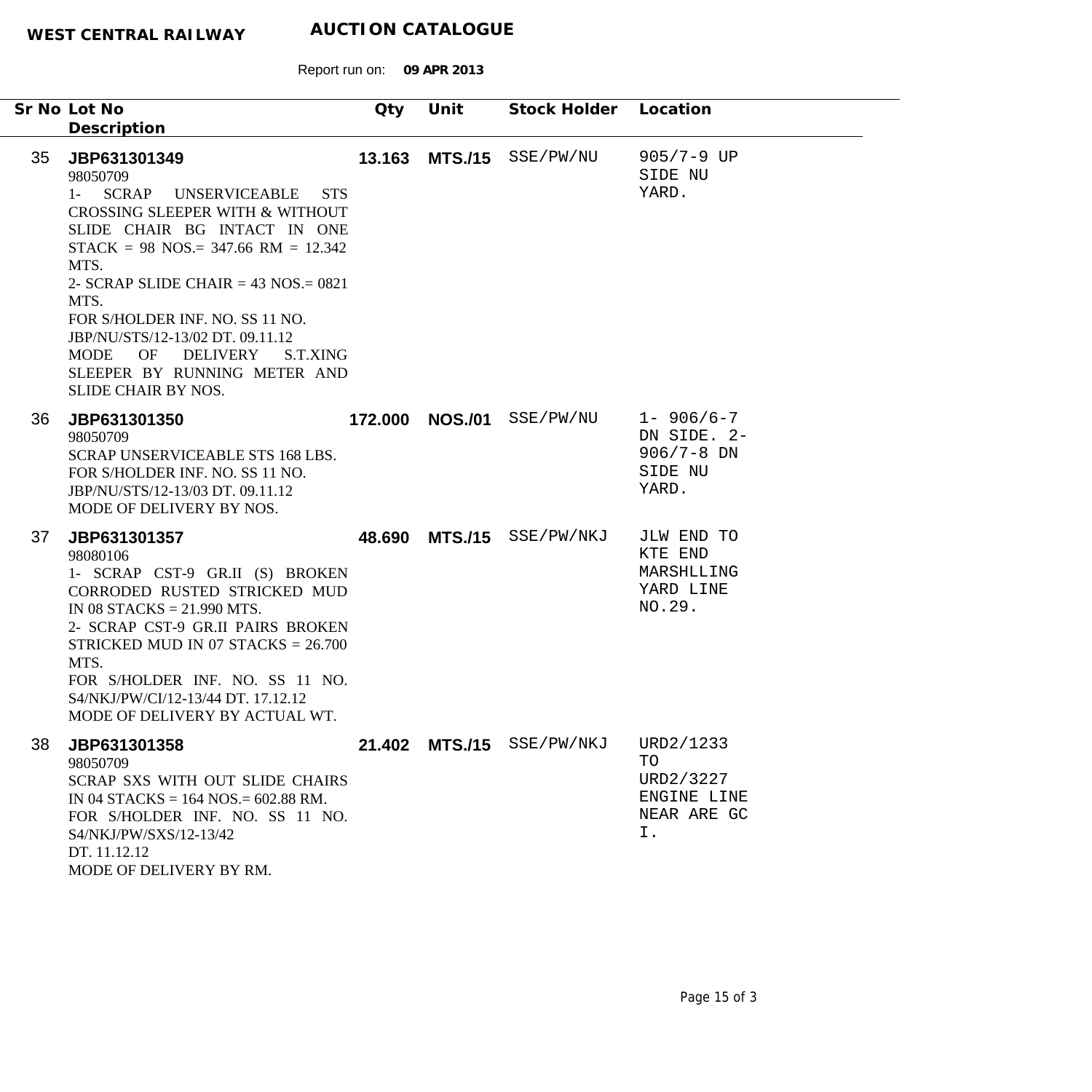|                 | Sr No Lot No<br>Description                                                                                                                                                                                                                                                                                                                                                                                                         | Qty    | Unit            | Stock Holder              | Location                                                             |
|-----------------|-------------------------------------------------------------------------------------------------------------------------------------------------------------------------------------------------------------------------------------------------------------------------------------------------------------------------------------------------------------------------------------------------------------------------------------|--------|-----------------|---------------------------|----------------------------------------------------------------------|
| 35 <sub>2</sub> | JBP631301349<br>98050709<br><b>SCRAP</b><br><b>UNSERVICEABLE</b><br><b>STS</b><br>$1 -$<br>CROSSING SLEEPER WITH & WITHOUT<br>SLIDE CHAIR BG INTACT IN ONE<br>$STACK = 98$ NOS.= 347.66 RM = 12.342<br>MTS.<br>2- SCRAP SLIDE CHAIR = $43$ NOS = $0821$<br>MTS.<br>FOR S/HOLDER INF. NO. SS 11 NO.<br>JBP/NU/STS/12-13/02 DT. 09.11.12<br>OF<br>DELIVERY<br>MODE<br>S.T.XING<br>SLEEPER BY RUNNING METER AND<br>SLIDE CHAIR BY NOS. | 13.163 |                 | MTS./15 SSE/PW/NU         | $905/7 - 9$ UP<br>SIDE NU<br>YARD.                                   |
| 36              | JBP631301350<br>98050709<br>SCRAP UNSERVICEABLE STS 168 LBS.<br>FOR S/HOLDER INF. NO. SS 11 NO.<br>JBP/NU/STS/12-13/03 DT. 09.11.12<br>MODE OF DELIVERY BY NOS.                                                                                                                                                                                                                                                                     |        | 172.000 NOS./01 | SSE/PW/NU                 | $1 - 906/6 - 7$<br>DN SIDE. 2-<br>$906/7 - 8$ DN<br>SIDE NU<br>YARD. |
| 37              | JBP631301357<br>98080106<br>1- SCRAP CST-9 GR.II (S) BROKEN<br>CORRODED RUSTED STRICKED MUD<br>IN 08 STACKS = $21.990$ MTS.<br>2- SCRAP CST-9 GR.II PAIRS BROKEN<br>STRICKED MUD IN 07 STACKS = $26.700$<br>MTS.<br>FOR S/HOLDER INF. NO. SS 11 NO.<br>S4/NKJ/PW/CI/12-13/44 DT. 17.12.12<br>MODE OF DELIVERY BY ACTUAL WT.                                                                                                         | 48.690 |                 | MTS./15 SSE/PW/NKJ        | JLW END TO<br>KTE END<br>MARSHLLING<br>YARD LINE<br>NO.29.           |
| 38              | JBP631301358<br>98050709<br>SCRAP SXS WITH OUT SLIDE CHAIRS<br>IN 04 STACKS = $164$ NOS = $602.88$ RM.<br>FOR S/HOLDER INF. NO. SS 11 NO.<br>S4/NKJ/PW/SXS/12-13/42<br>DT. 11.12.12<br>MODE OF DELIVERY BY RM.                                                                                                                                                                                                                      |        |                 | 21.402 MTS./15 SSE/PW/NKJ | URD2/1233<br>TO<br>URD2/3227<br>ENGINE LINE<br>NEAR ARE GC<br>Ι.     |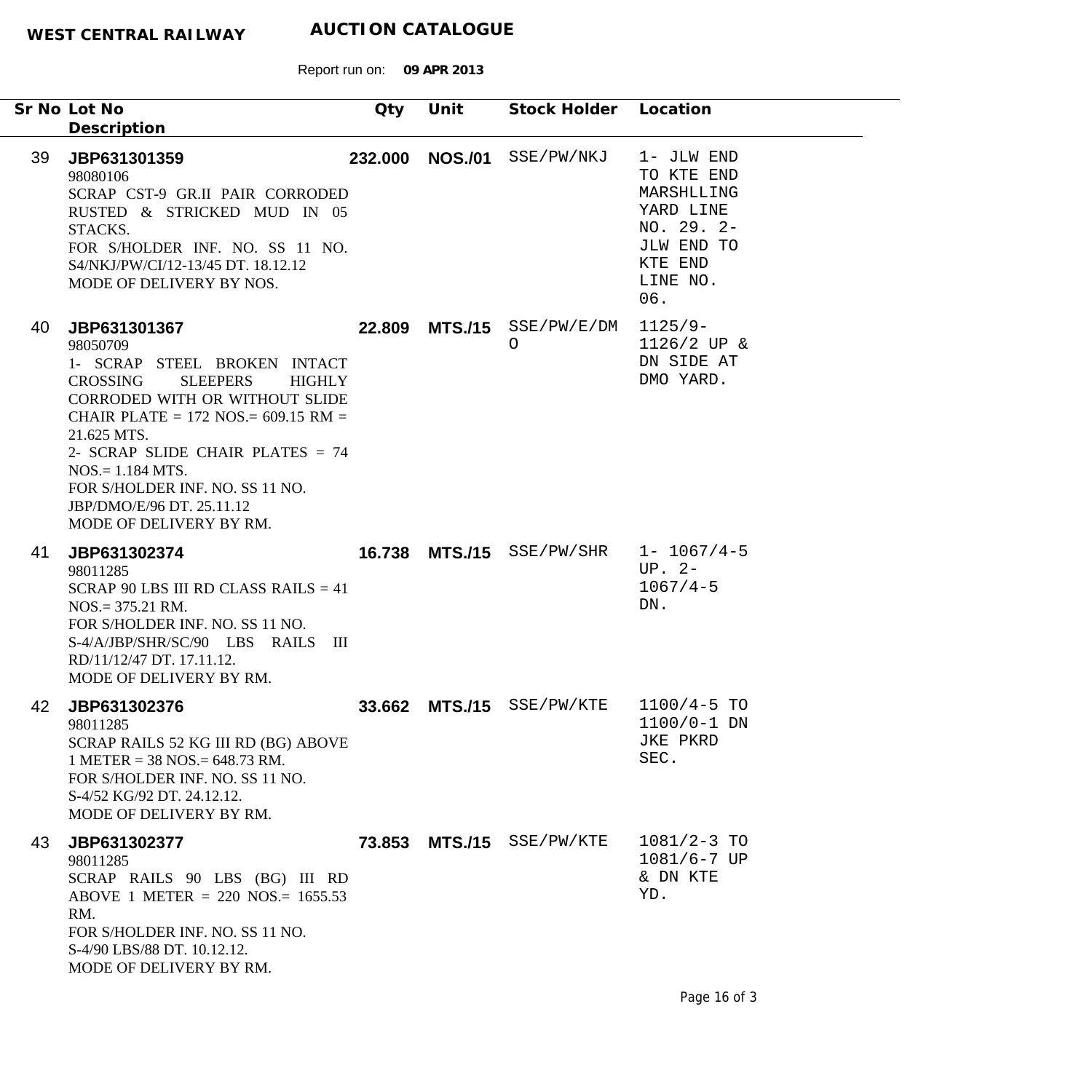Report run on: **09 APR 2013**

|    | Sr No Lot No<br>Description                                                                                                                                                                                                                                                                                                                                              | Qty    | Unit            | Stock Holder Location      |                                                                                                                 |
|----|--------------------------------------------------------------------------------------------------------------------------------------------------------------------------------------------------------------------------------------------------------------------------------------------------------------------------------------------------------------------------|--------|-----------------|----------------------------|-----------------------------------------------------------------------------------------------------------------|
| 39 | JBP631301359<br>98080106<br>SCRAP CST-9 GR.II PAIR CORRODED<br>RUSTED & STRICKED MUD IN 05<br>STACKS.<br>FOR S/HOLDER INF. NO. SS 11 NO.<br>S4/NKJ/PW/CI/12-13/45 DT. 18.12.12<br>MODE OF DELIVERY BY NOS.                                                                                                                                                               |        | 232.000 NOS./01 | SSE/PW/NKJ                 | 1- JLW END<br>TO KTE END<br>MARSHLLING<br>YARD LINE<br>$NO. 29. 2-$<br>JLW END TO<br>KTE END<br>LINE NO.<br>06. |
| 40 | JBP631301367<br>98050709<br>1- SCRAP STEEL BROKEN INTACT<br><b>CROSSING</b><br><b>SLEEPERS</b><br><b>HIGHLY</b><br><b>CORRODED WITH OR WITHOUT SLIDE</b><br>CHAIR PLATE = $172$ NOS. = $609.15$ RM =<br>21.625 MTS.<br>2- SCRAP SLIDE CHAIR PLATES = 74<br>$NOS = 1.184 MTS.$<br>FOR S/HOLDER INF. NO. SS 11 NO.<br>JBP/DMO/E/96 DT. 25.11.12<br>MODE OF DELIVERY BY RM. | 22.809 |                 | $MTS./15$ SSE/PW/E/DM<br>O | $1125/9-$<br>1126/2 UP &<br>DN SIDE AT<br>DMO YARD.                                                             |
| 41 | JBP631302374<br>98011285<br>SCRAP 90 LBS III RD CLASS RAILS $= 41$<br>$NOS = 375.21$ RM.<br>FOR S/HOLDER INF. NO. SS 11 NO.<br>S-4/A/JBP/SHR/SC/90 LBS RAILS III<br>RD/11/12/47 DT. 17.11.12.<br>MODE OF DELIVERY BY RM.                                                                                                                                                 | 16.738 |                 | MTS./15 SSE/PW/SHR         | $1 - 1067/4 - 5$<br>$UP. 2-$<br>$1067/4 - 5$<br>DN.                                                             |
| 42 | JBP631302376<br>98011285<br>SCRAP RAILS 52 KG III RD (BG) ABOVE<br>$1$ METER = 38 NOS. = 648.73 RM.<br>FOR S/HOLDER INF. NO. SS 11 NO.<br>S-4/52 KG/92 DT, 24.12.12.<br>MODE OF DELIVERY BY RM.                                                                                                                                                                          | 33.662 |                 | MTS./15 SSE/PW/KTE         | $1100/4 - 5$ TO<br>1100/0-1 DN<br>JKE PKRD<br>SEC.                                                              |
| 43 | JBP631302377<br>98011285<br>SCRAP RAILS 90 LBS (BG) III RD<br>ABOVE 1 METER = 220 NOS.= $1655.53$<br>RM.<br>FOR S/HOLDER INF. NO. SS 11 NO.<br>S-4/90 LBS/88 DT. 10.12.12.<br>MODE OF DELIVERY BY RM.                                                                                                                                                                    |        |                 | 73.853 MTS./15 SSE/PW/KTE  | $1081/2 - 3$ TO<br>$1081/6 - 7$ UP<br>& DN KTE<br>YD.                                                           |

 $\overline{\phantom{a}}$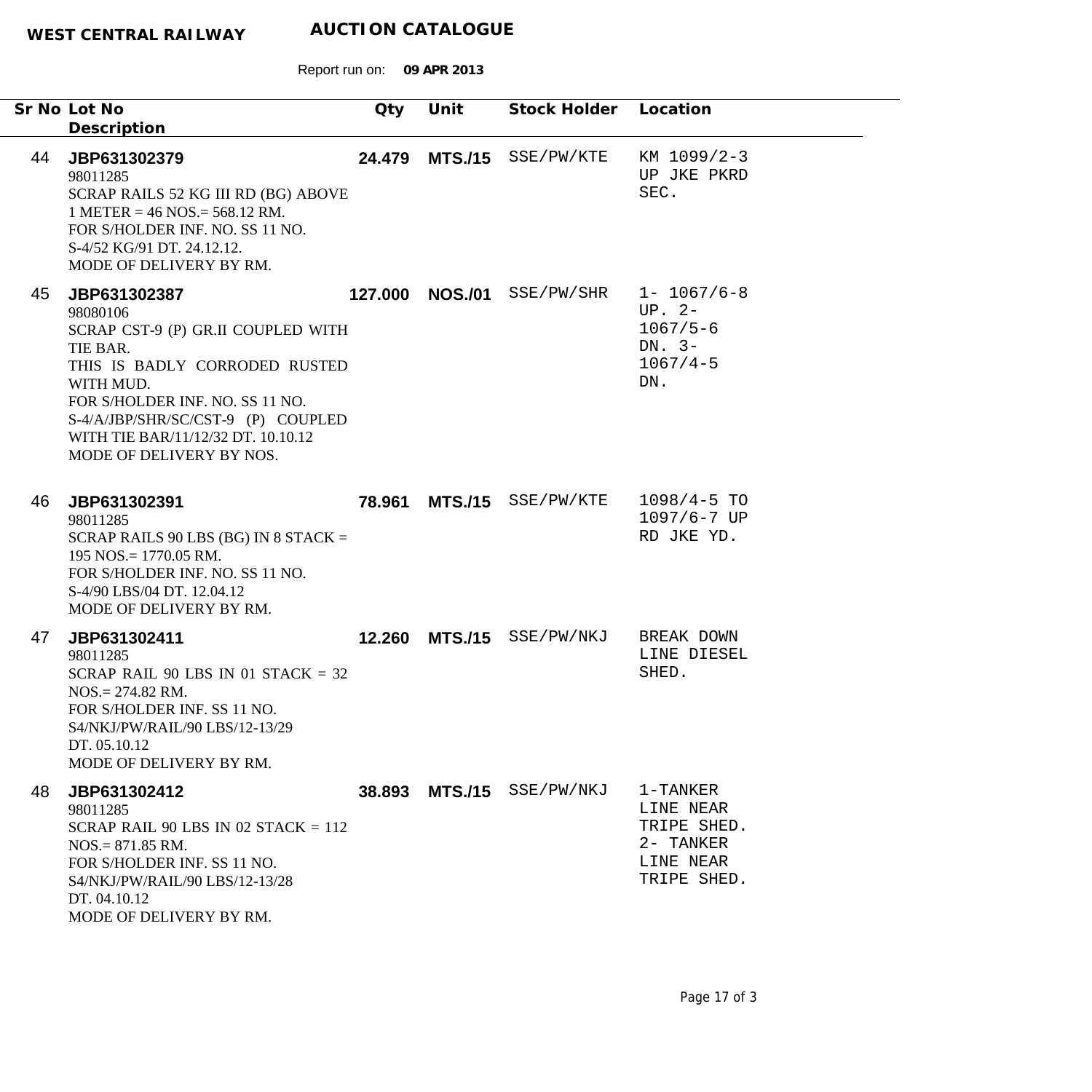|    | Sr No Lot No<br>Description                                                                                                                                                                                                                                         | Qty     | Unit           | Stock Holder Location |                                                                                 |
|----|---------------------------------------------------------------------------------------------------------------------------------------------------------------------------------------------------------------------------------------------------------------------|---------|----------------|-----------------------|---------------------------------------------------------------------------------|
| 44 | JBP631302379<br>98011285<br>SCRAP RAILS 52 KG III RD (BG) ABOVE<br>$1$ METER = 46 NOS = 568.12 RM.<br>FOR S/HOLDER INF. NO. SS 11 NO.<br>S-4/52 KG/91 DT. 24.12.12.<br>MODE OF DELIVERY BY RM.                                                                      | 24.479  |                | MTS./15 SSE/PW/KTE    | KM 1099/2-3<br>UP JKE PKRD<br>SEC.                                              |
| 45 | JBP631302387<br>98080106<br>SCRAP CST-9 (P) GR.II COUPLED WITH<br>TIE BAR.<br>THIS IS BADLY CORRODED RUSTED<br>WITH MUD.<br>FOR S/HOLDER INF. NO. SS 11 NO.<br>S-4/A/JBP/SHR/SC/CST-9 (P) COUPLED<br>WITH TIE BAR/11/12/32 DT. 10.10.12<br>MODE OF DELIVERY BY NOS. | 127.000 | <b>NOS./01</b> | SSE/PW/SHR            | $1 - 1067/6 - 8$<br>$UP. 2-$<br>$1067/5 - 6$<br>DN. $3-$<br>$1067/4 - 5$<br>DN. |
| 46 | JBP631302391<br>98011285<br>SCRAP RAILS 90 LBS (BG) IN 8 STACK $=$<br>$195$ NOS. = 1770.05 RM.<br>FOR S/HOLDER INF. NO. SS 11 NO.<br>S-4/90 LBS/04 DT. 12.04.12<br>MODE OF DELIVERY BY RM.                                                                          | 78.961  |                | MTS./15 SSE/PW/KTE    | $1098/4 - 5$ TO<br>$1097/6 - 7$ UP<br>RD JKE YD.                                |
| 47 | JBP631302411<br>98011285<br>SCRAP RAIL 90 LBS IN 01 STACK = $32$<br>$NOS = 274.82$ RM.<br>FOR S/HOLDER INF. SS 11 NO.<br>S4/NKJ/PW/RAIL/90 LBS/12-13/29<br>DT. 05.10.12<br>MODE OF DELIVERY BY RM.                                                                  | 12.260  |                | MTS./15 SSE/PW/NKJ    | BREAK DOWN<br>LINE DIESEL<br>SHED.                                              |
| 48 | JBP631302412<br>98011285<br>SCRAP RAIL 90 LBS IN 02 STACK $= 112$<br>$NOS = 871.85$ RM.<br>FOR S/HOLDER INF. SS 11 NO.<br>S4/NKJ/PW/RAIL/90 LBS/12-13/28<br>DT. 04.10.12<br>MODE OF DELIVERY BY RM.                                                                 | 38.893  | <b>MTS./15</b> | SSE/PW/NKJ            | 1-TANKER<br>LINE NEAR<br>TRIPE SHED.<br>2- TANKER<br>LINE NEAR<br>TRIPE SHED.   |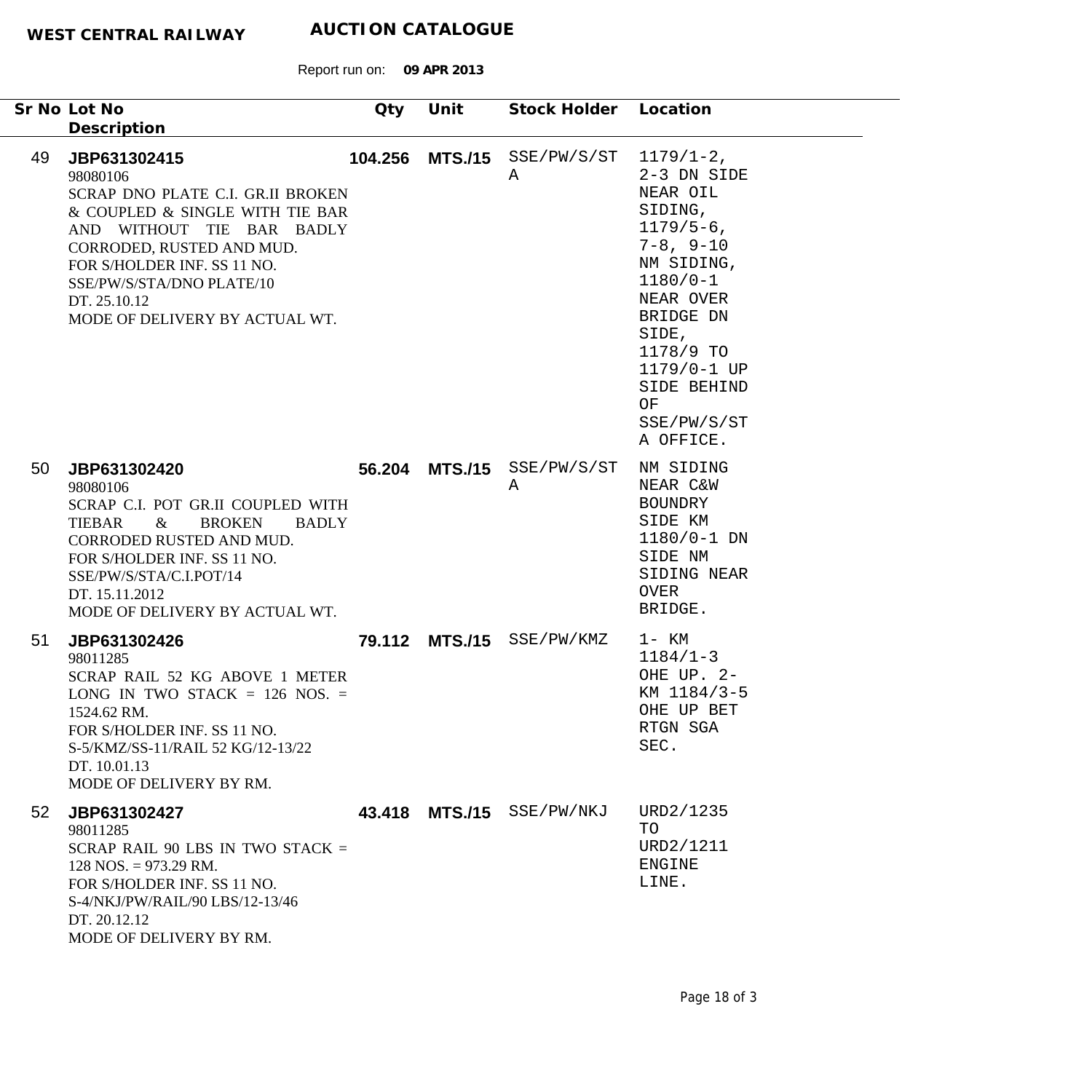|                 | Sr No Lot No                                                                                                                                                                                                                                                                            | Qty    | Unit           | Stock Holder Location            |                                                                                                                                                                                                                    |
|-----------------|-----------------------------------------------------------------------------------------------------------------------------------------------------------------------------------------------------------------------------------------------------------------------------------------|--------|----------------|----------------------------------|--------------------------------------------------------------------------------------------------------------------------------------------------------------------------------------------------------------------|
| 49              | Description<br>JBP631302415<br>98080106<br>SCRAP DNO PLATE C.I. GR.II BROKEN<br>& COUPLED & SINGLE WITH TIE BAR<br>AND WITHOUT TIE BAR BADLY<br>CORRODED, RUSTED AND MUD.<br>FOR S/HOLDER INF. SS 11 NO.<br>SSE/PW/S/STA/DNO PLATE/10<br>DT. 25.10.12<br>MODE OF DELIVERY BY ACTUAL WT. |        |                | 104.256 MTS./15 SSE/PW/S/ST<br>Α | $1179/1-2$ ,<br>2-3 DN SIDE<br>NEAR OIL<br>SIDING,<br>$1179/5-6$ ,<br>$7-8, 9-10$<br>NM SIDING,<br>$1180/0 - 1$<br>NEAR OVER<br>BRIDGE DN<br>SIDE,<br>1178/9 TO<br>1179/0-1 UP<br>SIDE BEHIND<br>OF<br>SSE/PW/S/ST |
| 50              | JBP631302420<br>98080106<br>SCRAP C.I. POT GR.II COUPLED WITH<br><b>TIEBAR</b><br>$\&$<br><b>BROKEN</b><br><b>BADLY</b><br>CORRODED RUSTED AND MUD.<br>FOR S/HOLDER INF. SS 11 NO.<br>SSE/PW/S/STA/C.I.POT/14<br>DT. 15.11.2012<br>MODE OF DELIVERY BY ACTUAL WT.                       | 56.204 | <b>MTS./15</b> | SSE/PW/S/ST<br>Α                 | A OFFICE.<br>NM SIDING<br>NEAR C&W<br><b>BOUNDRY</b><br>SIDE KM<br>$1180/0 - 1$ DN<br>SIDE NM<br>SIDING NEAR<br>OVER<br>BRIDGE.                                                                                    |
| 51              | JBP631302426<br>98011285<br>SCRAP RAIL 52 KG ABOVE 1 METER<br>LONG IN TWO STACK $= 126$ NOS. $=$<br>1524.62 RM.<br>FOR S/HOLDER INF. SS 11 NO.<br>S-5/KMZ/SS-11/RAIL 52 KG/12-13/22<br>DT. 10.01.13<br>MODE OF DELIVERY BY RM.                                                          | 79.112 | <b>MTS./15</b> | SSE/PW/KMZ                       | 1- KM<br>$1184/1-3$<br>OHE UP. 2-<br>KM 1184/3-5<br>OHE UP BET<br>RTGN SGA<br>SEC.                                                                                                                                 |
| 52 <sub>2</sub> | JBP631302427<br>98011285<br>SCRAP RAIL 90 LBS IN TWO STACK $=$<br>$128$ NOS. = 973.29 RM.<br>FOR S/HOLDER INF. SS 11 NO.<br>S-4/NKJ/PW/RAIL/90 LBS/12-13/46<br>DT. 20.12.12<br>MODE OF DELIVERY BY RM.                                                                                  | 43.418 | <b>MTS./15</b> | SSE/PW/NKJ                       | URD2/1235<br>TO<br>URD2/1211<br><b>ENGINE</b><br>LINE.                                                                                                                                                             |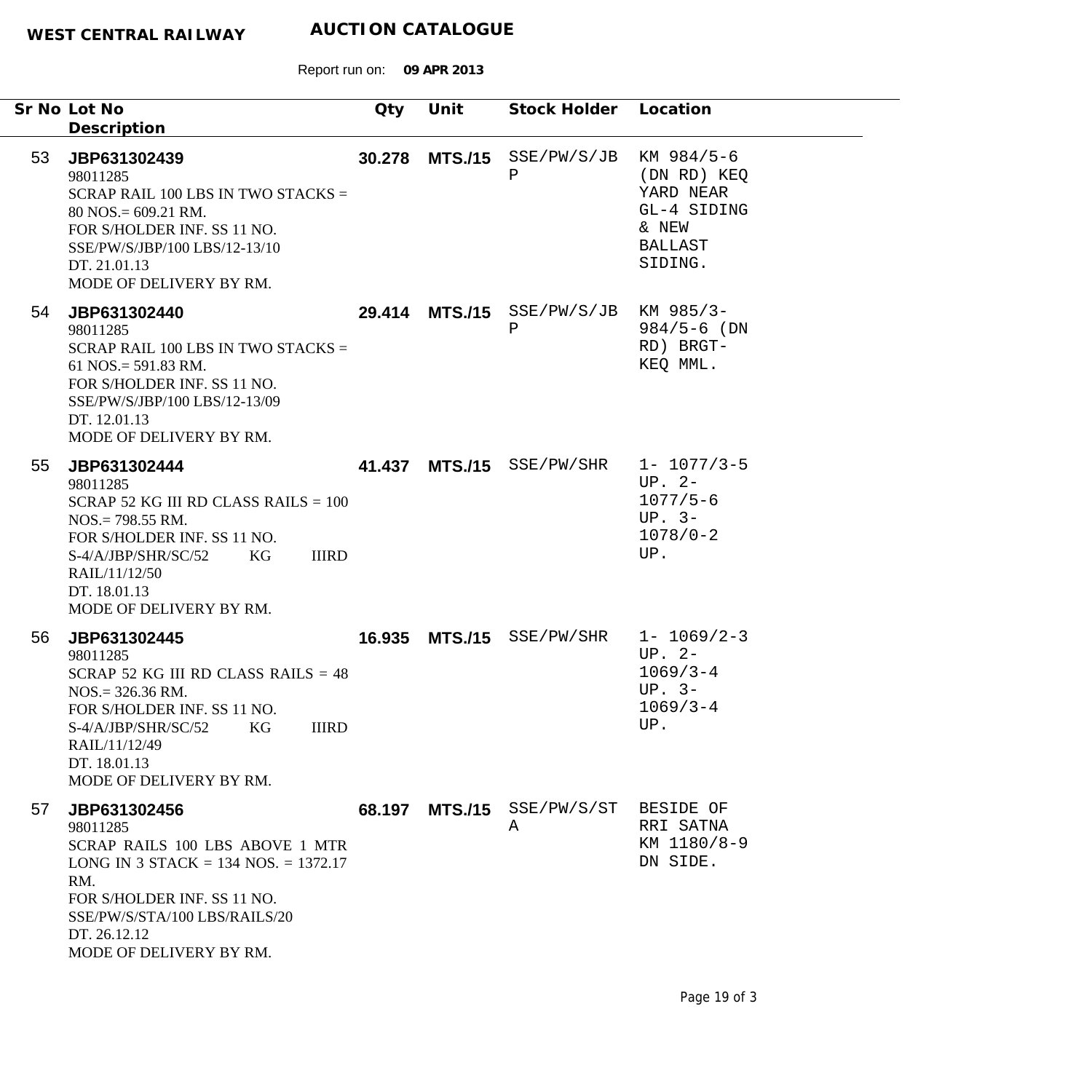|    | Sr No Lot No<br>Description                                                                                                                                                                                                      | Qty    | Unit | Stock Holder Location                      |                                                                                 |
|----|----------------------------------------------------------------------------------------------------------------------------------------------------------------------------------------------------------------------------------|--------|------|--------------------------------------------|---------------------------------------------------------------------------------|
| 53 | JBP631302439<br>98011285<br>SCRAP RAIL 100 LBS IN TWO STACKS $=$<br>$80$ NOS. = 609.21 RM.<br>FOR S/HOLDER INF. SS 11 NO.<br>SSE/PW/S/JBP/100 LBS/12-13/10<br>DT. 21.01.13<br>MODE OF DELIVERY BY RM.                            |        |      | 30.278 MTS./15 SSE/PW/S/JB KM 984/5-6<br>Ρ | (DN RD) KEQ<br>YARD NEAR<br>GL-4 SIDING<br>& NEW<br><b>BALLAST</b><br>SIDING.   |
| 54 | JBP631302440<br>98011285<br>SCRAP RAIL 100 LBS IN TWO STACKS $=$<br>61 NOS. = $591.83$ RM.<br>FOR S/HOLDER INF. SS 11 NO.<br>SSE/PW/S/JBP/100 LBS/12-13/09<br>DT. 12.01.13<br>MODE OF DELIVERY BY RM.                            |        |      | 29.414 MTS./15 SSE/PW/S/JB KM 985/3-<br>Ρ  | $984/5 - 6$ (DN<br>RD) BRGT-<br>KEQ MML.                                        |
| 55 | JBP631302444<br>98011285<br>SCRAP 52 KG III RD CLASS RAILS = $100$<br>$NOS = 798.55$ RM.<br>FOR S/HOLDER INF. SS 11 NO.<br><b>IIIRD</b><br>S-4/A/JBP/SHR/SC/52<br>KG<br>RAIL/11/12/50<br>DT. 18.01.13<br>MODE OF DELIVERY BY RM. |        |      | 41.437 MTS./15 SSE/PW/SHR                  | $1 - 1077/3 - 5$<br>$UP. 2-$<br>$1077/5 - 6$<br>UP. $3-$<br>$1078/0 - 2$<br>UP. |
| 56 | JBP631302445<br>98011285<br>SCRAP 52 KG III RD CLASS RAILS = $48$<br>$NOS = 326.36$ RM.<br>FOR S/HOLDER INF. SS 11 NO.<br><b>IIIRD</b><br>S-4/A/JBP/SHR/SC/52<br>KG<br>RAIL/11/12/49<br>DT. 18.01.13<br>MODE OF DELIVERY BY RM.  |        |      | 16.935 MTS./15 SSE/PW/SHR 1- 1069/2-3      | $UP. 2-$<br>$1069/3 - 4$<br>$UP. 3-$<br>$1069/3 - 4$<br>UP.                     |
| 57 | JBP631302456<br>98011285<br>SCRAP RAILS 100 LBS ABOVE 1 MTR<br>LONG IN 3 STACK = 134 NOS. = 1372.17<br>RM.<br>FOR S/HOLDER INF. SS 11 NO.<br>SSE/PW/S/STA/100 LBS/RAILS/20<br>DT. 26.12.12<br>MODE OF DELIVERY BY RM.            | 68.197 |      | MTS./15 SSE/PW/S/ST<br>A                   | BESIDE OF<br>RRI SATNA<br>KM 1180/8-9<br>DN SIDE.                               |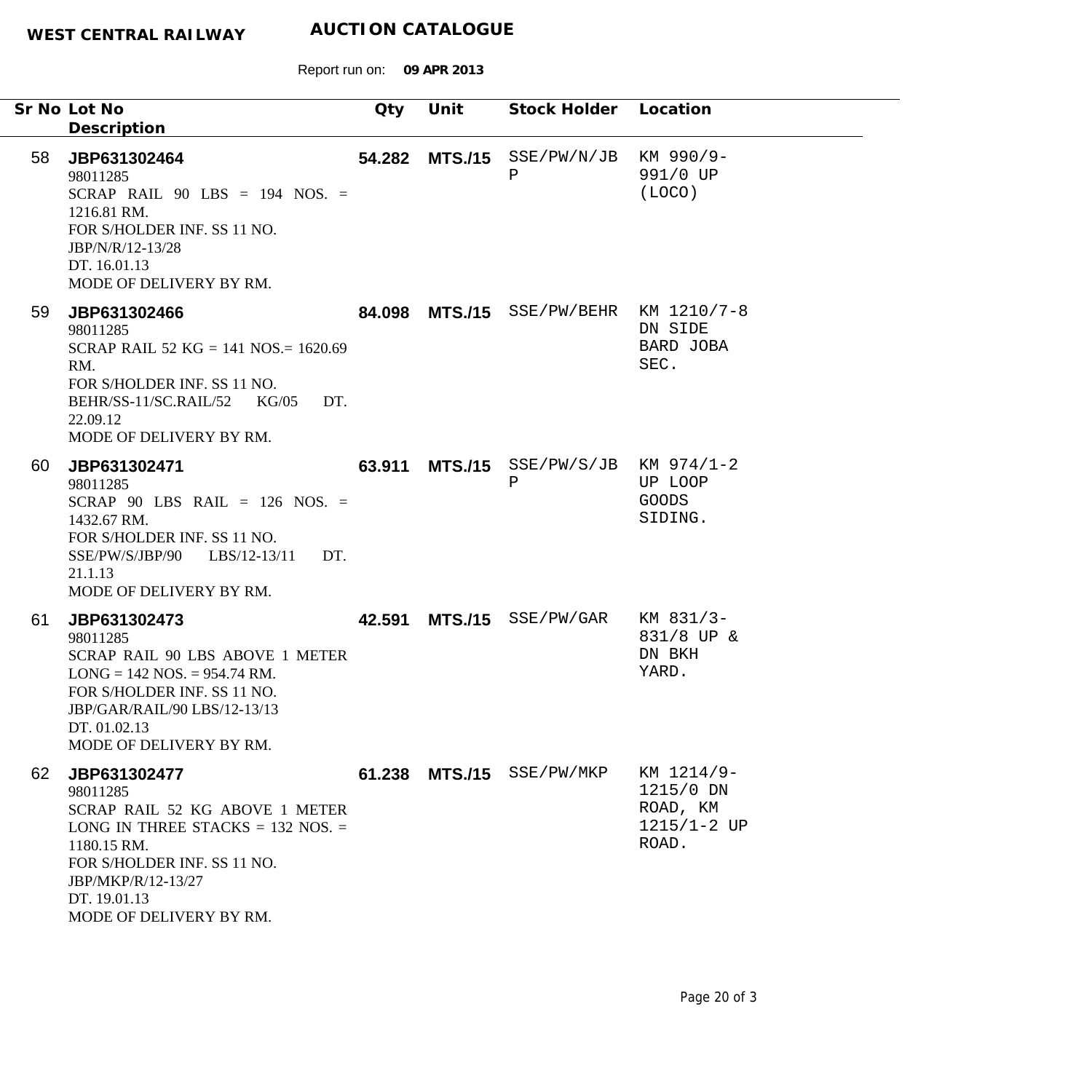Report run on: **09 APR 2013**

|    | Sr No Lot No                                                                                                                                                                                                       | Qty | Unit | Stock Holder Location                                |                                                                 |
|----|--------------------------------------------------------------------------------------------------------------------------------------------------------------------------------------------------------------------|-----|------|------------------------------------------------------|-----------------------------------------------------------------|
|    | Description                                                                                                                                                                                                        |     |      |                                                      |                                                                 |
| 58 | JBP631302464<br>98011285<br>SCRAP RAIL $90$ LBS = 194 NOS. =<br>1216.81 RM.<br>FOR S/HOLDER INF. SS 11 NO.<br>JBP/N/R/12-13/28<br>DT. 16.01.13<br>MODE OF DELIVERY BY RM.                                          |     |      | 54.282 MTS./15 SSE/PW/N/JB KM 990/9-<br>$\, {\bf P}$ | 991/0 UP<br>(LOCO)                                              |
| 59 | JBP631302466<br>98011285<br>SCRAP RAIL 52 KG = 141 NOS. = 1620.69<br>RM.<br>FOR S/HOLDER INF. SS 11 NO.<br>BEHR/SS-11/SC.RAIL/52 KG/05<br>DT.<br>22.09.12<br>MODE OF DELIVERY BY RM.                               |     |      | 84.098 MTS./15 SSE/PW/BEHR KM 1210/7-8               | DN SIDE<br>BARD JOBA<br>SEC.                                    |
| 60 | JBP631302471<br>98011285<br>SCRAP 90 LBS RAIL = $126$ NOS. =<br>1432.67 RM.<br>FOR S/HOLDER INF. SS 11 NO.<br>SSE/PW/S/JBP/90 LBS/12-13/11<br>DT.<br>21.1.13<br>MODE OF DELIVERY BY RM.                            |     |      | 63.911 MTS./15 SSE/PW/S/JB KM 974/1-2<br>Ρ           | UP LOOP<br><b>GOODS</b><br>SIDING.                              |
| 61 | JBP631302473<br>98011285<br>SCRAP RAIL 90 LBS ABOVE 1 METER<br>$LONG = 142 NOS = 954.74 RM.$<br>FOR S/HOLDER INF. SS 11 NO.<br>JBP/GAR/RAIL/90 LBS/12-13/13<br>DT. 01.02.13<br>MODE OF DELIVERY BY RM.             |     |      | 42.591 MTS./15 SSE/PW/GAR                            | KM 831/3-<br>831/8 UP &<br>DN BKH<br>YARD.                      |
| 62 | JBP631302477<br>98011285<br>SCRAP RAIL 52 KG ABOVE 1 METER<br>LONG IN THREE STACKS $= 132$ NOS. $=$<br>1180.15 RM.<br>FOR S/HOLDER INF. SS 11 NO.<br>JBP/MKP/R/12-13/27<br>DT. 19.01.13<br>MODE OF DELIVERY BY RM. |     |      | 61.238 MTS./15 SSE/PW/MKP                            | KM 1214/9-<br>1215/0 DN<br>ROAD, KM<br>$1215/1 - 2$ UP<br>ROAD. |

۰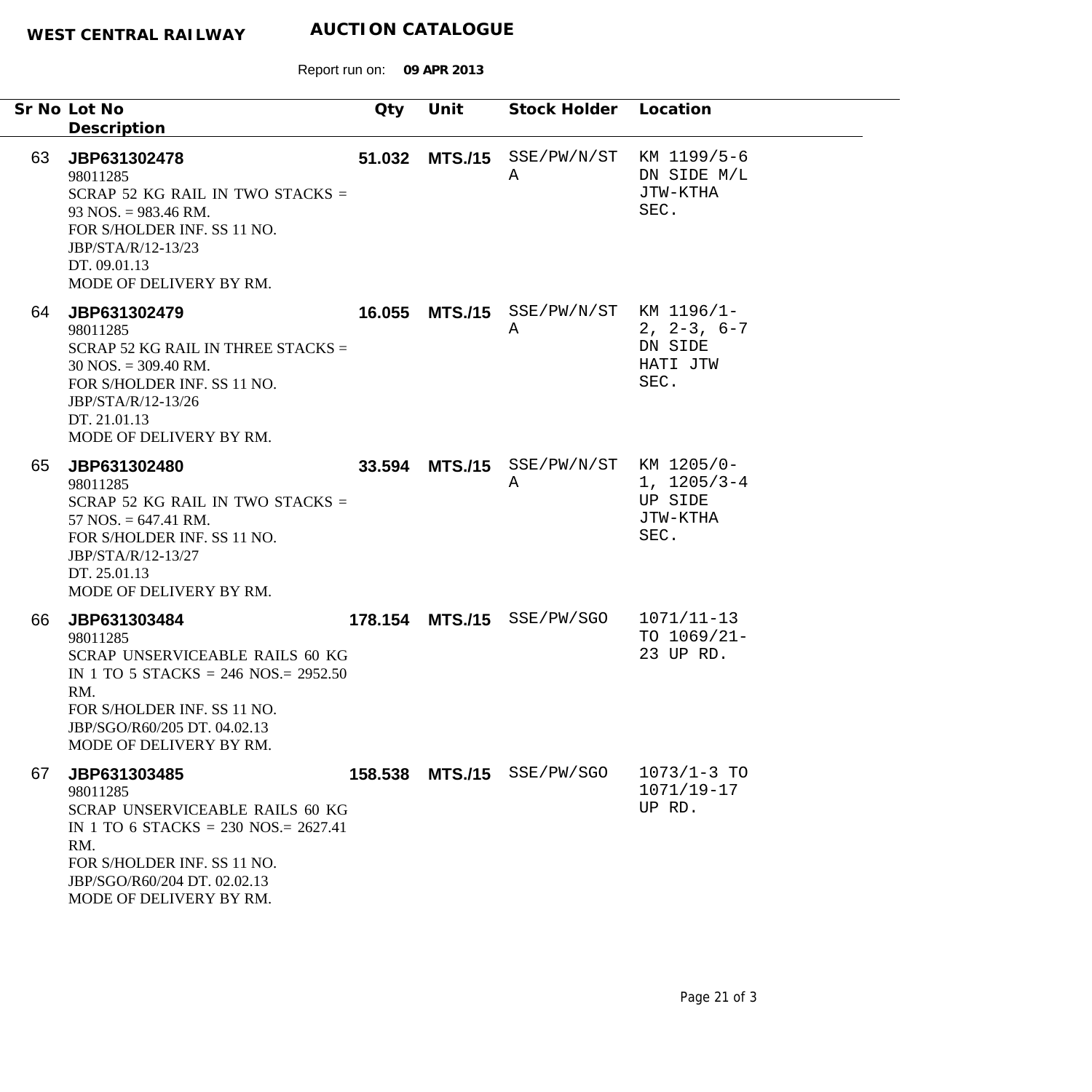|    | Sr No Lot No                                                                                                                                                                                                   | Qty | Unit | Stock Holder Location                       |                                              |
|----|----------------------------------------------------------------------------------------------------------------------------------------------------------------------------------------------------------------|-----|------|---------------------------------------------|----------------------------------------------|
|    | Description                                                                                                                                                                                                    |     |      |                                             |                                              |
| 63 | JBP631302478<br>98011285<br>SCRAP 52 KG RAIL IN TWO STACKS $=$<br>$93$ NOS. = 983.46 RM.<br>FOR S/HOLDER INF. SS 11 NO.<br>JBP/STA/R/12-13/23<br>DT. 09.01.13<br>MODE OF DELIVERY BY RM.                       |     |      | 51.032 MTS./15 SSE/PW/N/ST KM 1199/5-6<br>Α | DN SIDE M/L<br>JTW-KTHA<br>SEC.              |
| 64 | JBP631302479<br>98011285<br>SCRAP 52 KG RAIL IN THREE STACKS $=$<br>$30$ NOS. = 309.40 RM.<br>FOR S/HOLDER INF. SS 11 NO.<br>JBP/STA/R/12-13/26<br>DT. 21.01.13<br>MODE OF DELIVERY BY RM.                     |     |      | 16.055 MTS./15 SSE/PW/N/ST KM 1196/1-<br>A  | $2, 2-3, 6-7$<br>DN SIDE<br>HATI JTW<br>SEC. |
| 65 | JBP631302480<br>98011285<br>SCRAP 52 KG RAIL IN TWO STACKS $=$<br>$57$ NOS. $= 647.41$ RM.<br>FOR S/HOLDER INF. SS 11 NO.<br>JBP/STA/R/12-13/27<br>DT. 25.01.13<br>MODE OF DELIVERY BY RM.                     |     |      | 33.594 MTS./15 SSE/PW/N/ST KM 1205/0-<br>A  | $1, 1205/3-4$<br>UP SIDE<br>JTW-KTHA<br>SEC. |
| 66 | JBP631303484<br>98011285<br><b>SCRAP UNSERVICEABLE RAILS 60 KG</b><br>IN 1 TO 5 STACKS = 246 NOS. = $2952.50$<br>RM.<br>FOR S/HOLDER INF. SS 11 NO.<br>JBP/SGO/R60/205 DT. 04.02.13<br>MODE OF DELIVERY BY RM. |     |      | 178.154 MTS./15 SSE/PW/SGO                  | $1071/11 - 13$<br>TO $1069/21-$<br>23 UP RD. |
| 67 | JBP631303485<br>98011285<br>SCRAP UNSERVICEABLE RAILS 60 KG<br>IN 1 TO 6 STACKS = 230 NOS. = $2627.41$<br>RM.<br>FOR S/HOLDER INF. SS 11 NO.<br>JBP/SGO/R60/204 DT. 02.02.13<br>MODE OF DELIVERY BY RM.        |     |      | 158.538 MTS./15 SSE/PW/SGO                  | $1073/1 - 3$ TO<br>$1071/19 - 17$<br>UP RD.  |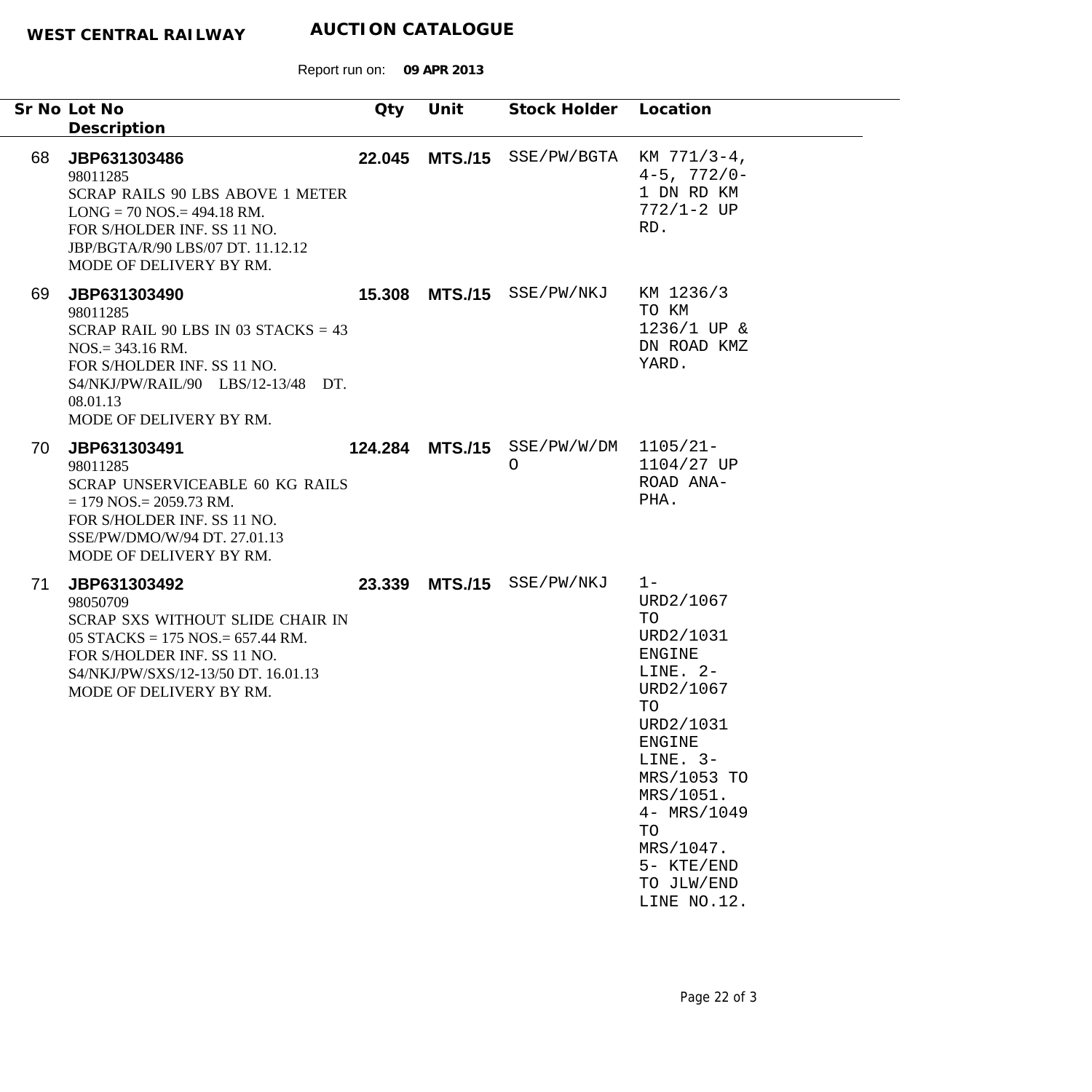Report run on: **09 APR 2013**

|    | Sr No Lot No<br>Description                                                                                                                                                                          | Qty | Unit | Stock Holder Location                           |                                                                                                                                                                                                                                              |
|----|------------------------------------------------------------------------------------------------------------------------------------------------------------------------------------------------------|-----|------|-------------------------------------------------|----------------------------------------------------------------------------------------------------------------------------------------------------------------------------------------------------------------------------------------------|
| 68 | JBP631303486<br>98011285<br><b>SCRAP RAILS 90 LBS ABOVE 1 METER</b><br>$LONG = 70$ NOS. = 494.18 RM.<br>FOR S/HOLDER INF. SS 11 NO.<br>JBP/BGTA/R/90 LBS/07 DT. 11.12.12<br>MODE OF DELIVERY BY RM.  |     |      | 22.045 MTS./15 SSE/PW/BGTA KM 771/3-4,          | $4 - 5$ , $772/0 -$<br>1 DN RD KM<br>$772/1 - 2 UP$<br>RD.                                                                                                                                                                                   |
| 69 | JBP631303490<br>98011285<br>SCRAP RAIL 90 LBS IN 03 STACKS = $43$<br>$NOS = 343.16$ RM.<br>FOR S/HOLDER INF. SS 11 NO.<br>S4/NKJ/PW/RAIL/90 LBS/12-13/48 DT.<br>08.01.13<br>MODE OF DELIVERY BY RM.  |     |      | 15.308 MTS./15 SSE/PW/NKJ                       | KM 1236/3<br>TO KM<br>1236/1 UP &<br>DN ROAD KMZ<br>YARD.                                                                                                                                                                                    |
| 70 | JBP631303491<br>98011285<br><b>SCRAP UNSERVICEABLE 60 KG RAILS</b><br>$= 179$ NOS $= 2059.73$ RM.<br>FOR S/HOLDER INF. SS 11 NO.<br>SSE/PW/DMO/W/94 DT. 27.01.13<br>MODE OF DELIVERY BY RM.          |     |      | 124.284 MTS./15 SSE/PW/W/DM 1105/21-<br>$\circ$ | 1104/27 UP<br>ROAD ANA-<br>PHA.                                                                                                                                                                                                              |
| 71 | JBP631303492<br>98050709<br>SCRAP SXS WITHOUT SLIDE CHAIR IN<br>05 STACKS = $175$ NOS. = 657.44 RM.<br>FOR S/HOLDER INF. SS 11 NO.<br>S4/NKJ/PW/SXS/12-13/50 DT. 16.01.13<br>MODE OF DELIVERY BY RM. |     |      | 23.339 MTS./15 SSE/PW/NKJ                       | $1 -$<br>URD2/1067<br>TO<br>URD2/1031<br><b>ENGINE</b><br>LINE. $2-$<br>URD2/1067<br>TO<br>URD2/1031<br><b>ENGINE</b><br>LINE. $3-$<br>MRS/1053 TO<br>MRS/1051.<br>4- MRS/1049<br>TO<br>MRS/1047.<br>5- KTE/END<br>TO JLW/END<br>LINE NO.12. |

-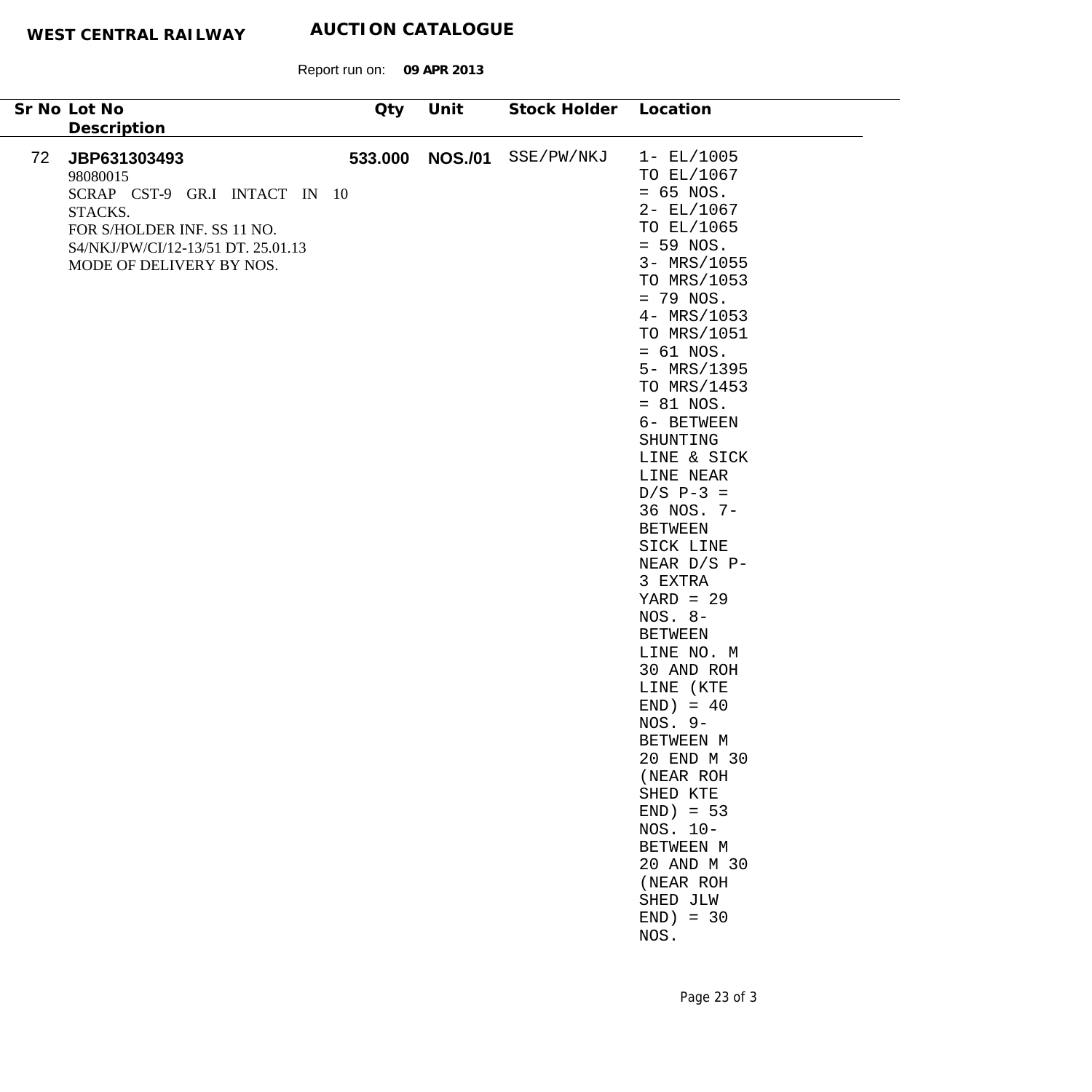| Sr No Lot No | Description                                                                                                                                                           | Qty     | Unit           | Stock Holder | Location                                                                                                                                                                                                                                                                                                                                                                                                                                                                                                                                                                                                                                                 |
|--------------|-----------------------------------------------------------------------------------------------------------------------------------------------------------------------|---------|----------------|--------------|----------------------------------------------------------------------------------------------------------------------------------------------------------------------------------------------------------------------------------------------------------------------------------------------------------------------------------------------------------------------------------------------------------------------------------------------------------------------------------------------------------------------------------------------------------------------------------------------------------------------------------------------------------|
| 72           | JBP631303493<br>98080015<br>SCRAP CST-9 GR.I INTACT IN 10<br>STACKS.<br>FOR S/HOLDER INF. SS 11 NO.<br>S4/NKJ/PW/CI/12-13/51 DT. 25.01.13<br>MODE OF DELIVERY BY NOS. | 533.000 | <b>NOS./01</b> | SSE/PW/NKJ   | $1 - EL/1005$<br>TO EL/1067<br>$= 65$ NOS.<br>$2 - EL/1067$<br>TO EL/1065<br>$= 59$ NOS.<br>3- MRS/1055<br>TO MRS/1053<br>$= 79$ NOS.<br>4- MRS/1053<br>TO MRS/1051<br>$= 61$ NOS.<br>5- MRS/1395<br>TO MRS/1453<br>$= 81$ NOS.<br>6- BETWEEN<br>SHUNTING<br>LINE & SICK<br>LINE NEAR<br>$D/S$ P-3 =<br>36 NOS. 7-<br><b>BETWEEN</b><br>SICK LINE<br>NEAR D/S P-<br>3 EXTRA<br>$YARD = 29$<br>$NOS. 8-$<br><b>BETWEEN</b><br>LINE NO. M<br>30 AND ROH<br>LINE (KTE<br>$END) = 40$<br>$NOS. 9-$<br>BETWEEN M<br>20 END M 30<br>(NEAR ROH<br>SHED KTE<br>$END$ = 53<br>NOS. 10-<br>BETWEEN M<br>20 AND M 30<br>(NEAR ROH<br>SHED JLW<br>$END$ = 30<br>NOS. |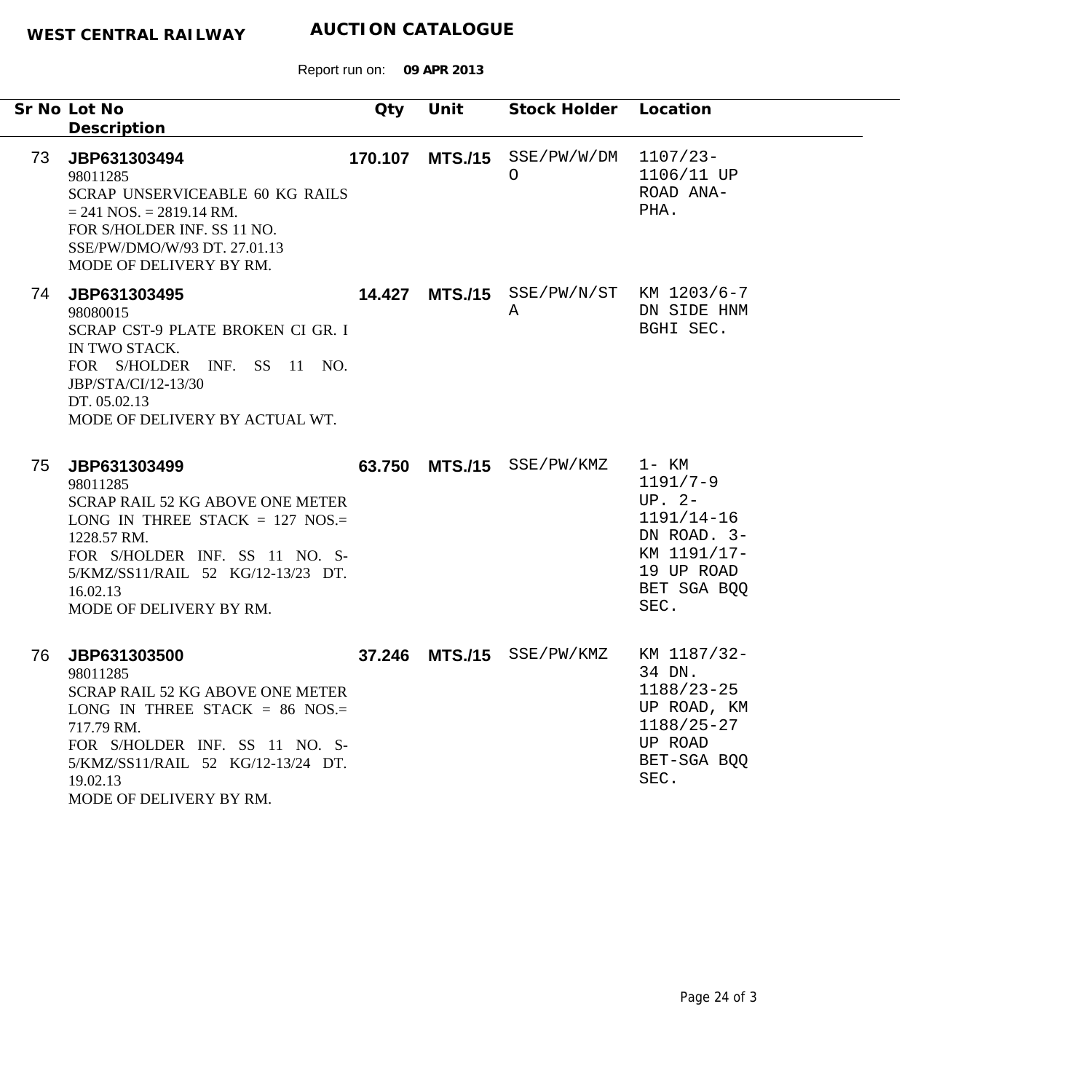|    | Sr No Lot No<br>Description                                                                                                                                                                                                     | Qty     | Unit           | Stock Holder Location                       |                                                                                                                    |
|----|---------------------------------------------------------------------------------------------------------------------------------------------------------------------------------------------------------------------------------|---------|----------------|---------------------------------------------|--------------------------------------------------------------------------------------------------------------------|
| 73 | JBP631303494<br>98011285<br>SCRAP UNSERVICEABLE 60 KG RAILS<br>$= 241$ NOS. $= 2819.14$ RM.<br>FOR S/HOLDER INF. SS 11 NO.<br>SSE/PW/DMO/W/93 DT. 27.01.13<br>MODE OF DELIVERY BY RM.                                           | 170.107 | <b>MTS./15</b> | SSE/PW/W/DM<br>$\circ$                      | $1107/23-$<br>1106/11 UP<br>ROAD ANA-<br>PHA.                                                                      |
| 74 | JBP631303495<br>98080015<br>SCRAP CST-9 PLATE BROKEN CI GR. I<br>IN TWO STACK.<br>FOR S/HOLDER INF. SS 11 NO.<br>JBP/STA/CI/12-13/30<br>DT. 05.02.13<br>MODE OF DELIVERY BY ACTUAL WT.                                          |         |                | 14.427 MTS./15 SSE/PW/N/ST KM 1203/6-7<br>Α | DN SIDE HNM<br>BGHI SEC.                                                                                           |
| 75 | JBP631303499<br>98011285<br>SCRAP RAIL 52 KG ABOVE ONE METER<br>LONG IN THREE STACK = $127$ NOS.=<br>1228.57 RM.<br>FOR S/HOLDER INF. SS 11 NO. S-<br>5/KMZ/SS11/RAIL 52 KG/12-13/23 DT.<br>16.02.13<br>MODE OF DELIVERY BY RM. | 63.750  | <b>MTS./15</b> | SSE/PW/KMZ                                  | 1- KM<br>$1191/7-9$<br>$UP. 2-$<br>$1191/14-16$<br>DN ROAD. 3-<br>KM 1191/17-<br>19 UP ROAD<br>BET SGA BQQ<br>SEC. |
| 76 | JBP631303500<br>98011285<br>SCRAP RAIL 52 KG ABOVE ONE METER<br>LONG IN THREE STACK = $86$ NOS.=<br>717.79 RM.<br>FOR S/HOLDER INF. SS 11 NO. S-<br>5/KMZ/SS11/RAIL 52 KG/12-13/24 DT.<br>19.02.13<br>MODE OF DELIVERY BY RM.   | 37.246  |                | MTS./15 SSE/PW/KMZ KM 1187/32-              | 34 DN.<br>$1188/23 - 25$<br>UP ROAD, KM<br>$1188/25 - 27$<br>UP ROAD<br>BET-SGA BQQ<br>SEC.                        |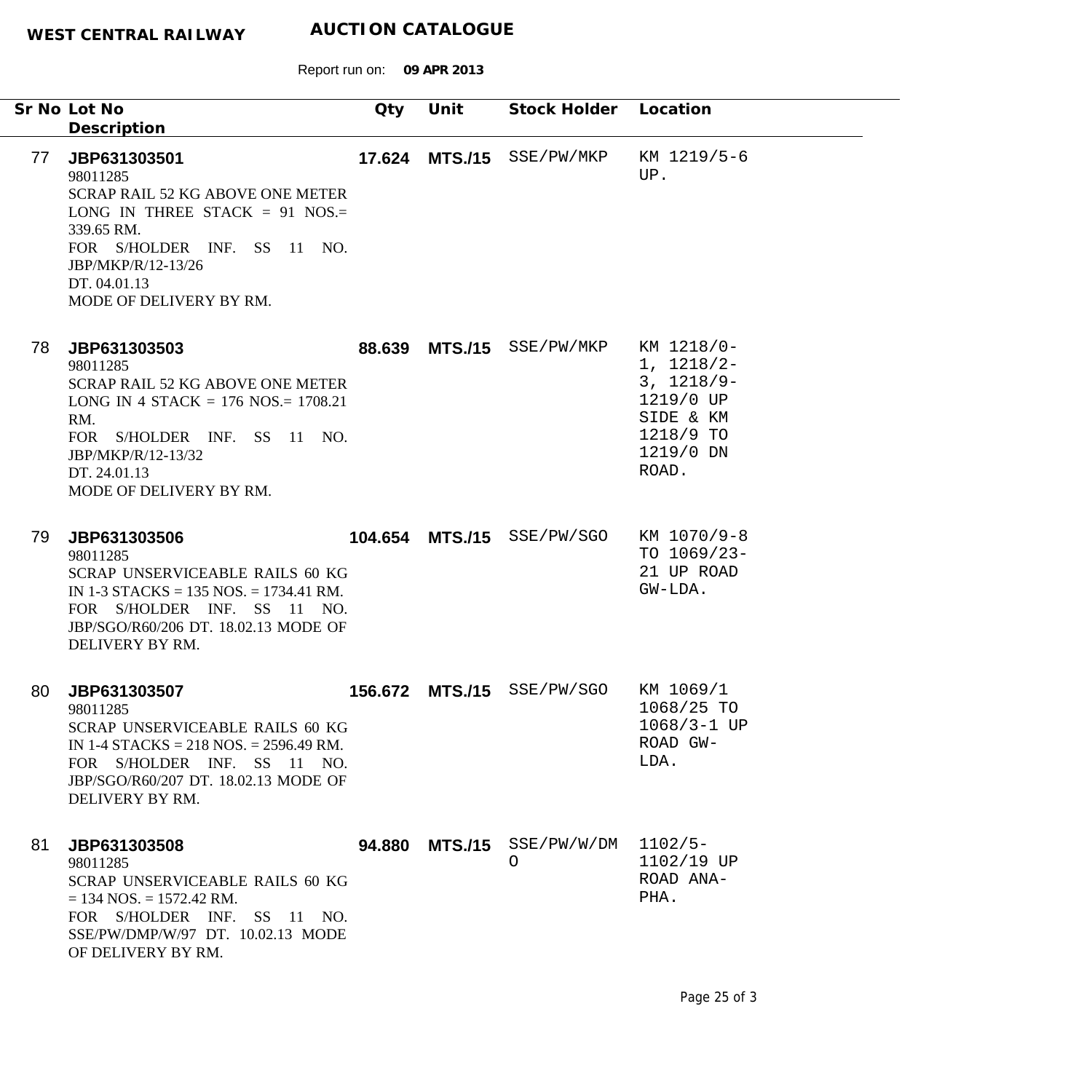|    | Sr No Lot No<br>Description                                                                                                                                                                                           | Qty | Unit | Stock Holder Location                   |                                                                                                         |
|----|-----------------------------------------------------------------------------------------------------------------------------------------------------------------------------------------------------------------------|-----|------|-----------------------------------------|---------------------------------------------------------------------------------------------------------|
| 77 | JBP631303501<br>98011285<br><b>SCRAP RAIL 52 KG ABOVE ONE METER</b><br>LONG IN THREE STACK = 91 NOS.=<br>339.65 RM.<br>FOR S/HOLDER INF. SS 11 NO.<br>JBP/MKP/R/12-13/26<br>DT. 04.01.13<br>MODE OF DELIVERY BY RM.   |     |      | 17.624 MTS./15 SSE/PW/MKP               | KM 1219/5-6<br>UP.                                                                                      |
| 78 | JBP631303503<br>98011285<br><b>SCRAP RAIL 52 KG ABOVE ONE METER</b><br>LONG IN 4 STACK = $176$ NOS = $1708.21$<br>RM.<br>FOR S/HOLDER INF. SS 11 NO.<br>JBP/MKP/R/12-13/32<br>DT. 24.01.13<br>MODE OF DELIVERY BY RM. |     |      | 88.639 MTS./15 SSE/PW/MKP               | KM 1218/0-<br>$1, 1218/2-$<br>$3, 1218/9-$<br>1219/0 UP<br>SIDE & KM<br>1218/9 TO<br>1219/0 DN<br>ROAD. |
| 79 | JBP631303506<br>98011285<br>SCRAP UNSERVICEABLE RAILS 60 KG<br>IN 1-3 STACKS = $135$ NOS. = $1734.41$ RM.<br>FOR S/HOLDER INF. SS 11 NO.<br>JBP/SGO/R60/206 DT. 18.02.13 MODE OF<br>DELIVERY BY RM.                   |     |      | 104.654 MTS./15 SSE/PW/SGO              | KM 1070/9-8<br>TO $1069/23$ -<br>21 UP ROAD<br>GW-LDA.                                                  |
| 80 | JBP631303507<br>98011285<br>SCRAP UNSERVICEABLE RAILS 60 KG<br>IN 1-4 STACKS = $218$ NOS. = $2596.49$ RM.<br>FOR S/HOLDER INF. SS 11 NO.<br>JBP/SGO/R60/207 DT. 18.02.13 MODE OF<br>DELIVERY BY RM.                   |     |      | 156.672 MTS./15 SSE/PW/SGO              | KM 1069/1<br>1068/25 TO<br>$1068/3 - 1 UP$<br>ROAD GW-<br>LDA.                                          |
| 81 | JBP631303508<br>98011285<br>SCRAP UNSERVICEABLE RAILS 60 KG<br>$= 134$ NOS. $= 1572.42$ RM.<br>FOR S/HOLDER INF. SS 11 NO.<br>SSE/PW/DMP/W/97 DT. 10.02.13 MODE<br>OF DELIVERY BY RM.                                 |     |      | 94.880 MTS./15 SSE/PW/W/DM 1102/5-<br>O | 1102/19 UP<br>ROAD ANA-<br>PHA.                                                                         |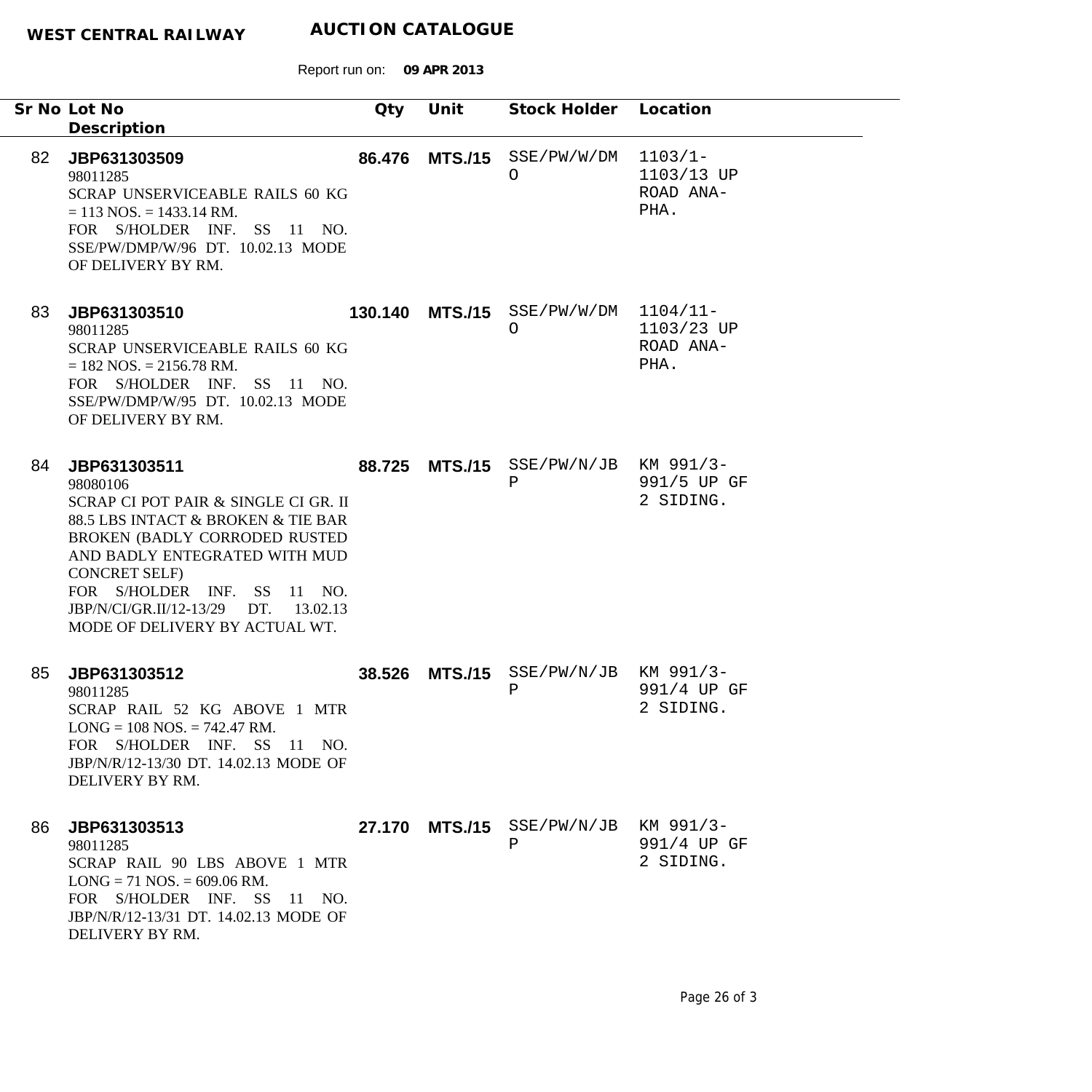|    | Sr No Lot No<br>Description                                                                                                                                                                                                                                                                                  | Qty     | Unit           | Stock Holder Location                     |                                               |
|----|--------------------------------------------------------------------------------------------------------------------------------------------------------------------------------------------------------------------------------------------------------------------------------------------------------------|---------|----------------|-------------------------------------------|-----------------------------------------------|
| 82 | JBP631303509<br>98011285<br>SCRAP UNSERVICEABLE RAILS 60 KG<br>$= 113$ NOS. $= 1433.14$ RM.<br>FOR S/HOLDER INF. SS 11 NO.<br>SSE/PW/DMP/W/96 DT. 10.02.13 MODE<br>OF DELIVERY BY RM.                                                                                                                        | 86.476  | <b>MTS./15</b> | SSE/PW/W/DM<br>$\bigcirc$                 | $1103/1 -$<br>1103/13 UP<br>ROAD ANA-<br>PHA. |
| 83 | JBP631303510<br>98011285<br>SCRAP UNSERVICEABLE RAILS 60 KG<br>$= 182$ NOS. $= 2156.78$ RM.<br>FOR S/HOLDER INF. SS 11 NO.<br>SSE/PW/DMP/W/95 DT. 10.02.13 MODE<br>OF DELIVERY BY RM.                                                                                                                        | 130.140 | <b>MTS./15</b> | SSE/PW/W/DM<br>O                          | $1104/11-$<br>1103/23 UP<br>ROAD ANA-<br>PHA. |
| 84 | JBP631303511<br>98080106<br>SCRAP CI POT PAIR & SINGLE CI GR. II<br>88.5 LBS INTACT & BROKEN & TIE BAR<br>BROKEN (BADLY CORRODED RUSTED<br>AND BADLY ENTEGRATED WITH MUD<br><b>CONCRET SELF)</b><br>FOR S/HOLDER INF. SS 11 NO.<br>JBP/N/CI/GR.II/12-13/29<br>DT. 13.02.13<br>MODE OF DELIVERY BY ACTUAL WT. | 88.725  | <b>MTS./15</b> | SSE/PW/N/JB KM 991/3-<br>Ρ                | 991/5 UP GF<br>2 SIDING.                      |
| 85 | JBP631303512<br>98011285<br>SCRAP RAIL 52 KG ABOVE 1 MTR<br>$LONG = 108 NOS. = 742.47 RM.$<br>FOR S/HOLDER INF. SS 11 NO.<br>JBP/N/R/12-13/30 DT. 14.02.13 MODE OF<br>DELIVERY BY RM.                                                                                                                        | 38.526  | <b>MTS./15</b> | $SSE/PW/N/JB$ KM 991/3-<br>Ρ              | 991/4 UP GF<br>2 SIDING.                      |
| 86 | JBP631303513<br>98011285<br>SCRAP RAIL 90 LBS ABOVE 1 MTR<br>$LONG = 71 NOS = 609.06 RM.$<br>FOR S/HOLDER INF. SS 11 NO.<br>JBP/N/R/12-13/31 DT. 14.02.13 MODE OF<br>DELIVERY BY RM.                                                                                                                         |         |                | 27.170 MTS./15 SSE/PW/N/JB KM 991/3-<br>Ρ | 991/4 UP GF<br>2 SIDING.                      |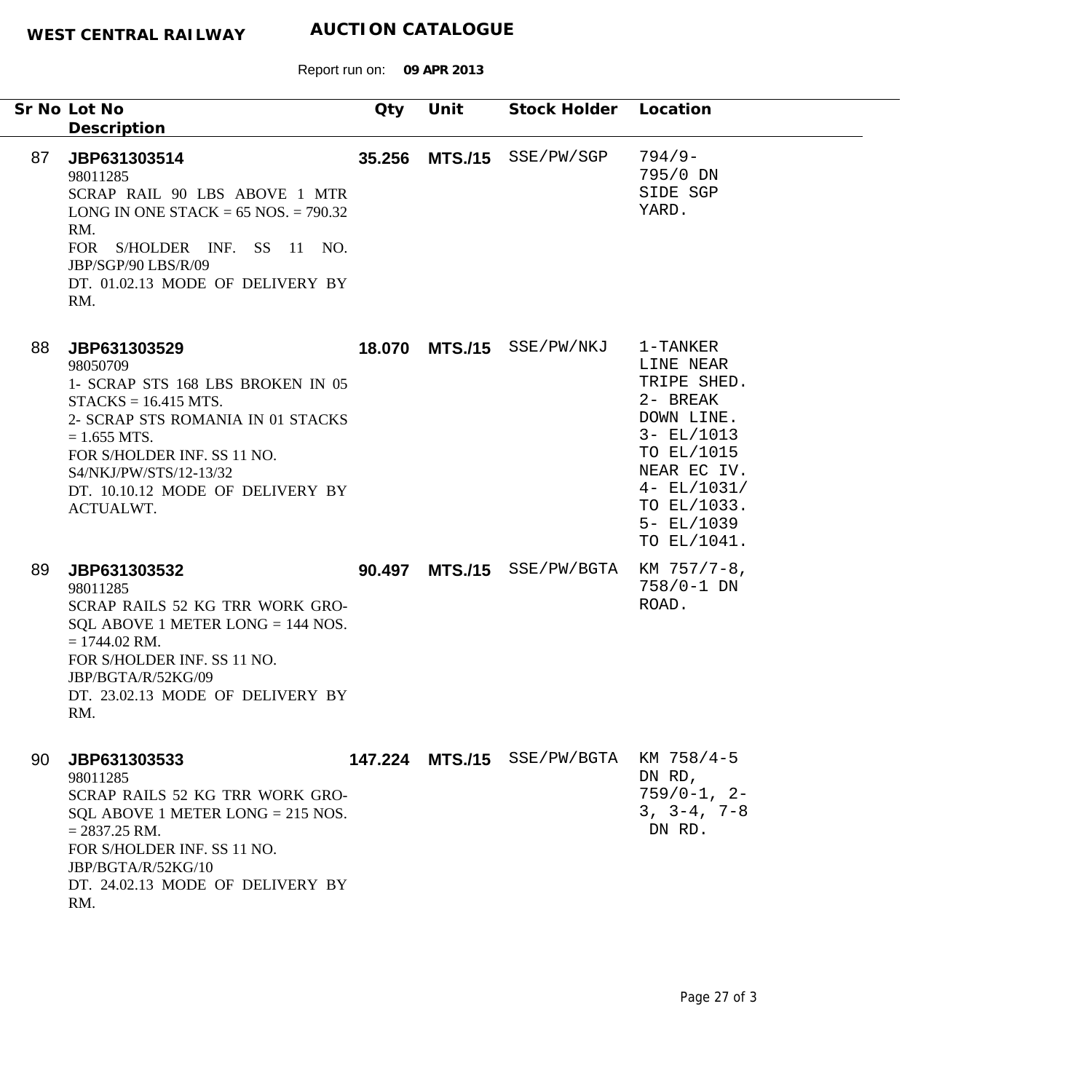Report run on: **09 APR 2013**

|    | Sr No Lot No<br>Description                                                                                                                                                                                                                              | Qty | Unit | Stock Holder Location                  |                                                                                                                                                                               |
|----|----------------------------------------------------------------------------------------------------------------------------------------------------------------------------------------------------------------------------------------------------------|-----|------|----------------------------------------|-------------------------------------------------------------------------------------------------------------------------------------------------------------------------------|
| 87 | JBP631303514<br>98011285<br>SCRAP RAIL 90 LBS ABOVE 1 MTR<br>LONG IN ONE STACK = $65$ NOS. = $790.32$<br>RM.<br>FOR S/HOLDER INF. SS 11 NO.<br>JBP/SGP/90 LBS/R/09<br>DT. 01.02.13 MODE OF DELIVERY BY<br>RM.                                            |     |      | 35.256 MTS./15 SSE/PW/SGP              | $794/9-$<br>795/0 DN<br>SIDE SGP<br>YARD.                                                                                                                                     |
| 88 | JBP631303529<br>98050709<br>1- SCRAP STS 168 LBS BROKEN IN 05<br>$STACKS = 16.415 MTS.$<br>2- SCRAP STS ROMANIA IN 01 STACKS<br>$= 1.655$ MTS.<br>FOR S/HOLDER INF. SS 11 NO.<br>S4/NKJ/PW/STS/12-13/32<br>DT. 10.10.12 MODE OF DELIVERY BY<br>ACTUALWT. |     |      | 18.070 MTS./15 SSE/PW/NKJ              | 1-TANKER<br>LINE NEAR<br>TRIPE SHED.<br>2- BREAK<br>DOWN LINE.<br>$3 - EL/1013$<br>TO EL/1015<br>NEAR EC IV.<br>$4 - EL/1031/$<br>TO EL/1033.<br>$5 - EL/1039$<br>TO EL/1041. |
| 89 | JBP631303532<br>98011285<br>SCRAP RAILS 52 KG TRR WORK GRO-<br>SQL ABOVE 1 METER LONG $=$ 144 NOS.<br>$= 1744.02$ RM.<br>FOR S/HOLDER INF. SS 11 NO.<br>JBP/BGTA/R/52KG/09<br>DT. 23.02.13 MODE OF DELIVERY BY<br>RM.                                    |     |      | 90.497 MTS./15 SSE/PW/BGTA             | KM 757/7-8,<br>758/0-1 DN<br>ROAD.                                                                                                                                            |
| 90 | JBP631303533<br>98011285<br>SCRAP RAILS 52 KG TRR WORK GRO-<br>SQL ABOVE 1 METER LONG $= 215$ NOS.<br>$= 2837.25$ RM.<br>FOR S/HOLDER INF. SS 11 NO.<br>JBP/BGTA/R/52KG/10<br>DT. 24.02.13 MODE OF DELIVERY BY<br>RM.                                    |     |      | 147.224 MTS./15 SSE/PW/BGTA KM 758/4-5 | DN RD,<br>$759/0-1, 2-$<br>$3, 3-4, 7-8$<br>DN RD.                                                                                                                            |

÷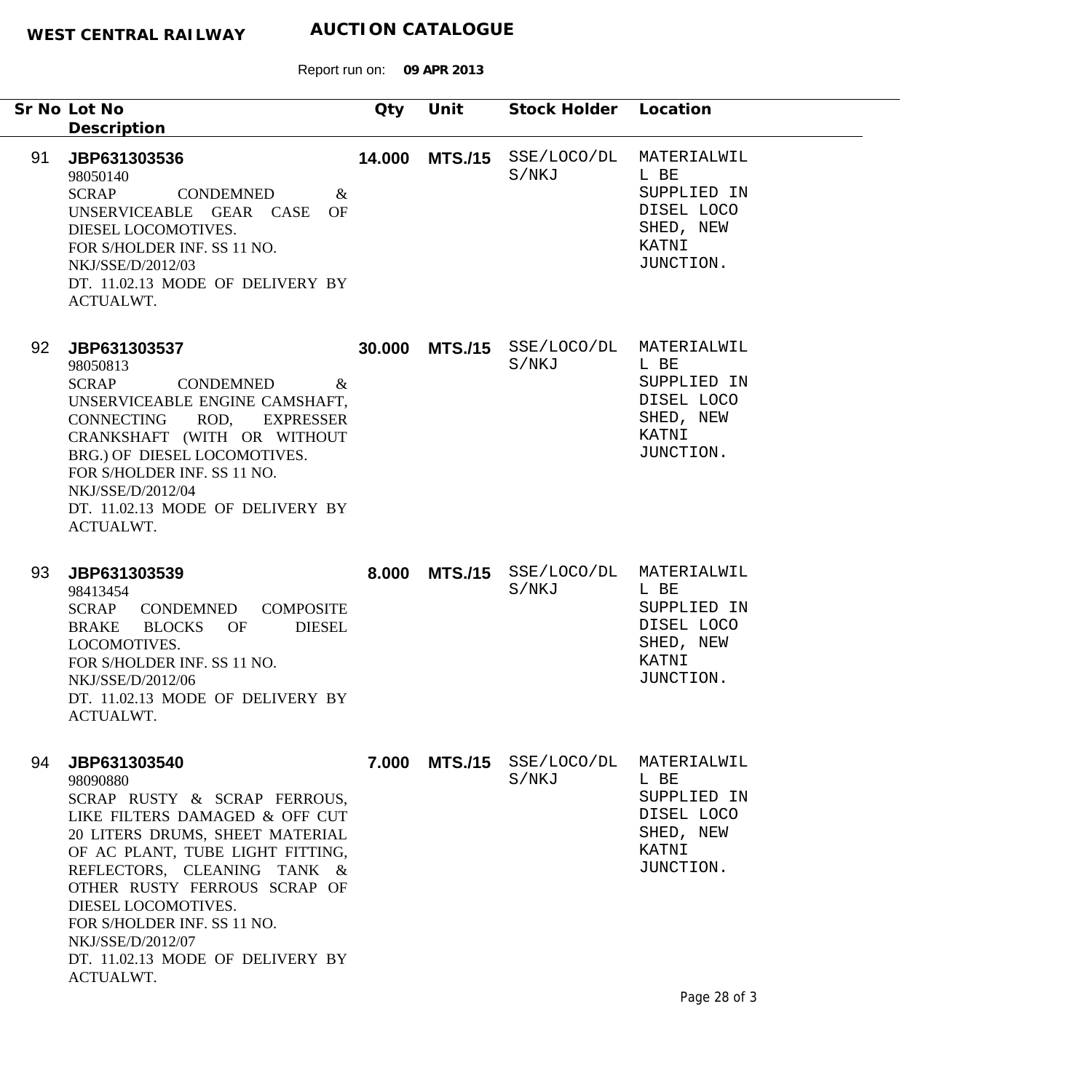|    | Sr No Lot No<br>Description                                                                                                                                                                                                                                                                                                                                  | Qty    | Unit           | Stock Holder Location |                                                                                     |
|----|--------------------------------------------------------------------------------------------------------------------------------------------------------------------------------------------------------------------------------------------------------------------------------------------------------------------------------------------------------------|--------|----------------|-----------------------|-------------------------------------------------------------------------------------|
| 91 | JBP631303536<br>98050140<br><b>SCRAP</b><br><b>CONDEMNED</b><br>$\&$<br>UNSERVICEABLE GEAR CASE<br>OF<br>DIESEL LOCOMOTIVES.<br>FOR S/HOLDER INF. SS 11 NO.<br>NKJ/SSE/D/2012/03<br>DT. 11.02.13 MODE OF DELIVERY BY<br>ACTUALWT.                                                                                                                            | 14.000 | <b>MTS./15</b> | SSE/LOCO/DL<br>S/NKJ  | MATERIALWIL<br>L BE<br>SUPPLIED IN<br>DISEL LOCO<br>SHED, NEW<br>KATNI<br>JUNCTION. |
| 92 | JBP631303537<br>98050813<br><b>SCRAP</b><br><b>CONDEMNED</b><br>&<br>UNSERVICEABLE ENGINE CAMSHAFT,<br>ROD,<br>CONNECTING<br><b>EXPRESSER</b><br>CRANKSHAFT (WITH OR WITHOUT<br>BRG.) OF DIESEL LOCOMOTIVES.<br>FOR S/HOLDER INF. SS 11 NO.<br>NKJ/SSE/D/2012/04<br>DT. 11.02.13 MODE OF DELIVERY BY<br>ACTUALWT.                                            | 30.000 | <b>MTS./15</b> | SSE/LOCO/DL<br>S/NKJ  | MATERIALWIL<br>L BE<br>SUPPLIED IN<br>DISEL LOCO<br>SHED, NEW<br>KATNI<br>JUNCTION. |
| 93 | JBP631303539<br>98413454<br>CONDEMNED<br><b>COMPOSITE</b><br>SCRAP<br><b>DIESEL</b><br><b>BRAKE</b><br><b>BLOCKS</b><br>OF<br>LOCOMOTIVES.<br>FOR S/HOLDER INF. SS 11 NO.<br>NKJ/SSE/D/2012/06<br>DT. 11.02.13 MODE OF DELIVERY BY<br>ACTUALWT.                                                                                                              | 8.000  | <b>MTS./15</b> | SSE/LOCO/DL<br>S/NKJ  | MATERIALWIL<br>L BE<br>SUPPLIED IN<br>DISEL LOCO<br>SHED, NEW<br>KATNI<br>JUNCTION. |
| 94 | JBP631303540<br>98090880<br>SCRAP RUSTY & SCRAP FERROUS,<br>LIKE FILTERS DAMAGED & OFF CUT<br>20 LITERS DRUMS, SHEET MATERIAL<br>OF AC PLANT, TUBE LIGHT FITTING,<br>REFLECTORS, CLEANING TANK &<br>OTHER RUSTY FERROUS SCRAP OF<br>DIESEL LOCOMOTIVES.<br>FOR S/HOLDER INF. SS 11 NO.<br>NKJ/SSE/D/2012/07<br>DT. 11.02.13 MODE OF DELIVERY BY<br>ACTUALWT. |        | 7.000 MTS./15  | SSE/LOCO/DL<br>S/NKJ  | MATERIALWIL<br>L BE<br>SUPPLIED IN<br>DISEL LOCO<br>SHED, NEW<br>KATNI<br>JUNCTION. |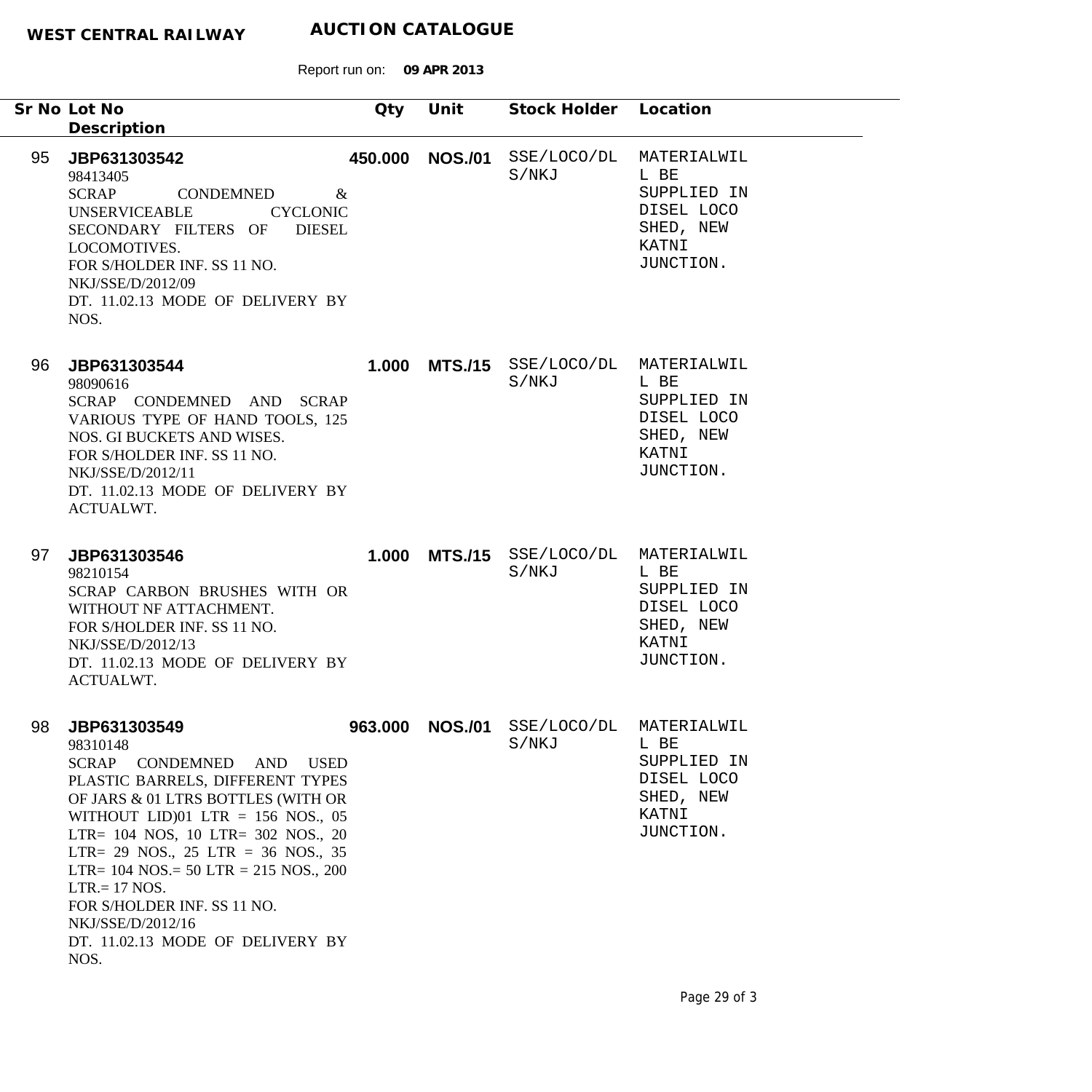Report run on: **09 APR 2013**

|    | Sr No Lot No<br>Description                                                                                                                                                                                                                                                                                                                                                                                            | Qty     | Unit            | Stock Holder Location                          |                                                                                                 |
|----|------------------------------------------------------------------------------------------------------------------------------------------------------------------------------------------------------------------------------------------------------------------------------------------------------------------------------------------------------------------------------------------------------------------------|---------|-----------------|------------------------------------------------|-------------------------------------------------------------------------------------------------|
| 95 | JBP631303542<br>98413405<br>SCRAP<br>CONDEMNED<br>$\&$<br><b>UNSERVICEABLE</b><br><b>CYCLONIC</b><br>SECONDARY FILTERS OF<br><b>DIESEL</b><br>LOCOMOTIVES.<br>FOR S/HOLDER INF. SS 11 NO.<br>NKJ/SSE/D/2012/09<br>DT. 11.02.13 MODE OF DELIVERY BY<br>NOS.                                                                                                                                                             |         | 450.000 NOS./01 | S/NKJ                                          | SSE/LOCO/DL MATERIALWIL<br>L BE<br>SUPPLIED IN<br>DISEL LOCO<br>SHED, NEW<br>KATNI<br>JUNCTION. |
| 96 | JBP631303544<br>98090616<br>SCRAP CONDEMNED AND SCRAP<br>VARIOUS TYPE OF HAND TOOLS, 125<br>NOS. GI BUCKETS AND WISES.<br>FOR S/HOLDER INF. SS 11 NO.<br>NKJ/SSE/D/2012/11<br>DT. 11.02.13 MODE OF DELIVERY BY<br><b>ACTUALWT.</b>                                                                                                                                                                                     |         |                 | 1.000 MTS./15 SSE/LOCO/DL MATERIALWIL<br>S/NKJ | L BE<br>SUPPLIED IN<br>DISEL LOCO<br>SHED, NEW<br>KATNI<br>JUNCTION.                            |
| 97 | JBP631303546<br>98210154<br>SCRAP CARBON BRUSHES WITH OR<br>WITHOUT NF ATTACHMENT.<br>FOR S/HOLDER INF. SS 11 NO.<br>NKJ/SSE/D/2012/13<br>DT. 11.02.13 MODE OF DELIVERY BY<br><b>ACTUALWT.</b>                                                                                                                                                                                                                         |         |                 | 1.000 MTS./15 SSE/LOCO/DL MATERIALWIL<br>S/NKJ | L BE<br>SUPPLIED IN<br>DISEL LOCO<br>SHED, NEW<br>KATNI<br>JUNCTION.                            |
| 98 | JBP631303549<br>98310148<br>SCRAP CONDEMNED AND USED<br>PLASTIC BARRELS, DIFFERENT TYPES<br>OF JARS & 01 LTRS BOTTLES (WITH OR<br>WITHOUT LID $)01$ LTR = 156 NOS., 05<br>LTR= 104 NOS, 10 LTR= 302 NOS., 20<br>LTR= 29 NOS., 25 LTR = 36 NOS., 35<br>LTR= $104$ NOS.= $50$ LTR = $215$ NOS., $200$<br>$LTR = 17 NOS.$<br>FOR S/HOLDER INF. SS 11 NO.<br>NKJ/SSE/D/2012/16<br>DT. 11.02.13 MODE OF DELIVERY BY<br>NOS. | 963.000 | <b>NOS./01</b>  | SSE/LOCO/DL<br>S/NKJ                           | MATERIALWIL<br>L BE<br>SUPPLIED IN<br>DISEL LOCO<br>SHED, NEW<br>KATNI<br>JUNCTION.             |

۰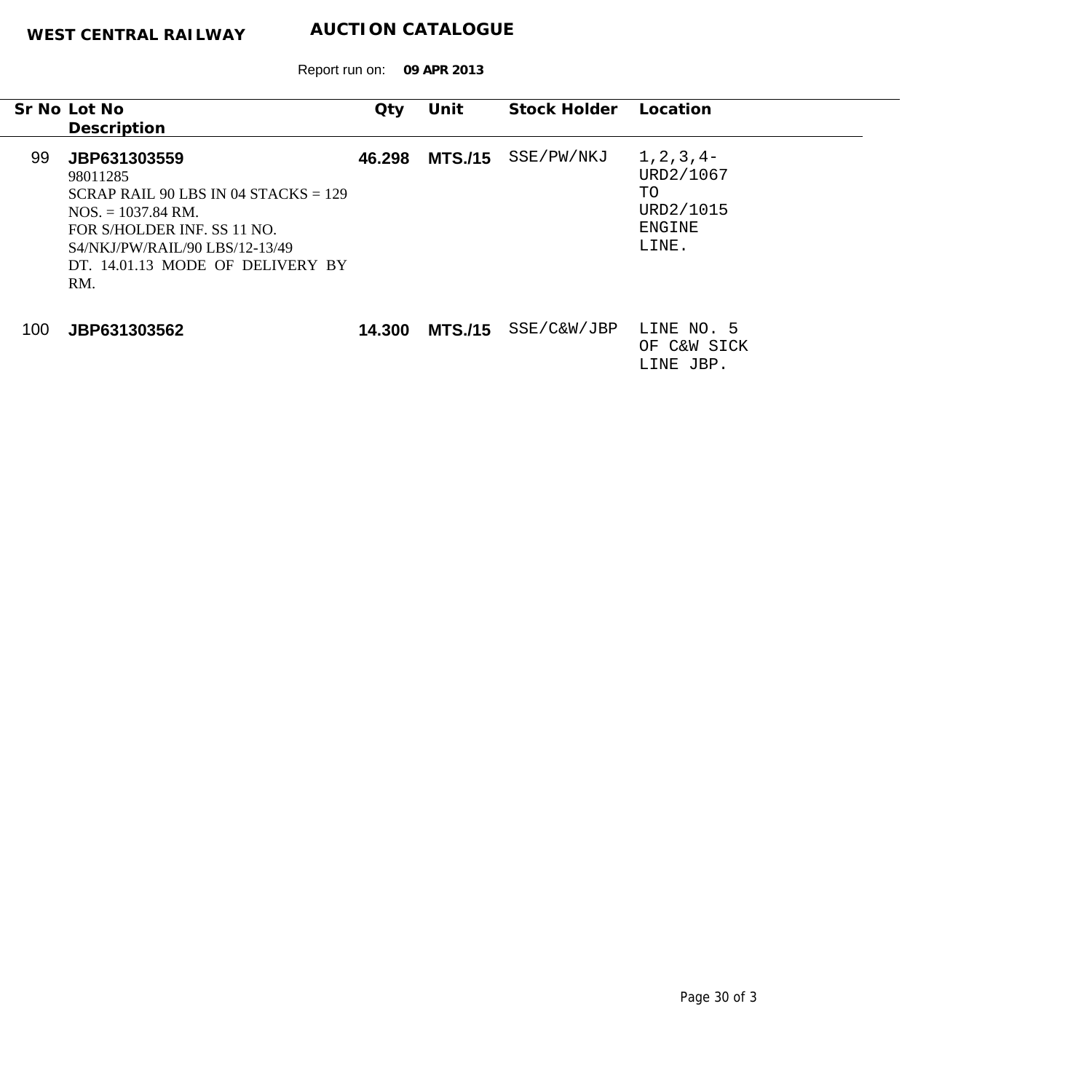Report run on: **09 APR 2013**

|     | Sr No Lot No<br>Description                                                                                                                                                                                    | $Q$ ty | Unit           | Stock Holder | Location                                                         |
|-----|----------------------------------------------------------------------------------------------------------------------------------------------------------------------------------------------------------------|--------|----------------|--------------|------------------------------------------------------------------|
| 99  | JBP631303559<br>98011285<br>$SCRAP RAIL 90 LBS IN 04 STACKS = 129$<br>$NOS. = 1037.84 \text{ RM}.$<br>FOR S/HOLDER INF. SS 11 NO.<br>S4/NKJ/PW/RAJL/90 LBS/12-13/49<br>DT. 14.01.13 MODE OF DELIVERY BY<br>RM. | 46.298 | <b>MTS./15</b> | SSE/PW/NKJ   | $1, 2, 3, 4-$<br>URD2/1067<br>TO<br>URD2/1015<br>ENGINE<br>LINE. |
| 100 | JBP631303562                                                                                                                                                                                                   | 14.300 | <b>MTS./15</b> | SSE/C&W/JBP  | LINE NO. 5<br>C&W SICK<br>OF.                                    |

LINE JBP.

 $\overline{\phantom{0}}$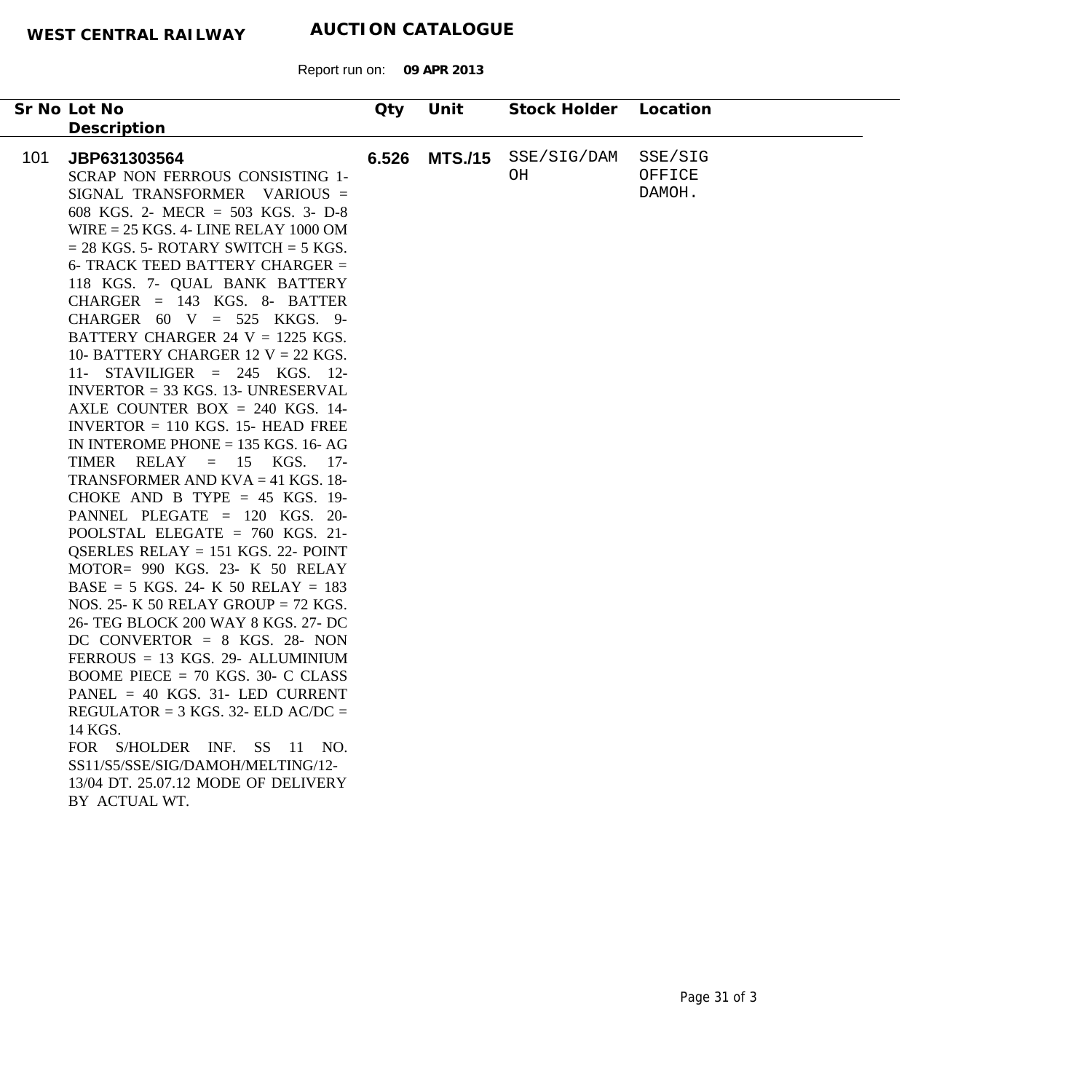|     | Sr No Lot No                                                                                                                                                                                                                                                                                                                                                                                                                                                                                                                                                                                                                                                                                                                                                                                                                                                                                                                                                                                                                                                                                                                                                                                                                                                                                                                                                         | Qty   | Unit           | Stock Holder      | Location                    |
|-----|----------------------------------------------------------------------------------------------------------------------------------------------------------------------------------------------------------------------------------------------------------------------------------------------------------------------------------------------------------------------------------------------------------------------------------------------------------------------------------------------------------------------------------------------------------------------------------------------------------------------------------------------------------------------------------------------------------------------------------------------------------------------------------------------------------------------------------------------------------------------------------------------------------------------------------------------------------------------------------------------------------------------------------------------------------------------------------------------------------------------------------------------------------------------------------------------------------------------------------------------------------------------------------------------------------------------------------------------------------------------|-------|----------------|-------------------|-----------------------------|
|     | Description                                                                                                                                                                                                                                                                                                                                                                                                                                                                                                                                                                                                                                                                                                                                                                                                                                                                                                                                                                                                                                                                                                                                                                                                                                                                                                                                                          |       |                |                   |                             |
| 101 | JBP631303564<br>SCRAP NON FERROUS CONSISTING 1-<br>SIGNAL TRANSFORMER VARIOUS =<br>608 KGS. 2- MECR = 503 KGS. 3- D-8<br>WIRE $= 25$ KGS. 4- LINE RELAY 1000 OM<br>$= 28$ KGS. 5- ROTARY SWITCH $= 5$ KGS.<br>6- TRACK TEED BATTERY CHARGER $=$<br>118 KGS. 7- QUAL BANK BATTERY<br>$CHARGER = 143 KGS. 8- BATTER$<br>CHARGER $60 \text{ V} = 525 \text{ KKGS}$ . 9-<br>BATTERY CHARGER 24 $V = 1225$ KGS.<br>10- BATTERY CHARGER 12 V = 22 KGS.<br>11- STAVILIGER = $245$ KGS. 12-<br>$INVERTOR = 33 KGS.$ 13- UNRESERVAL<br>AXLE COUNTER BOX $= 240$ KGS. 14-<br>INVERTOR $= 110$ KGS. 15- HEAD FREE<br>IN INTEROME PHONE $= 135$ KGS. 16-AG<br>TIMER RELAY = $15$ KGS. 17-<br>TRANSFORMER AND $KVA = 41$ KGS. 18-<br>CHOKE AND B TYPE = $45$ KGS. 19-<br>PANNEL PLEGATE = 120 KGS. 20-<br>POOLSTAL ELEGATE = $760$ KGS. 21-<br>QSERLES RELAY = $151$ KGS. 22- POINT<br>MOTOR= 990 KGS. 23- K 50 RELAY<br>$BASE = 5 KGS$ . 24- K 50 RELAY = 183<br>NOS. 25- K 50 RELAY GROUP = 72 KGS.<br>26- TEG BLOCK 200 WAY 8 KGS. 27- DC<br>DC CONVERTOR = $8$ KGS. 28- NON<br>$FERROUS = 13 KGS$ . 29- ALLUMINIUM<br>BOOME PIECE = $70$ KGS. 30- C CLASS<br>PANEL = $40$ KGS. 31- LED CURRENT<br>REGULATOR = $3$ KGS. 32- ELD AC/DC =<br>14 KGS.<br>FOR S/HOLDER INF. SS 11 NO.<br>SS11/S5/SSE/SIG/DAMOH/MELTING/12-<br>13/04 DT. 25.07.12 MODE OF DELIVERY<br>BY ACTUAL WT. | 6.526 | <b>MTS./15</b> | SSE/SIG/DAM<br>OН | SSE/SIG<br>OFFICE<br>DAMOH. |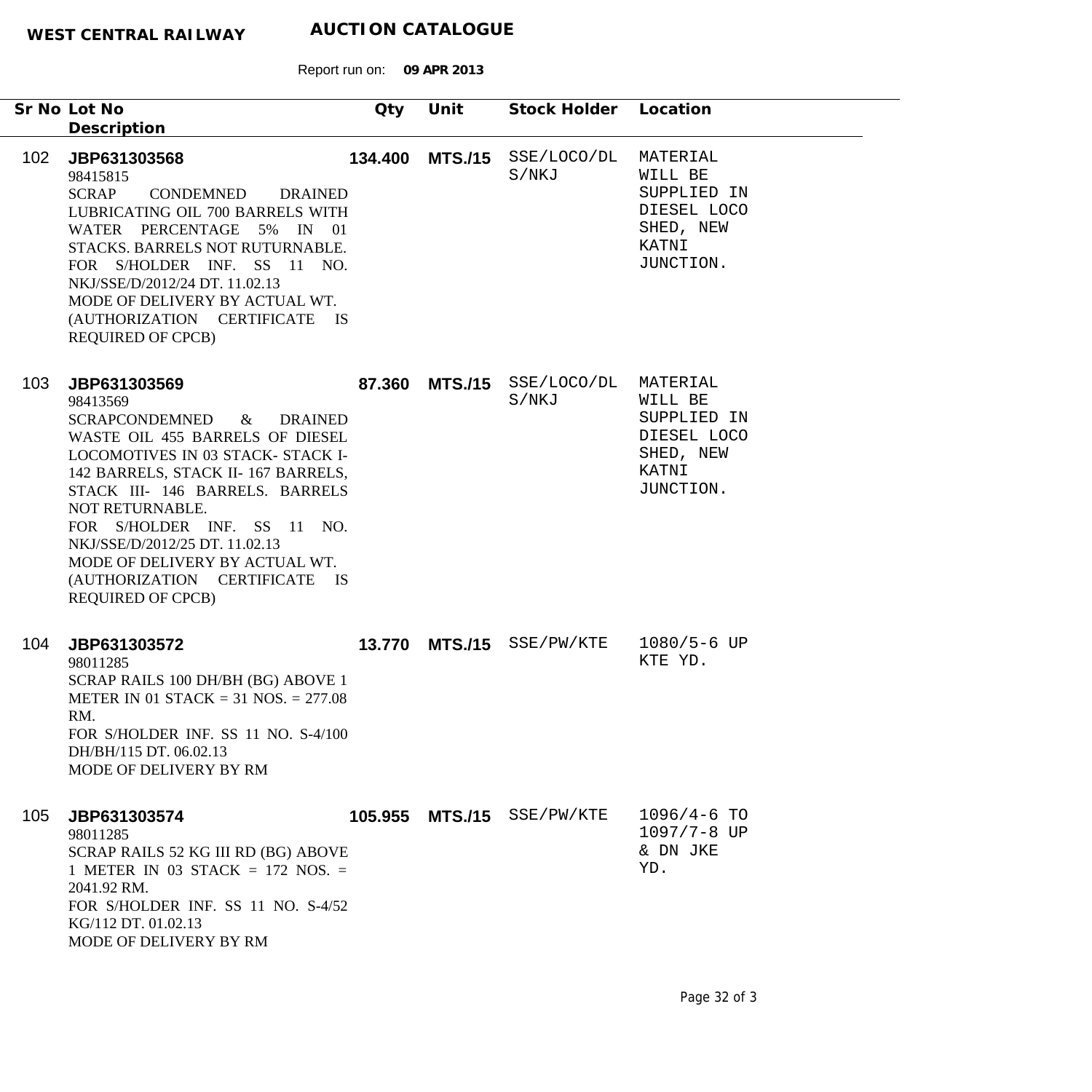Report run on: **09 APR 2013**

| Sr No Lot No                                 | Description                                                                                                                                                                                                                                                                                                                                                                                            | Qty     | Unit            | Stock Holder              | Location                                                                             |
|----------------------------------------------|--------------------------------------------------------------------------------------------------------------------------------------------------------------------------------------------------------------------------------------------------------------------------------------------------------------------------------------------------------------------------------------------------------|---------|-----------------|---------------------------|--------------------------------------------------------------------------------------|
| 102 <sub>1</sub><br>98415815<br><b>SCRAP</b> | JBP631303568<br>CONDEMNED<br><b>DRAINED</b><br>LUBRICATING OIL 700 BARRELS WITH<br>WATER PERCENTAGE 5% IN 01<br>STACKS. BARRELS NOT RUTURNABLE.<br>FOR S/HOLDER INF. SS 11 NO.<br>NKJ/SSE/D/2012/24 DT. 11.02.13<br>MODE OF DELIVERY BY ACTUAL WT.<br>(AUTHORIZATION CERTIFICATE<br><b>IS</b><br><b>REQUIRED OF CPCB)</b>                                                                              | 134.400 | <b>MTS./15</b>  | SSE/LOCO/DL<br>S/NKJ      | MATERIAL<br>WILL BE<br>SUPPLIED IN<br>DIESEL LOCO<br>SHED, NEW<br>KATNI<br>JUNCTION. |
| 103<br>98413569                              | JBP631303569<br>SCRAPCONDEMNED<br>$\&$<br><b>DRAINED</b><br>WASTE OIL 455 BARRELS OF DIESEL<br>LOCOMOTIVES IN 03 STACK- STACK I-<br>142 BARRELS, STACK II-167 BARRELS,<br>STACK III- 146 BARRELS. BARRELS<br>NOT RETURNABLE.<br>FOR S/HOLDER INF. SS 11 NO.<br>NKJ/SSE/D/2012/25 DT. 11.02.13<br>MODE OF DELIVERY BY ACTUAL WT.<br>(AUTHORIZATION CERTIFICATE<br><b>IS</b><br><b>REQUIRED OF CPCB)</b> | 87.360  | <b>MTS./15</b>  | SSE/LOCO/DL<br>S/NKJ      | MATERIAL<br>WILL BE<br>SUPPLIED IN<br>DIESEL LOCO<br>SHED, NEW<br>KATNI<br>JUNCTION. |
| 104<br>98011285<br>RM.                       | JBP631303572<br>SCRAP RAILS 100 DH/BH (BG) ABOVE 1<br>METER IN 01 STACK = 31 NOS. = $277.08$<br>FOR S/HOLDER INF. SS 11 NO. S-4/100<br>DH/BH/115 DT. 06.02.13<br>MODE OF DELIVERY BY RM                                                                                                                                                                                                                |         |                 | 13.770 MTS./15 SSE/PW/KTE | $1080/5 - 6$ UP<br>KTE YD.                                                           |
| 105<br>98011285                              | JBP631303574<br>SCRAP RAILS 52 KG III RD (BG) ABOVE<br>1 METER IN 03 STACK = 172 NOS. =<br>2041.92 RM.<br>FOR S/HOLDER INF. SS 11 NO. S-4/52<br>KG/112 DT. 01.02.13<br>MODE OF DELIVERY BY RM                                                                                                                                                                                                          |         | 105.955 MTS./15 | SSE/PW/KTE                | $1096/4-6$ TO<br>1097/7-8 UP<br>& DN JKE<br>YD.                                      |

۰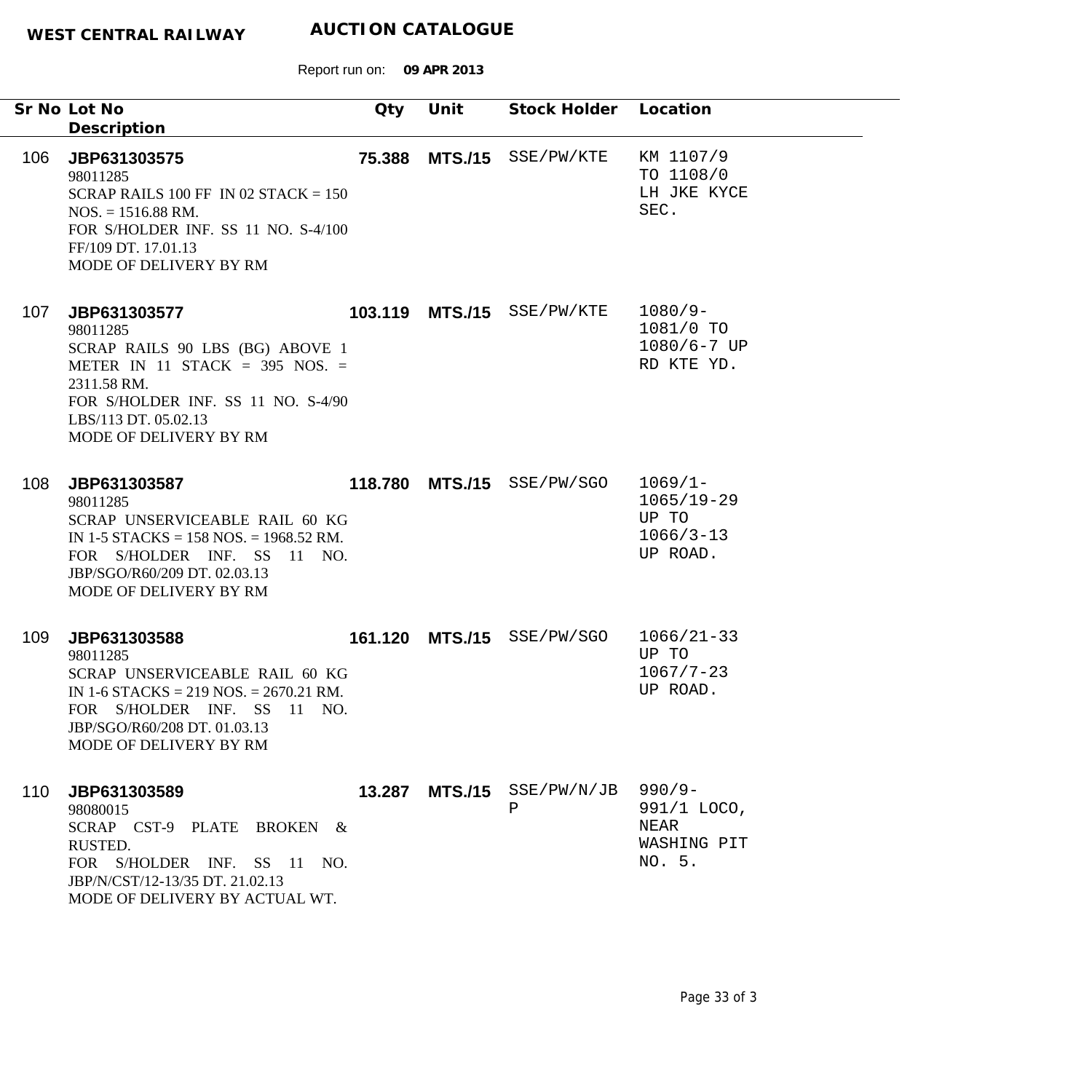|     | Sr No Lot No<br>Description                                                                                                                                                                            | Qty     | Unit            | Stock Holder Location      |                                                                    |
|-----|--------------------------------------------------------------------------------------------------------------------------------------------------------------------------------------------------------|---------|-----------------|----------------------------|--------------------------------------------------------------------|
| 106 | JBP631303575<br>98011285<br>SCRAP RAILS 100 FF IN 02 STACK = $150$<br>$NOS. = 1516.88 \text{ RM}.$<br>FOR S/HOLDER INF. SS 11 NO. S-4/100<br>FF/109 DT. 17.01.13<br>MODE OF DELIVERY BY RM             | 75.388  | <b>MTS./15</b>  | SSE/PW/KTE                 | KM 1107/9<br>TO 1108/0<br>LH JKE KYCE<br>SEC.                      |
| 107 | JBP631303577<br>98011285<br>SCRAP RAILS 90 LBS (BG) ABOVE 1<br>METER IN 11 STACK = $395$ NOS. =<br>2311.58 RM.<br>FOR S/HOLDER INF. SS 11 NO. S-4/90<br>LBS/113 DT. 05.02.13<br>MODE OF DELIVERY BY RM |         |                 | 103.119 MTS./15 SSE/PW/KTE | $1080/9-$<br>1081/0 TO<br>$1080/6 - 7$ UP<br>RD KTE YD.            |
| 108 | JBP631303587<br>98011285<br>SCRAP UNSERVICEABLE RAIL 60 KG<br>IN 1-5 STACKS = $158$ NOS. = $1968.52$ RM.<br>FOR S/HOLDER INF. SS 11 NO.<br>JBP/SGO/R60/209 DT. 02.03.13<br>MODE OF DELIVERY BY RM      |         | 118.780 MTS./15 | SSE/PW/SGO                 | $1069/1 -$<br>$1065/19 - 29$<br>UP TO<br>$1066/3 - 13$<br>UP ROAD. |
| 109 | JBP631303588<br>98011285<br>SCRAP UNSERVICEABLE RAIL 60 KG<br>IN 1-6 STACKS = 219 NOS. = $2670.21$ RM.<br>FOR S/HOLDER INF. SS 11 NO.<br>JBP/SGO/R60/208 DT. 01.03.13<br>MODE OF DELIVERY BY RM        | 161.120 |                 | MTS./15 SSE/PW/SGO         | $1066/21-33$<br>UP TO<br>$1067/7 - 23$<br>UP ROAD.                 |
| 110 | JBP631303589<br>98080015<br>SCRAP CST-9 PLATE BROKEN &<br>RUSTED.<br>FOR S/HOLDER INF. SS 11 NO.<br>JBP/N/CST/12-13/35 DT. 21.02.13<br>MODE OF DELIVERY BY ACTUAL WT.                                  | 13.287  | <b>MTS./15</b>  | SSE/PW/N/JB<br>Ρ           | $990/9 -$<br>991/1 LOCO,<br>NEAR<br>WASHING PIT<br>NO. 5.          |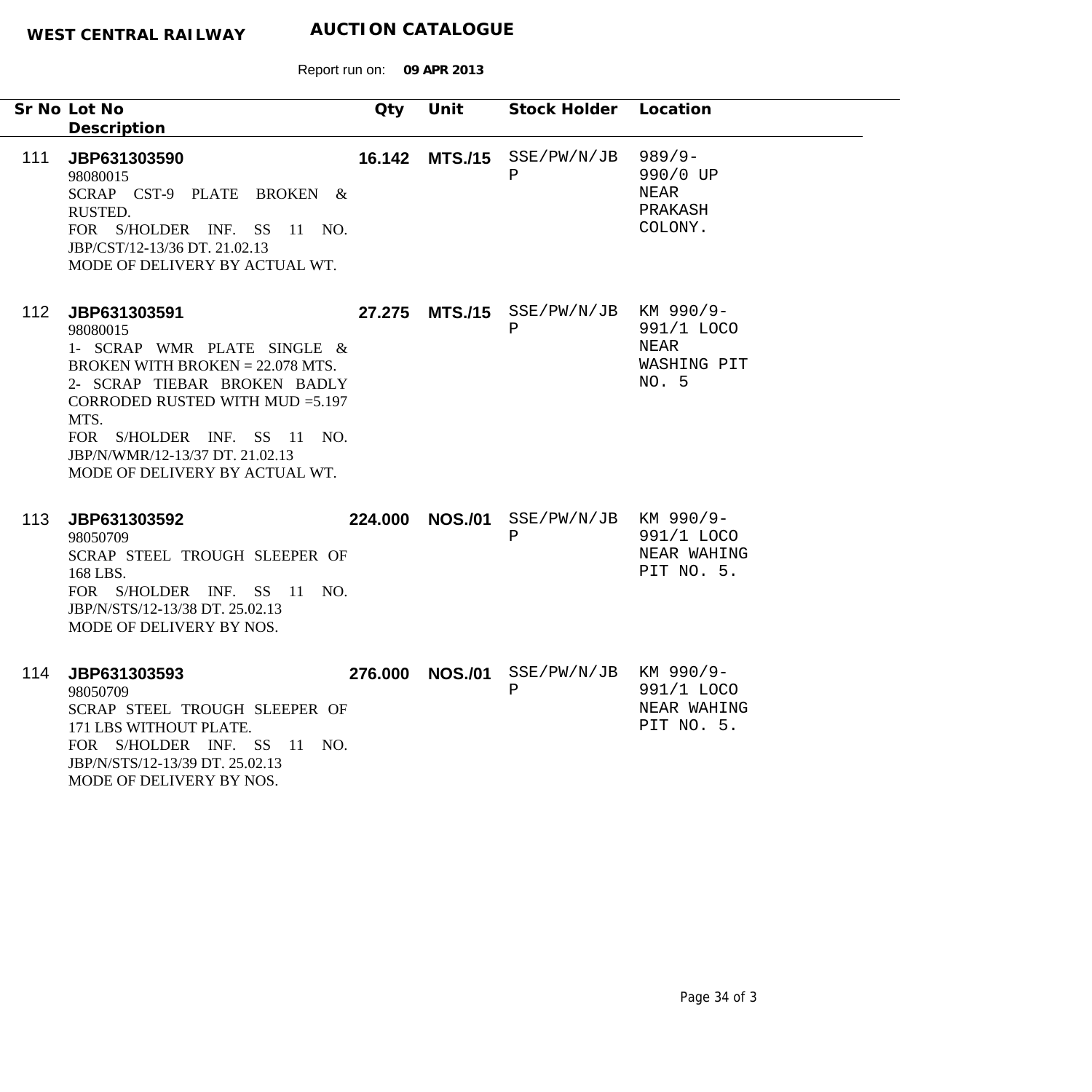|     | Sr No Lot No                                                                                                                                                                                                                                                                  | Qty | Unit            | Stock Holder Location                                 |                                                            |
|-----|-------------------------------------------------------------------------------------------------------------------------------------------------------------------------------------------------------------------------------------------------------------------------------|-----|-----------------|-------------------------------------------------------|------------------------------------------------------------|
|     | Description                                                                                                                                                                                                                                                                   |     |                 |                                                       |                                                            |
| 111 | JBP631303590<br>98080015<br>SCRAP CST-9 PLATE BROKEN &<br>RUSTED.<br>FOR S/HOLDER INF. SS 11 NO.<br>JBP/CST/12-13/36 DT. 21.02.13<br>MODE OF DELIVERY BY ACTUAL WT.                                                                                                           |     |                 | 16.142 MTS./15 SSE/PW/N/JB<br>$\, {\bf P}$            | $989/9 -$<br>990/0 UP<br><b>NEAR</b><br>PRAKASH<br>COLONY. |
| 112 | JBP631303591<br>98080015<br>1- SCRAP WMR PLATE SINGLE &<br>BROKEN WITH BROKEN $= 22.078$ MTS.<br>2- SCRAP TIEBAR BROKEN BADLY<br>CORRODED RUSTED WITH MUD = 5.197<br>MTS.<br>FOR S/HOLDER INF. SS 11 NO.<br>JBP/N/WMR/12-13/37 DT. 21.02.13<br>MODE OF DELIVERY BY ACTUAL WT. |     |                 | 27.275 MTS./15 SSE/PW/N/JB KM 990/9-<br>$\mathbf P$   | 991/1 LOCO<br>NEAR<br>WASHING PIT<br>NO. 5                 |
| 113 | JBP631303592<br>98050709<br>SCRAP STEEL TROUGH SLEEPER OF<br>168 LBS.<br>FOR S/HOLDER INF. SS 11 NO.<br>JBP/N/STS/12-13/38 DT. 25.02.13<br>MODE OF DELIVERY BY NOS.                                                                                                           |     | 224.000 NOS./01 | $SSE/PW/N/JB$ KM 990/9-<br>$\, {\bf P}$               | 991/1 LOCO<br>NEAR WAHING<br>PIT NO. 5.                    |
| 114 | JBP631303593<br>98050709<br>SCRAP STEEL TROUGH SLEEPER OF<br>171 LBS WITHOUT PLATE.<br>FOR S/HOLDER INF. SS 11 NO.<br>JBP/N/STS/12-13/39 DT. 25.02.13<br>MODE OF DELIVERY BY NOS.                                                                                             |     |                 | 276.000 NOS./01 SSE/PW/N/JB KM 990/9-<br>$\, {\bf P}$ | 991/1 LOCO<br>NEAR WAHING<br>PIT NO. 5.                    |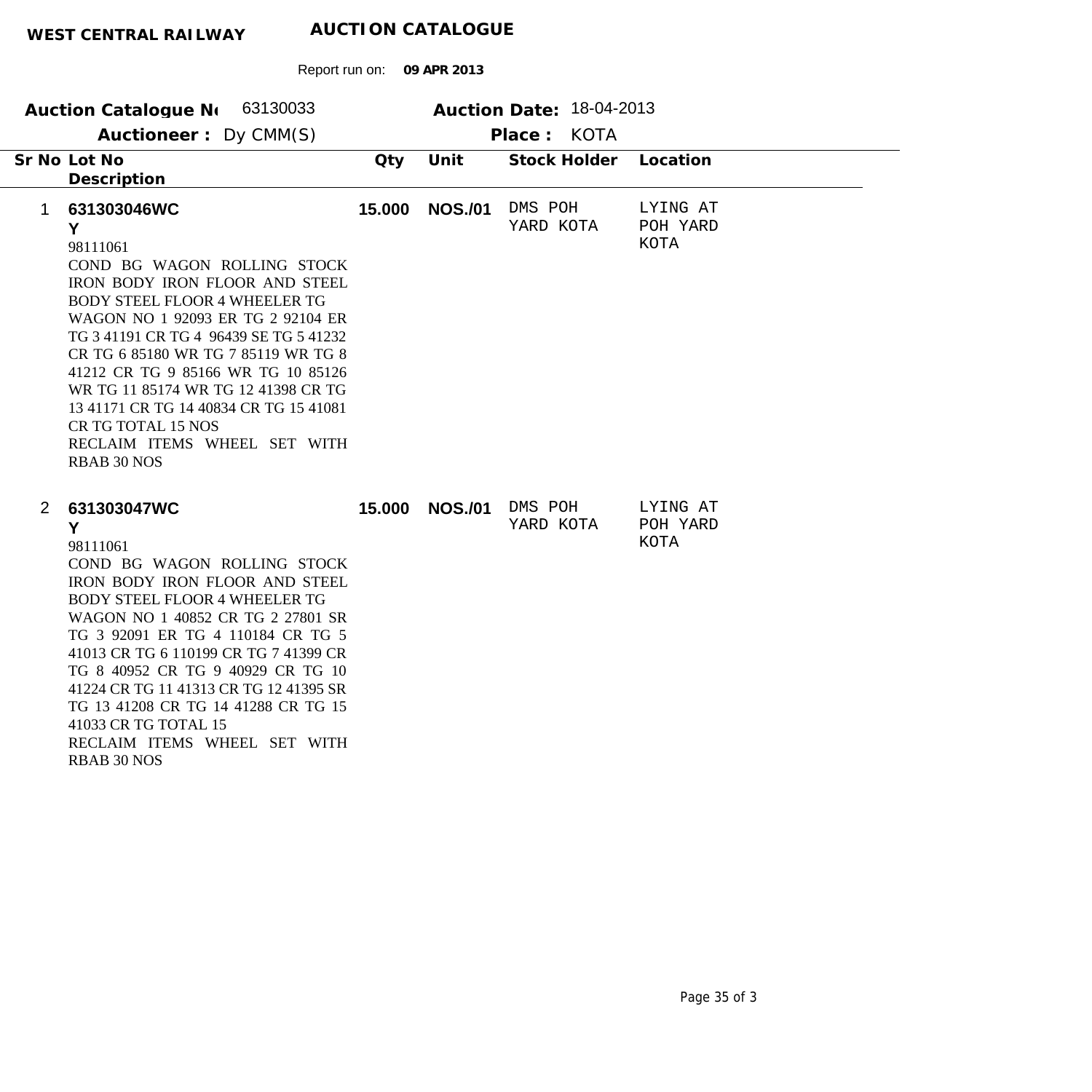| Auction Catalogue N 63130033<br>Auctioneer: Dy CMM(S)                                                                                                                                                                                                                                                                                                                                                                                                                          |        |                | Auction Date: 18-04-2013<br>Place: KOTA |                                     |
|--------------------------------------------------------------------------------------------------------------------------------------------------------------------------------------------------------------------------------------------------------------------------------------------------------------------------------------------------------------------------------------------------------------------------------------------------------------------------------|--------|----------------|-----------------------------------------|-------------------------------------|
| Sr No Lot No<br>Description                                                                                                                                                                                                                                                                                                                                                                                                                                                    | Qty    | Unit           | Stock Holder                            | Location                            |
| 631303046WC<br>$\mathbf{1}$<br>Y<br>98111061<br>COND BG WAGON ROLLING STOCK<br>IRON BODY IRON FLOOR AND STEEL<br><b>BODY STEEL FLOOR 4 WHEELER TG</b><br>WAGON NO 1 92093 ER TG 2 92104 ER<br>TG 3 41191 CR TG 4 96439 SE TG 5 41232<br>CR TG 6 85180 WR TG 7 85119 WR TG 8<br>41212 CR TG 9 85166 WR TG 10 85126<br>WR TG 11 85174 WR TG 12 41398 CR TG<br>13 41171 CR TG 14 40834 CR TG 15 41081<br>CR TG TOTAL 15 NOS<br>RECLAIM ITEMS WHEEL SET WITH<br><b>RBAB 30 NOS</b> | 15.000 | <b>NOS./01</b> | DMS POH<br>YARD KOTA                    | LYING AT<br>POH YARD<br><b>KOTA</b> |
| 631303047WC<br>$\overline{2}$<br>Y<br>98111061<br>COND BG WAGON ROLLING STOCK<br>IRON BODY IRON FLOOR AND STEEL<br><b>BODY STEEL FLOOR 4 WHEELER TG</b><br>WAGON NO 1 40852 CR TG 2 27801 SR<br>TG 3 92091 ER TG 4 110184 CR TG 5<br>41013 CR TG 6 110199 CR TG 7 41399 CR<br>TG 8 40952 CR TG 9 40929 CR TG 10<br>41224 CR TG 11 41313 CR TG 12 41395 SR<br>TG 13 41208 CR TG 14 41288 CR TG 15<br>41033 CR TG TOTAL 15<br>RECLAIM ITEMS WHEEL SET WITH<br><b>RBAB 30 NOS</b> | 15.000 | <b>NOS./01</b> | DMS POH<br>YARD KOTA                    | LYING AT<br>POH YARD<br><b>KOTA</b> |